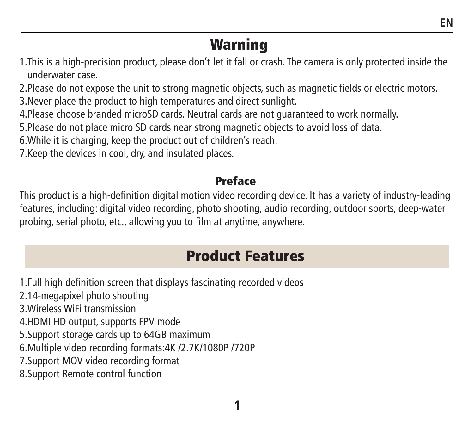# **Warning**

- 1.This is a high-precision product, please don't let it fall or crash. The camera is only protected inside the underwater case.
- 2.Please do not expose the unit to strong magnetic objects, such as magnetic fields or electric motors.
- 3.Never place the product to high temperatures and direct sunlight.
- 4.Please choose branded microSD cards. Neutral cards are not guaranteed to work normally.
- 5.Please do not place micro SD cards near strong magnetic objects to avoid loss of data.
- 6.While it is charging, keep the product out of children's reach.
- 7.Keep the devices in cool, dry, and insulated places.

### **Preface**

This product is a high-definition digital motion video recording device. It has a variety of industry-leading features, including: digital video recording, photo shooting, audio recording, outdoor sports, deep-water probing, serial photo, etc., allowing you to film at anytime, anywhere.

## **Product Features**

- 1.Full high definition screen that displays fascinating recorded videos
- 2.14-megapixel photo shooting
- 3.Wireless WiFi transmission
- 4.HDMI HD output, supports FPV mode
- 5.Support storage cards up to 64GB maximum
- 6.Multiple video recording formats:4K /2.7K/1080P /720P
- 7.Support MOV video recording format
- 8.Support Remote control function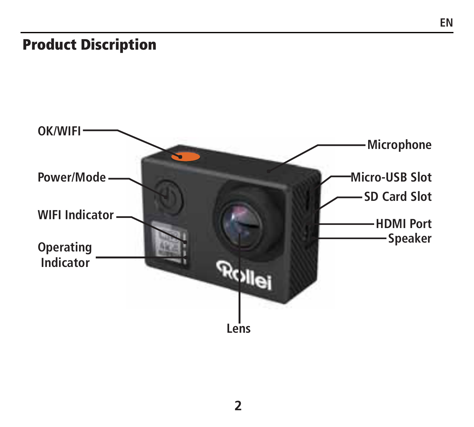# **Product Discription**

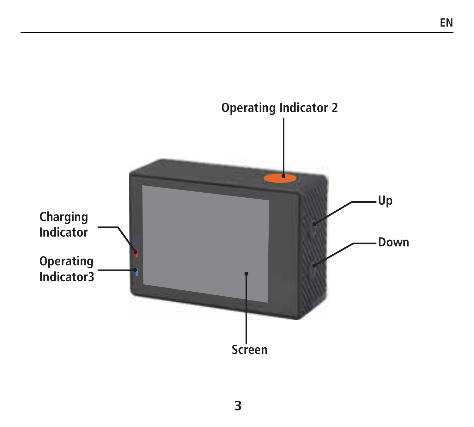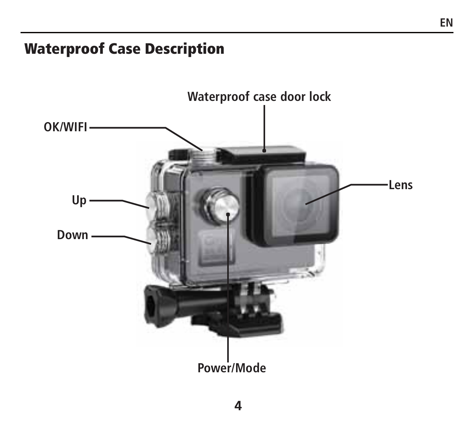# **Waterproof Case Description**

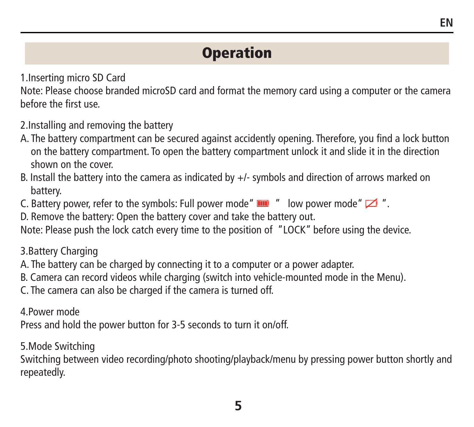## **Operation**

1.Inserting micro SD Card

Note: Please choose branded microSD card and format the memory card using a computer or the camera before the first use.

2.Installing and removing the battery

- A. The battery compartment can be secured against accidently opening. Therefore, you find a lock button on the battery compartment. To open the battery compartment unlock it and slide it in the direction shown on the cover.
- B. Install the battery into the camera as indicated by +/- symbols and direction of arrows marked on battery.
- C. Battery power, refer to the symbols: Full power mode"  $\Box$  " low power mode"  $\Box$ ".
- D. Remove the battery: Open the battery cover and take the battery out.

Note: Please push the lock catch every time to the position of "LOCK" before using the device.

3.Battery Charging

- A. The battery can be charged by connecting it to a computer or a power adapter.
- B. Camera can record videos while charging (switch into vehicle-mounted mode in the Menu).
- C. The camera can also be charged if the camera is turned off.

4.Power mode

Press and hold the power button for 3-5 seconds to turn it on/off.

5.Mode Switching

Switching between video recording/photo shooting/playback/menu by pressing power button shortly and repeatedly.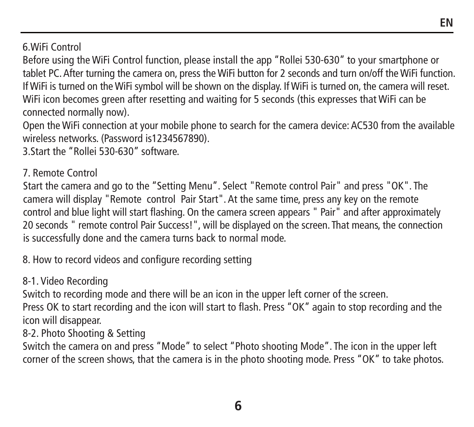6.WiFi Control

Before using the WiFi Control function, please install the app "Rollei 530-630" to your smartphone or tablet PC. After turning the camera on, press the WiFi button for 2 seconds and turn on/off the WiFi function. If WiFi is turned on the WiFi symbol will be shown on the display. If WiFi is turned on, the camera will reset. WiFi icon becomes green after resetting and waiting for 5 seconds (this expresses that WiFi can be connected normally now).

Open the WiFi connection at your mobile phone to search for the camera device: AC530 from the available wireless networks. (Password is1234567890).

3.Start the "Rollei 530-630" software.

7. Remote Control

 Start the camera and go to the "Setting Menu". Select "Remote control Pair" and press "OK". The camera will display "Remote control Pair Start". At the same time, press any key on the remote control and blue light will start flashing. On the camera screen appears " Pair" and after approximately 20 seconds " remote control Pair Success!", will be displayed on the screen. That means, the connection is successfully done and the camera turns back to normal mode.

8. How to record videos and configure recording setting

8-1. Video Recording

Switch to recording mode and there will be an icon in the upper left corner of the screen.

Press OK to start recording and the icon will start to flash. Press "OK" again to stop recording and the icon will disappear.

8-2. Photo Shooting & Setting

Switch the camera on and press "Mode" to select "Photo shooting Mode". The icon in the upper left corner of the screen shows, that the camera is in the photo shooting mode. Press "OK" to take photos.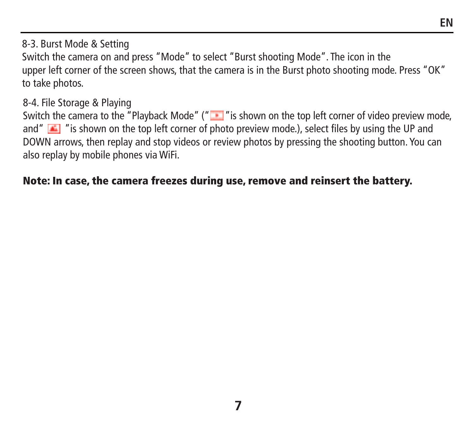8-3. Burst Mode & Setting

Switch the camera on and press "Mode" to select "Burst shooting Mode". The icon in the upper left corner of the screen shows, that the camera is in the Burst photo shooting mode. Press "OK" to take photos.

8-4. File Storage & Playing

Switch the camera to the  $\tilde{H}$  Playback Mode" (" $\tilde{H}$ " is shown on the top left corner of video preview mode, and" "is shown on the top left corner of photo preview mode.), select files by using the UP and DOWN arrows, then replay and stop videos or review photos by pressing the shooting button. You can also replay by mobile phones via WiFi.

#### **Note: In case, the camera freezes during use, remove and reinsert the battery.**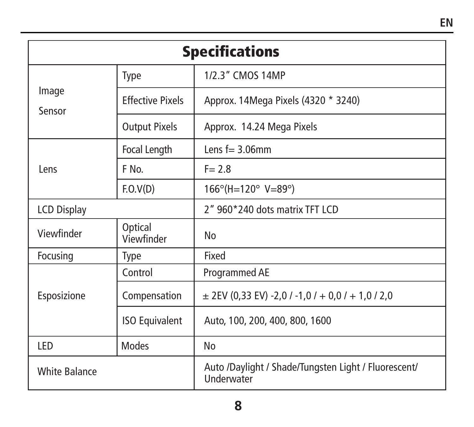| <b>Specifications</b> |                         |                                                                    |
|-----------------------|-------------------------|--------------------------------------------------------------------|
| Image<br>Sensor       | Type                    | 1/2.3" CMOS 14MP                                                   |
|                       | <b>Effective Pixels</b> | Approx. 14Mega Pixels (4320 * 3240)                                |
|                       | <b>Output Pixels</b>    | Approx. 14.24 Mega Pixels                                          |
|                       | Focal Length            | Lens $f = 3.06$ mm                                                 |
| Lens                  | F No.                   | $F = 2.8$                                                          |
|                       | F.0.V(D)                | $166^{\circ}$ (H=120° V=89°)                                       |
| <b>LCD Display</b>    |                         | 2" 960*240 dots matrix TFT LCD                                     |
| Viewfinder            | Optical<br>Viewfinder   | No                                                                 |
| Focusing              | Type                    | Fixed                                                              |
|                       | Control                 | Programmed AE                                                      |
| Esposizione           | Compensation            | $\pm$ 2EV (0.33 EV) -2,0 / -1,0 / + 0,0 / + 1,0 / 2,0              |
|                       | <b>ISO Equivalent</b>   | Auto. 100, 200, 400, 800, 1600                                     |
| LED                   | Modes                   | No                                                                 |
| <b>White Balance</b>  |                         | Auto /Daylight / Shade/Tungsten Light / Fluorescent/<br>Underwater |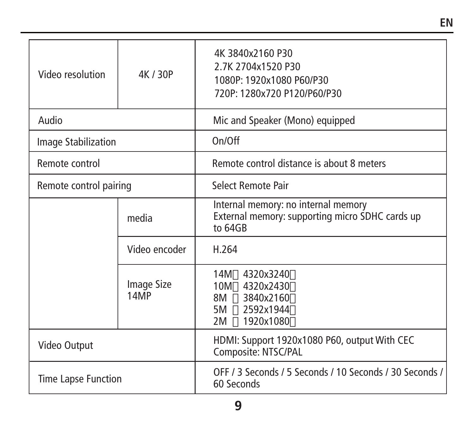| Video resolution       | 4K / 30P           | 4K 3840x2160 P30<br>2.7K 2704x1520 P30<br>1080P: 1920x1080 P60/P30<br>720P: 1280x720 P120/P60/P30 |
|------------------------|--------------------|---------------------------------------------------------------------------------------------------|
| Audio                  |                    | Mic and Speaker (Mono) equipped                                                                   |
| Image Stabilization    |                    | On/Off                                                                                            |
| Remote control         |                    | Remote control distance is about 8 meters                                                         |
| Remote control pairing |                    | Select Remote Pair                                                                                |
|                        | media              | Internal memory: no internal memory<br>External memory: supporting micro SDHC cards up<br>to 64GB |
|                        | Video encoder      | H.264                                                                                             |
|                        | Image Size<br>14MP | 14M<br>4320x3240<br>10M<br>4320x2430<br>3840x2160<br>8M<br>5M<br>2592x1944<br>2M<br>1920x1080     |
| Video Output           |                    | HDMI: Support 1920x1080 P60, output With CEC<br>Composite: NTSC/PAL                               |
| Time Lapse Function    |                    | OFF / 3 Seconds / 5 Seconds / 10 Seconds / 30 Seconds /<br>60 Seconds                             |

-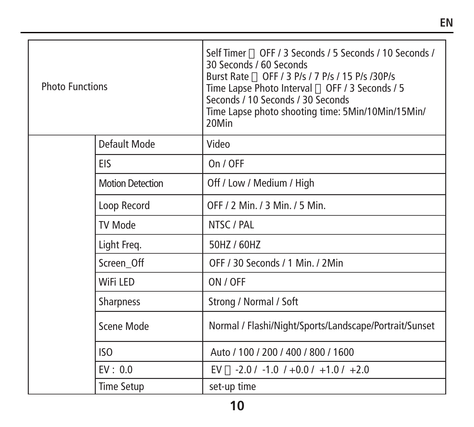| <b>Photo Functions</b> |                         | Self Timer OFF / 3 Seconds / 5 Seconds / 10 Seconds /<br>30 Seconds / 60 Seconds<br>Time Lapse Photo Interval OFF / 3 Seconds / 5<br>Seconds / 10 Seconds / 30 Seconds<br>Time Lapse photo shooting time: 5Min/10Min/15Min/<br>20Min |
|------------------------|-------------------------|--------------------------------------------------------------------------------------------------------------------------------------------------------------------------------------------------------------------------------------|
|                        | Default Mode            | Video                                                                                                                                                                                                                                |
|                        | EIS                     | On / OFF                                                                                                                                                                                                                             |
|                        | <b>Motion Detection</b> | Off / Low / Medium / High                                                                                                                                                                                                            |
|                        | Loop Record             | OFF / 2 Min. / 3 Min. / 5 Min.                                                                                                                                                                                                       |
|                        | TV Mode                 | NTSC / PAL                                                                                                                                                                                                                           |
|                        | Light Freq.             | 50HZ / 60HZ                                                                                                                                                                                                                          |
|                        | Screen Off              | OFF / 30 Seconds / 1 Min. / 2Min                                                                                                                                                                                                     |
|                        | WiFi LED                | ON / OFF                                                                                                                                                                                                                             |
|                        | Sharpness               | Strong / Normal / Soft                                                                                                                                                                                                               |
|                        | Scene Mode              | Normal / Flashi/Night/Sports/Landscape/Portrait/Sunset                                                                                                                                                                               |
| ISO                    |                         | Auto / 100 / 200 / 400 / 800 / 1600                                                                                                                                                                                                  |
| EV: 0.0                |                         | $-2.0$ / $-1.0$ / $+0.0$ / $+1.0$ / $+2.0$<br>FV                                                                                                                                                                                     |
|                        | <b>Time Setup</b>       | set-up time                                                                                                                                                                                                                          |

 $\overline{\phantom{0}}$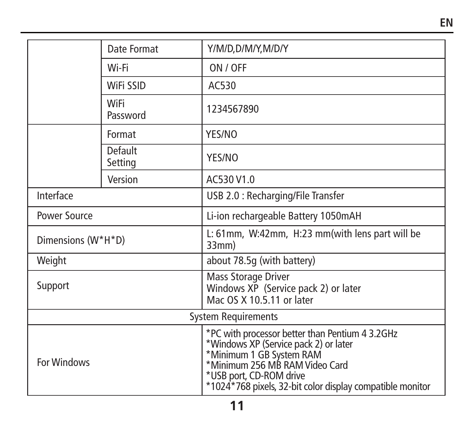| Wi-Fi<br>WiFi SSID         | ON / OFF                                                                                                                                                                                                                                                                   |  |
|----------------------------|----------------------------------------------------------------------------------------------------------------------------------------------------------------------------------------------------------------------------------------------------------------------------|--|
|                            |                                                                                                                                                                                                                                                                            |  |
|                            | AC530                                                                                                                                                                                                                                                                      |  |
| WiFi<br>Password           | 1234567890                                                                                                                                                                                                                                                                 |  |
| Format                     | YES/NO                                                                                                                                                                                                                                                                     |  |
| Default<br>Setting         | YES/NO                                                                                                                                                                                                                                                                     |  |
| Version                    | AC530 V1.0                                                                                                                                                                                                                                                                 |  |
|                            | USB 2.0 : Recharging/File Transfer                                                                                                                                                                                                                                         |  |
|                            | Li-ion rechargeable Battery 1050mAH                                                                                                                                                                                                                                        |  |
| Dimensions (W*H*D)         | L: 61mm, W:42mm, H:23 mm(with lens part will be<br>33mm)                                                                                                                                                                                                                   |  |
|                            | about 78.5q (with battery)                                                                                                                                                                                                                                                 |  |
|                            | Mass Storage Driver<br>Windows XP (Service pack 2) or later<br>Mac OS X 10.5.11 or later                                                                                                                                                                                   |  |
| <b>System Requirements</b> |                                                                                                                                                                                                                                                                            |  |
|                            | *PC with processor better than Pentium 4 3.2GHz<br>*Windows XP (Service pack 2) or later<br>*Minimum 1 GB System RAM<br>*Minimum 1 GB System RAM<br>*Minimum 256 MB RAM Video Card<br>*USB port, CD-ROM drive<br>*1024*768 pixels, 32-bit color display compatible monitor |  |
|                            |                                                                                                                                                                                                                                                                            |  |

 $\overline{\phantom{0}}$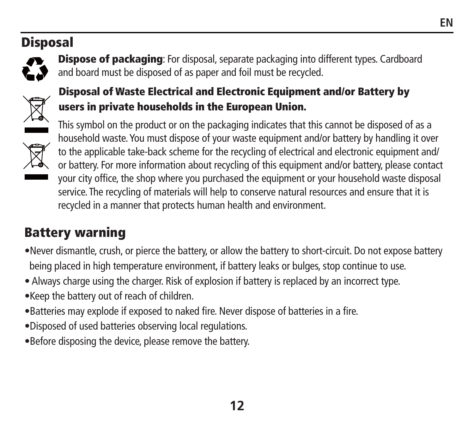### **Disposal**



**Dispose of packaging:** For disposal, separate packaging into different types. Cardboard and board must be disposed of as paper and foil must be recycled.

**EN**



### **Disposal of Waste Electrical and Electronic Equipment and/or Battery by users in private households in the European Union.**



This symbol on the product or on the packaging indicates that this cannot be disposed of as a household waste. You must dispose of your waste equipment and/or battery by handling it over to the applicable take-back scheme for the recycling of electrical and electronic equipment and/ or battery. For more information about recycling of this equipment and/or battery, please contact your city office, the shop where you purchased the equipment or your household waste disposal service. The recycling of materials will help to conserve natural resources and ensure that it is recycled in a manner that protects human health and environment.

# **Battery warning**

- •Never dismantle, crush, or pierce the battery, or allow the battery to short-circuit. Do not expose battery being placed in high temperature environment, if battery leaks or bulges, stop continue to use.
- Always charge using the charger. Risk of explosion if battery is replaced by an incorrect type.
- •Keep the battery out of reach of children.
- •Batteries may explode if exposed to naked fire. Never dispose of batteries in a fire.
- •Disposed of used batteries observing local regulations.
- •Before disposing the device, please remove the battery.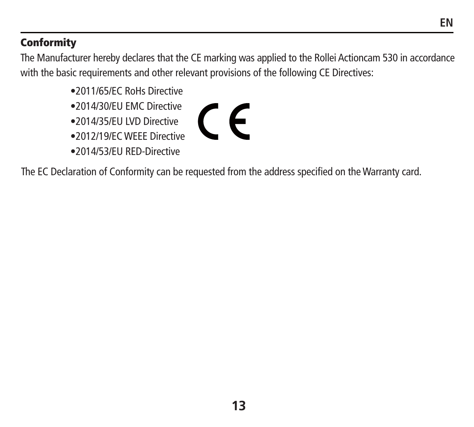### **Conformity**

The Manufacturer hereby declares that the CE marking was applied to the Rollei Actioncam 530 in accordance with the basic requirements and other relevant provisions of the following CE Directives:

- •2011/65/EC RoHs Directive
- •2014/30/EU EMC Directive
- •2014/35/EU LVD Directive •2012/19/EC WEEE Directive
- •2014/53/EU RED-Directive



The EC Declaration of Conformity can be requested from the address specified on the Warranty card.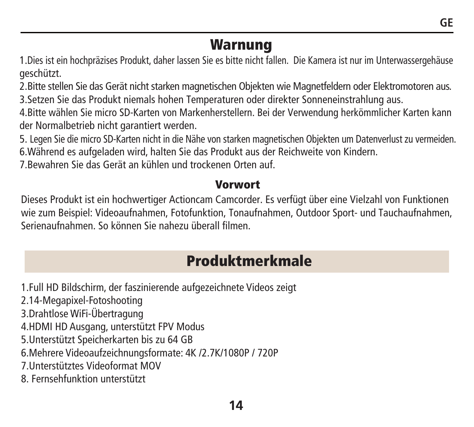### **Warnung**

1.Dies ist ein hochpräzises Produkt, daher lassen Sie es bitte nicht fallen. Die Kamera ist nur im Unterwassergehäuse geschützt.

2.Bitte stellen Sie das Gerät nicht starken magnetischen Objekten wie Magnetfeldern oder Elektromotoren aus. 3.Setzen Sie das Produkt niemals hohen Temperaturen oder direkter Sonneneinstrahlung aus.

4.Bitte wählen Sie micro SD-Karten von Markenherstellern. Bei der Verwendung herkömmlicher Karten kann der Normalbetrieb nicht garantiert werden.

5. Legen Sie die micro SD-Karten nicht in die Nähe von starken magnetischen Objekten um Datenverlust zu vermeiden. 6.Während es aufgeladen wird, halten Sie das Produkt aus der Reichweite von Kindern.

7.Bewahren Sie das Gerät an kühlen und trockenen Orten auf.

### **Vorwort**

Dieses Produkt ist ein hochwertiger Actioncam Camcorder. Es verfügt über eine Vielzahl von Funktionen wie zum Beispiel: Videoaufnahmen, Fotofunktion, Tonaufnahmen, Outdoor Sport- und Tauchaufnahmen, Serienaufnahmen. So können Sie nahezu überall filmen.

## **Produktmerkmale**

1.Full HD Bildschirm, der faszinierende aufgezeichnete Videos zeigt

- 2.14-Megapixel-Fotoshooting
- 3.Drahtlose WiFi-Übertragung
- 4.HDMI HD Ausgang, unterstützt FPV Modus
- 5.Unterstützt Speicherkarten bis zu 64 GB
- 6.Mehrere Videoaufzeichnungsformate: 4K /2.7K/1080P / 720P
- 7.Unterstütztes Videoformat MOV
- 8. Fernsehfunktion unterstützt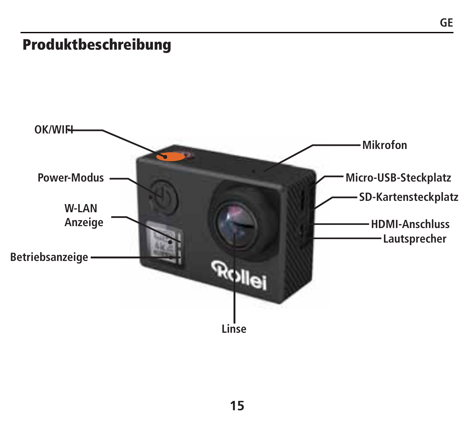## **Produktbeschreibung**

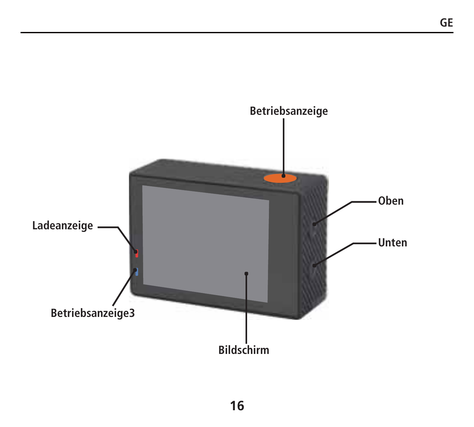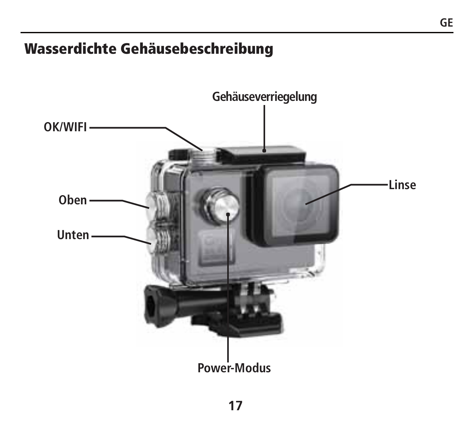# **Wasserdichte Gehäusebeschreibung**

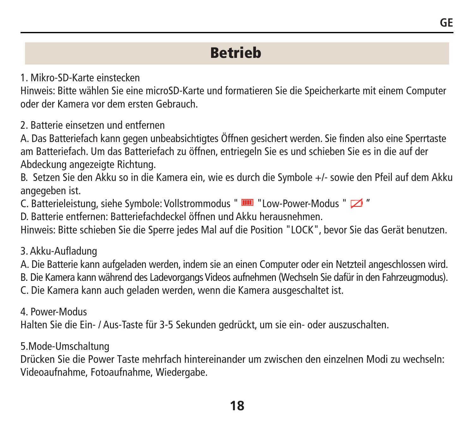# **Betrieb**

1. Mikro-SD-Karte einstecken

Hinweis: Bitte wählen Sie eine microSD-Karte und formatieren Sie die Speicherkarte mit einem Computer oder der Kamera vor dem ersten Gebrauch.

2. Batterie einsetzen und entfernen

A. Das Batteriefach kann gegen unbeabsichtigtes Öffnen gesichert werden. Sie finden also eine Sperrtaste am Batteriefach. Um das Batteriefach zu öffnen, entriegeln Sie es und schieben Sie es in die auf der Abdeckung angezeigte Richtung.

B. Setzen Sie den Akku so in die Kamera ein, wie es durch die Symbole +/- sowie den Pfeil auf dem Akku angegeben ist.

C. Batterieleistung, siehe Symbole: Vollstrommodus " "Low-Power-Modus " "

D. Batterie entfernen: Batteriefachdeckel öffnen und Akku herausnehmen.

Hinweis: Bitte schieben Sie die Sperre jedes Mal auf die Position "LOCK", bevor Sie das Gerät benutzen.

3. Akku-Aufladung

A. Die Batterie kann aufgeladen werden, indem sie an einen Computer oder ein Netzteil angeschlossen wird.

B. Die Kamera kann während des Ladevorgangs Videos aufnehmen (Wechseln Sie dafür in den Fahrzeugmodus).

C. Die Kamera kann auch geladen werden, wenn die Kamera ausgeschaltet ist.

4. Power-Modus

Halten Sie die Ein- / Aus-Taste für 3-5 Sekunden gedrückt, um sie ein- oder auszuschalten.

#### 5.Mode-Umschaltung

Drücken Sie die Power Taste mehrfach hintereinander um zwischen den einzelnen Modi zu wechseln: Videoaufnahme, Fotoaufnahme, Wiedergabe.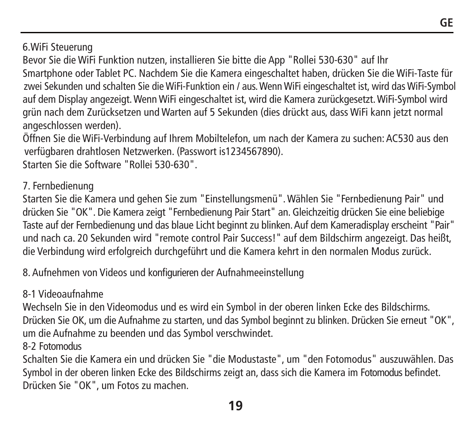6.WiFi Steuerung

Bevor Sie die WiFi Funktion nutzen, installieren Sie bitte die App "Rollei 530-630" auf Ihr Smartphone oder Tablet PC. Nachdem Sie die Kamera eingeschaltet haben, drücken Sie die WiFi-Taste für zwei Sekunden und schalten Sie die WiFi-Funktion ein / aus. Wenn WiFi eingeschaltet ist, wird das WiFi-Symbol auf dem Display angezeigt. Wenn WiFi eingeschaltet ist, wird die Kamera zurückgesetzt. WiFi-Symbol wird grün nach dem Zurücksetzen und Warten auf 5 Sekunden (dies drückt aus, dass WiFi kann jetzt normal angeschlossen werden).

Öffnen Sie die WiFi-Verbindung auf Ihrem Mobiltelefon, um nach der Kamera zu suchen: AC530 aus den verfügbaren drahtlosen Netzwerken. (Passwort is1234567890).

Starten Sie die Software "Rollei 530-630".

#### 7. Fernbedienung

Starten Sie die Kamera und gehen Sie zum "Einstellungsmenü". Wählen Sie "Fernbedienung Pair" und drücken Sie "OK". Die Kamera zeigt "Fernbedienung Pair Start" an. Gleichzeitig drücken Sie eine beliebige Taste auf der Fernbedienung und das blaue Licht beginnt zu blinken. Auf dem Kameradisplay erscheint "Pair" und nach ca. 20 Sekunden wird "remote control Pair Success!" auf dem Bildschirm angezeigt. Das heißt, die Verbindung wird erfolgreich durchgeführt und die Kamera kehrt in den normalen Modus zurück.

8. Aufnehmen von Videos und konfigurieren der Aufnahmeeinstellung

#### 8-1 Videoaufnahme

Wechseln Sie in den Videomodus und es wird ein Symbol in der oberen linken Ecke des Bildschirms. Drücken Sie OK, um die Aufnahme zu starten, und das Symbol beginnt zu blinken. Drücken Sie erneut "OK", um die Aufnahme zu beenden und das Symbol verschwindet.

### 8-2 Fotomodus

Schalten Sie die Kamera ein und drücken Sie "die Modustaste", um "den Fotomodus" auszuwählen. Das Symbol in der oberen linken Ecke des Bildschirms zeigt an, dass sich die Kamera im Fotomodus befindet. Drücken Sie "OK", um Fotos zu machen.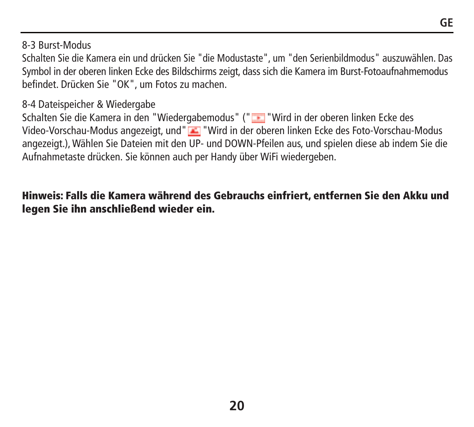8-3 Burst-Modus

Schalten Sie die Kamera ein und drücken Sie "die Modustaste", um "den Serienbildmodus" auszuwählen. Das Symbol in der oberen linken Ecke des Bildschirms zeigt, dass sich die Kamera im Burst-Fotoaufnahmemodus befindet. Drücken Sie "OK", um Fotos zu machen.

8-4 Dateispeicher & Wiedergabe

Schalten Sie die Kamera in den "Wiedergabemodus" ("
Wird in der oberen linken Ecke des Video-Vorschau-Modus angezeigt, und" "Wird in der oberen linken Ecke des Foto-Vorschau-Modus angezeigt.), Wählen Sie Dateien mit den UP- und DOWN-Pfeilen aus, und spielen diese ab indem Sie die Aufnahmetaste drücken. Sie können auch per Handy über WiFi wiedergeben.

**Hinweis: Falls die Kamera während des Gebrauchs einfriert, entfernen Sie den Akku und legen Sie ihn anschließend wieder ein.**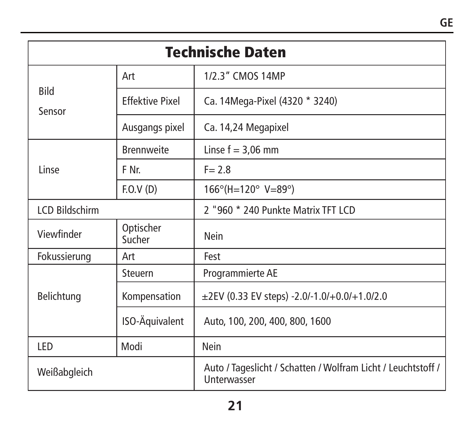| Technische Daten      |                     |                                                                             |
|-----------------------|---------------------|-----------------------------------------------------------------------------|
| <b>Rild</b><br>Sensor | Art                 | 1/2 3" CMOS 14MP                                                            |
|                       | Effektive Pixel     | Ca. 14Mega-Pixel (4320 * 3240)                                              |
|                       | Ausgangs pixel      | Ca. 14,24 Megapixel                                                         |
|                       | <b>Brennweite</b>   | Linse $f = 3.06$ mm                                                         |
| Linse                 | F Nr.               | $F = 2.8$                                                                   |
|                       | F.0.V(D)            | 166°(H=120°V=89°)                                                           |
| <b>LCD Bildschirm</b> |                     | 2 "960 * 240 Punkte Matrix TFT LCD                                          |
| Viewfinder            | Optischer<br>Sucher | Nein                                                                        |
| Fokussierung          | Art                 | Fest                                                                        |
|                       | Steuern             | Programmierte AE                                                            |
| Belichtung            | Kompensation        | ±2EV (0.33 EV steps) -2.0/-1.0/+0.0/+1.0/2.0                                |
|                       | ISO-Äquivalent      | Auto, 100, 200, 400, 800, 1600                                              |
| LED                   | Modi                | Nein                                                                        |
| Weißabgleich          |                     | Auto / Tageslicht / Schatten / Wolfram Licht / Leuchtstoff /<br>Unterwasser |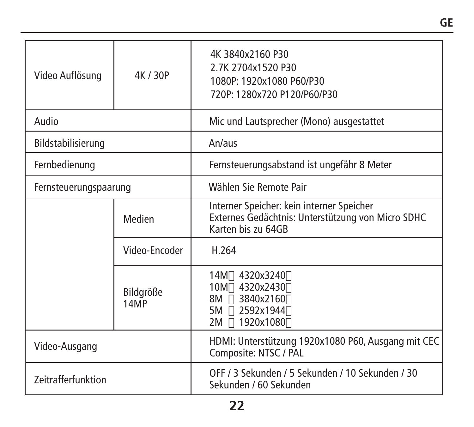| Video Auflösung       | 4K / 30P          | 4K 3840x2160 P30<br>2.7K 2704x1520 P30<br>1080P: 1920x1080 P60/P30<br>720P: 1280x720 P120/P60/P30                    |
|-----------------------|-------------------|----------------------------------------------------------------------------------------------------------------------|
| Audio                 |                   | Mic und Lautsprecher (Mono) ausgestattet                                                                             |
| Bildstabilisierung    |                   | An/aus                                                                                                               |
| Fernbedienung         |                   | Fernsteuerungsabstand ist ungefähr 8 Meter                                                                           |
| Fernsteuerungspaarung |                   | Wählen Sie Remote Pair                                                                                               |
|                       | Medien            | Interner Speicher: kein interner Speicher<br>Externes Gedächtnis: Unterstützung von Micro SDHC<br>Karten his zu 64GB |
|                       | Video-Encoder     | H.264                                                                                                                |
|                       | Bildgröße<br>14MP | 14M<br>4320x3240<br>10M<br>4320x2430<br>3840x2160<br>8M<br>5M<br>2592x1944<br>2M<br>1920x1080                        |
| Video-Ausgang         |                   | HDMI: Unterstützung 1920x1080 P60, Ausgang mit CEC<br>Composite: NTSC / PAL                                          |
| Zeitrafferfunktion    |                   | OFF / 3 Sekunden / 5 Sekunden / 10 Sekunden / 30<br>Sekunden / 60 Sekunden                                           |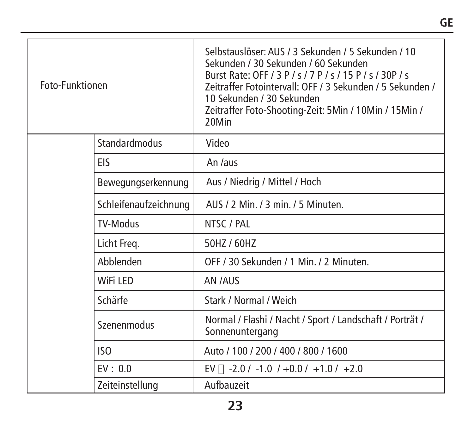| Foto-Funktionen    |                       | Selbstauslöser: AUS / 3 Sekunden / 5 Sekunden / 10<br>Sekunden / 30 Sekunden / 60 Sekunden<br>Burst Rate: OFF / 3 P / s / 7 P / s / 15 P / s / 30P / s<br>Zeitraffer Fotointervall: OFF / 3 Sekunden / 5 Sekunden /<br>10 Sekunden / 30 Sekunden<br>Zeitraffer Foto-Shooting-Zeit: 5Min / 10Min / 15Min /<br>20Min |
|--------------------|-----------------------|--------------------------------------------------------------------------------------------------------------------------------------------------------------------------------------------------------------------------------------------------------------------------------------------------------------------|
|                    | Standardmodus         | Video                                                                                                                                                                                                                                                                                                              |
|                    | EIS                   | An /aus                                                                                                                                                                                                                                                                                                            |
|                    | Bewegungserkennung    | Aus / Niedrig / Mittel / Hoch                                                                                                                                                                                                                                                                                      |
|                    | Schleifenaufzeichnung | AUS / 2 Min. / 3 min. / 5 Minuten.                                                                                                                                                                                                                                                                                 |
|                    | <b>TV-Modus</b>       | NTSC / PAL                                                                                                                                                                                                                                                                                                         |
|                    | Licht Freq.           | 50HZ / 60HZ                                                                                                                                                                                                                                                                                                        |
|                    | Ahhlenden             | OFF / 30 Sekunden / 1 Min. / 2 Minuten.                                                                                                                                                                                                                                                                            |
|                    | WiFi LED              | AN /AUS                                                                                                                                                                                                                                                                                                            |
|                    | Schärfe               | Stark / Normal / Weich                                                                                                                                                                                                                                                                                             |
| Szenenmodus<br>ISO |                       | Normal / Flashi / Nacht / Sport / Landschaft / Porträt /<br>Sonnenuntergang                                                                                                                                                                                                                                        |
|                    |                       | Auto / 100 / 200 / 400 / 800 / 1600                                                                                                                                                                                                                                                                                |
|                    | $FV \cdot 00$         | $-2.0$ / $-1.0$ / $+0.0$ / $+1.0$ / $+2.0$<br>FV -                                                                                                                                                                                                                                                                 |
| Zeiteinstellung    |                       | Aufbauzeit                                                                                                                                                                                                                                                                                                         |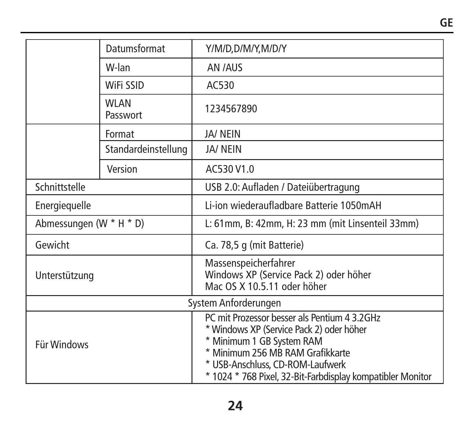|                         | Datumsformat        | Y/M/D.D/M/Y.M/D/Y                                                                                                                                                                                                                                           |
|-------------------------|---------------------|-------------------------------------------------------------------------------------------------------------------------------------------------------------------------------------------------------------------------------------------------------------|
|                         | W-lan               | AN /AUS                                                                                                                                                                                                                                                     |
|                         | WiFi SSID           | AC530                                                                                                                                                                                                                                                       |
|                         | WI AN<br>Passwort   | 1234567890                                                                                                                                                                                                                                                  |
|                         | Format              | JA/ NEIN                                                                                                                                                                                                                                                    |
|                         | Standardeinstellung | JA/ NEIN                                                                                                                                                                                                                                                    |
|                         | Version             | AC530 V1 0                                                                                                                                                                                                                                                  |
| Schnittstelle           |                     | USB 2.0: Aufladen / Dateiübertragung                                                                                                                                                                                                                        |
| Energiequelle           |                     | Li-ion wiederaufladbare Batterie 1050mAH                                                                                                                                                                                                                    |
| Abmessungen (W * H * D) |                     | L: 61mm, B: 42mm, H: 23 mm (mit Linsenteil 33mm)                                                                                                                                                                                                            |
| Gewicht                 |                     | Ca. 78,5 g (mit Batterie)                                                                                                                                                                                                                                   |
| Unterstützung           |                     | Massenspeicherfahrer<br>Windows XP (Service Pack 2) oder höher<br>Mac OS X 10 5 11 oder höher                                                                                                                                                               |
|                         |                     | System Anforderungen                                                                                                                                                                                                                                        |
| Für Windows             |                     | PC mit Prozessor besser als Pentium 4.3.2GHz<br>* Windows XP (Service Pack 2) oder höher<br>* Minimum 1 GB System RAM<br>* Minimum 256 MB RAM Grafikkarte<br>* USB-Anschluss, CD-ROM-Laufwerk<br>* 1024 * 768 Pixel, 32-Bit-Farbdisplay kompatibler Monitor |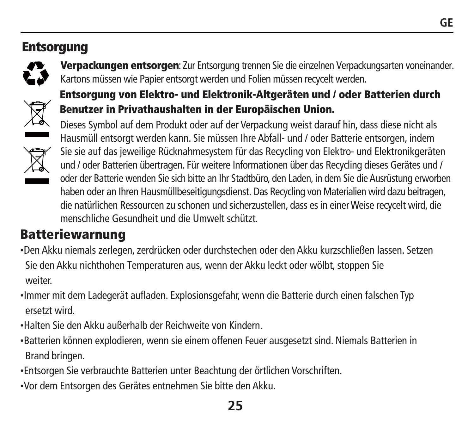### **Entsorgung**



**Verpackungen entsorgen**: Zur Entsorgung trennen Sie die einzelnen Verpackungsarten voneinander. Kartons müssen wie Papier entsorgt werden und Folien müssen recycelt werden.

### **Entsorgung von Elektro- und Elektronik-Altgeräten und / oder Batterien durch Benutzer in Privathaushalten in der Europäischen Union.**



 $\cancel{R}$ 

Dieses Symbol auf dem Produkt oder auf der Verpackung weist darauf hin, dass diese nicht als Hausmüll entsorgt werden kann. Sie müssen Ihre Abfall- und / oder Batterie entsorgen, indem Sie sie auf das jeweilige Rücknahmesystem für das Recycling von Elektro- und Elektronikgeräten und / oder Batterien übertragen. Für weitere Informationen über das Recycling dieses Gerätes und / oder der Batterie wenden Sie sich bitte an Ihr Stadtbüro, den Laden, in dem Sie die Ausrüstung erworben haben oder an Ihren Hausmüllbeseitigungsdienst. Das Recycling von Materialien wird dazu beitragen, die natürlichen Ressourcen zu schonen und sicherzustellen, dass es in einer Weise recycelt wird, die menschliche Gesundheit und die Umwelt schützt.

## **Batteriewarnung**

- **·**Den Akku niemals zerlegen, zerdrücken oder durchstechen oder den Akku kurzschließen lassen. Setzen Sie den Akku nichthohen Temperaturen aus, wenn der Akku leckt oder wölbt, stoppen Sie weiter.
- **·**Immer mit dem Ladegerät aufladen. Explosionsgefahr, wenn die Batterie durch einen falschen Typ ersetzt wird.
- **·**Halten Sie den Akku außerhalb der Reichweite von Kindern.
- **·**Batterien können explodieren, wenn sie einem offenen Feuer ausgesetzt sind. Niemals Batterien in Brand bringen.
- **·**Entsorgen Sie verbrauchte Batterien unter Beachtung der örtlichen Vorschriften.
- **·**Vor dem Entsorgen des Gerätes entnehmen Sie bitte den Akku.

### **25**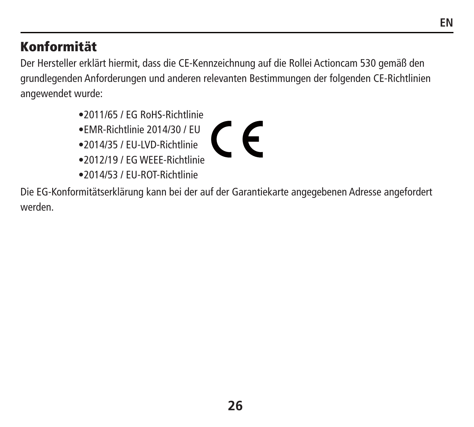### **Konformität**

Der Hersteller erklärt hiermit, dass die CE-Kennzeichnung auf die Rollei Actioncam 30 gemäß den grundlegenden Anforderungen und anderen relevanten Bestimmungen der folgenden CE-Richtlinien angewendet wurde:

- •2011/65 / EG RoHS-Richtlinie
- •EMR-Richtlinie 2014/30 / EU
- •2014/35 / EU-LVD-Richtlinie
- $C \in$ •2012/19 / EG WEEE-Richtlinie
- •2014/53 / EU-ROT-Richtlinie

Die EG-Konformitätserklärung kann bei der auf der Garantiekarte angegebenen Adresse angefordert werden.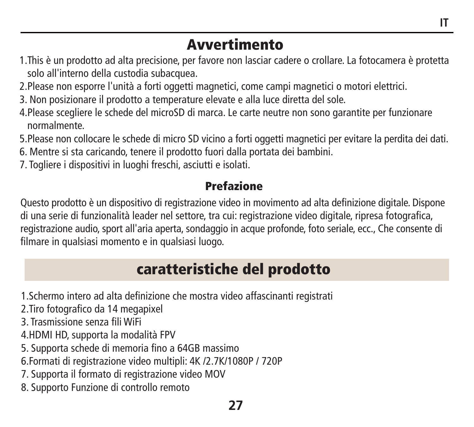## **Avvertimento**

- 1.This è un prodotto ad alta precisione, per favore non lasciar cadere o crollare. La fotocamera è protetta solo all'interno della custodia subacquea.
- 2.Please non esporre l'unità a forti oggetti magnetici, come campi magnetici o motori elettrici.
- 3. Non posizionare il prodotto a temperature elevate e alla luce diretta del sole.
- 4.Please scegliere le schede del microSD di marca. Le carte neutre non sono garantite per funzionare normalmente.
- 5.Please non collocare le schede di micro SD vicino a forti oggetti magnetici per evitare la perdita dei dati.
- 6. Mentre si sta caricando, tenere il prodotto fuori dalla portata dei bambini.
- 7. Togliere i dispositivi in luoghi freschi, asciutti e isolati.

### **Prefazione**

Questo prodotto è un dispositivo di registrazione video in movimento ad alta definizione digitale. Dispone di una serie di funzionalità leader nel settore, tra cui: registrazione video digitale, ripresa fotografica, registrazione audio, sport all'aria aperta, sondaggio in acque profonde, foto seriale, ecc., Che consente di filmare in qualsiasi momento e in qualsiasi luogo.

# **caratteristiche del prodotto**

- 1.Schermo intero ad alta definizione che mostra video affascinanti registrati
- 2.Tiro fotografico da 14 megapixel
- 3. Trasmissione senza fili WiFi
- 4.HDMI HD, supporta la modalità FPV
- 5. Supporta schede di memoria fino a 64GB massimo
- 6.Formati di registrazione video multipli: 4K /2.7K/1080P / 720P
- 7. Supporta il formato di registrazione video MOV
- 8. Supporto Funzione di controllo remoto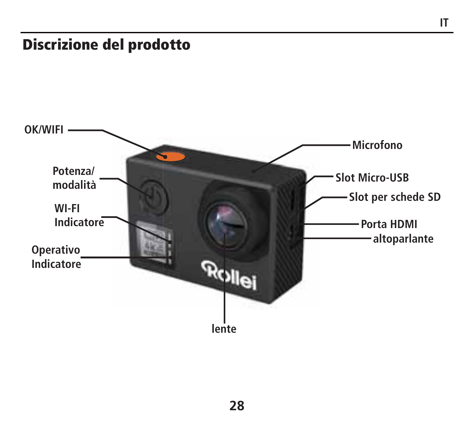# **Discrizione del prodotto**

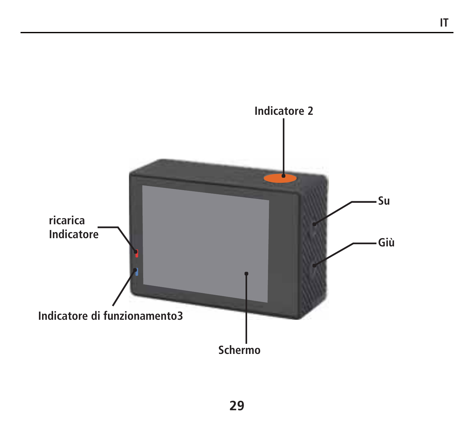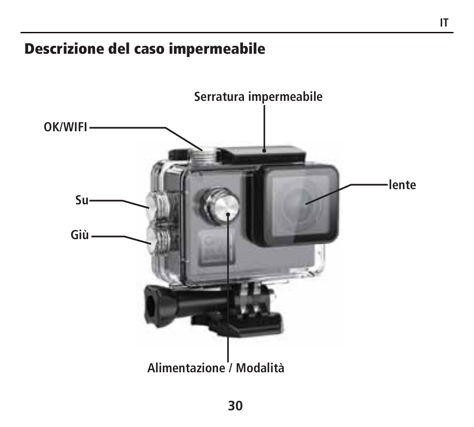# **Descrizione del caso impermeabile**

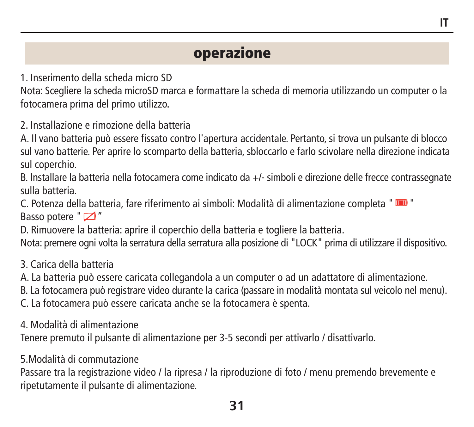### **operazione**

1. Inserimento della scheda micro SD

Nota: Scegliere la scheda microSD marca e formattare la scheda di memoria utilizzando un computer o la fotocamera prima del primo utilizzo.

2. Installazione e rimozione della batteria

A. Il vano batteria può essere fissato contro l'apertura accidentale. Pertanto, si trova un pulsante di blocco sul vano batterie. Per aprire lo scomparto della batteria, sbloccarlo e farlo scivolare nella direzione indicata sul coperchio.

B. Installare la batteria nella fotocamera come indicato da +/- simboli e direzione delle frecce contrassegnate sulla batteria.

C. Potenza della batteria, fare riferimento ai simboli: Modalità di alimentazione completa " " Basso potere  $"Z"$ 

D. Rimuovere la batteria: aprire il coperchio della batteria e togliere la batteria.

Nota: premere ogni volta la serratura della serratura alla posizione di "LOCK" prima di utilizzare il dispositivo.

3. Carica della batteria

A. La batteria può essere caricata collegandola a un computer o ad un adattatore di alimentazione.

B. La fotocamera può registrare video durante la carica (passare in modalità montata sul veicolo nel menu).

C. La fotocamera può essere caricata anche se la fotocamera è spenta.

4. Modalità di alimentazione

Tenere premuto il pulsante di alimentazione per 3-5 secondi per attivarlo / disattivarlo.

5.Modalità di commutazione

Passare tra la registrazione video / la ripresa / la riproduzione di foto / menu premendo brevemente e ripetutamente il pulsante di alimentazione.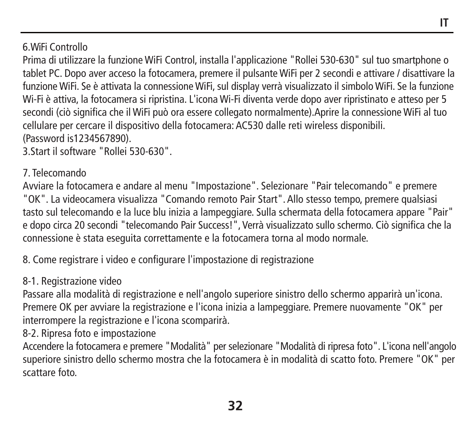6.WiFi Controllo

Prima di utilizzare la funzione WiFi Control, installa l'applicazione "Rollei 530-630" sul tuo smartphone o tablet PC. Dopo aver acceso la fotocamera, premere il pulsante WiFi per 2 secondi e attivare / disattivare la funzione WiFi. Se è attivata la connessione WiFi, sul display verrà visualizzato il simbolo WiFi. Se la funzione Wi-Fi è attiva, la fotocamera si ripristina. L'icona Wi-Fi diventa verde dopo aver ripristinato e atteso per 5 secondi (ciò significa che il WiFi può ora essere collegato normalmente).Aprire la connessione WiFi al tuo cellulare per cercare il dispositivo della fotocamera: AC530 dalle reti wireless disponibili. (Password is1234567890).

3.Start il software "Rollei 530-630".

#### 7. Telecomando

Avviare la fotocamera e andare al menu "Impostazione". Selezionare "Pair telecomando" e premere "OK". La videocamera visualizza "Comando remoto Pair Start". Allo stesso tempo, premere qualsiasi tasto sul telecomando e la luce blu inizia a lampeggiare. Sulla schermata della fotocamera appare "Pair" e dopo circa 20 secondi "telecomando Pair Success!", Verrà visualizzato sullo schermo. Ciò significa che la connessione è stata eseguita correttamente e la fotocamera torna al modo normale.

8. Come registrare i video e configurare l'impostazione di registrazione

#### 8-1. Registrazione video

Passare alla modalità di registrazione e nell'angolo superiore sinistro dello schermo apparirà un'icona. Premere OK per avviare la registrazione e l'icona inizia a lampeggiare. Premere nuovamente "OK" per interrompere la registrazione e l'icona scomparirà.

8-2. Ripresa foto e impostazione

Accendere la fotocamera e premere "Modalità" per selezionare "Modalità di ripresa foto". L'icona nell'angolo superiore sinistro dello schermo mostra che la fotocamera è in modalità di scatto foto. Premere "OK" per scattare foto.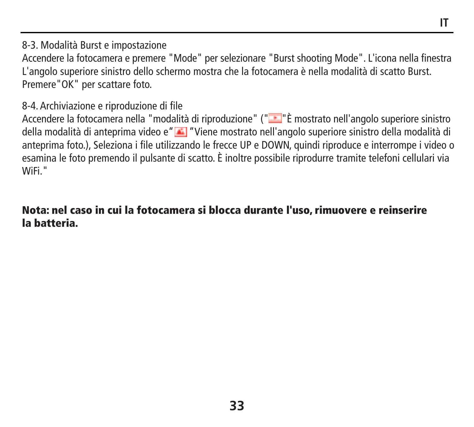8-3. Modalità Burst e impostazione

Accendere la fotocamera e premere "Mode" per selezionare "Burst shooting Mode". L'icona nella finestra L'angolo superiore sinistro dello schermo mostra che la fotocamera è nella modalità di scatto Burst. Premere"OK" per scattare foto.

8-4. Archiviazione e riproduzione di file

Accendere la fotocamera nella "modalità di riproduzione" ("ximità in mostrato nell'angolo superiore sinistro della modalità di anteprima video e" "Viene mostrato nell'angolo superiore sinistro della modalità di anteprima foto.), Seleziona i file utilizzando le frecce UP e DOWN, quindi riproduce e interrompe i video o esamina le foto premendo il pulsante di scatto. È inoltre possibile riprodurre tramite telefoni cellulari via WiFi<sup>"</sup>

#### **Nota: nel caso in cui la fotocamera si blocca durante l'uso, rimuovere e reinserire la batteria.**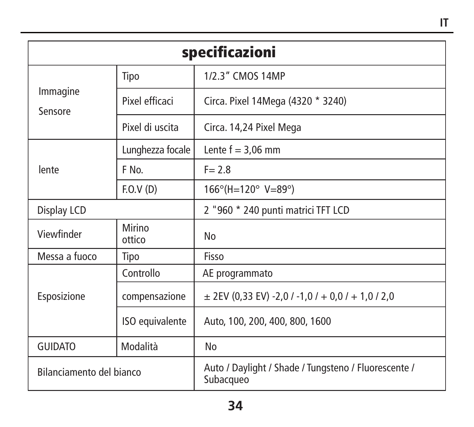| specificazioni           |                  |                                                                   |
|--------------------------|------------------|-------------------------------------------------------------------|
| Immagine<br>Sensore      | Tipo             | 1/2.3" CMOS 14MP                                                  |
|                          | Pixel efficaci   | Circa. Pixel 14Mega (4320 * 3240)                                 |
|                          | Pixel di uscita  | Circa. 14,24 Pixel Mega                                           |
|                          | Lunghezza focale | Lente $f = 3.06$ mm                                               |
| lente                    | F No.            | $F = 2.8$                                                         |
|                          | F.0.V(D)         | $166^{\circ}$ (H=120° V=89°)                                      |
| Display LCD              |                  | 2 "960 * 240 punti matrici TFT LCD                                |
| Viewfinder               | Mirino<br>ottico | No                                                                |
| Messa a funco            | Tipo             | Fisso                                                             |
|                          | Controllo        | AE programmato                                                    |
| Esposizione              | compensazione    | $\pm$ 2EV (0,33 EV) -2,0 / -1,0 / + 0,0 / + 1,0 / 2,0             |
|                          | ISO equivalente  | Auto, 100, 200, 400, 800, 1600                                    |
| <b>GUIDATO</b>           | Modalità         | No                                                                |
| Bilanciamento del bianco |                  | Auto / Daylight / Shade / Tungsteno / Fluorescente /<br>Subacqueo |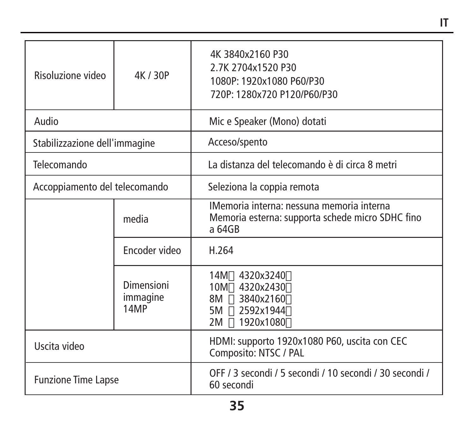| Risoluzione video             | 4K / 30P                       | 4K 3840x2160 P30<br>2.7K 2704x1520 P30<br>1080P: 1920x1080 P60/P30<br>720P: 1280x720 P120/P60/P30       |
|-------------------------------|--------------------------------|---------------------------------------------------------------------------------------------------------|
| Audio                         |                                | Mic e Speaker (Mono) dotati                                                                             |
| Stabilizzazione dell'immagine |                                | Acceso/spento                                                                                           |
| Telecomando                   |                                | La distanza del telecomando è di circa 8 metri                                                          |
| Accoppiamento del telecomando |                                | Seleziona la coppia remota                                                                              |
|                               | media                          | IMemoria interna: nessuna memoria interna<br>Memoria esterna: supporta schede micro SDHC fino<br>a 64GB |
|                               | Encoder video                  | H.264                                                                                                   |
|                               | Dimensioni<br>immagine<br>14MP | 14M<br>4320x3240<br>10M 4320x2430<br>3840x2160<br>8M<br>2592x1944<br>5M -<br>1920x1080<br>2M            |
| Uscita video                  |                                | HDMI: supporto 1920x1080 P60, uscita con CEC<br>Composito: NTSC / PAL                                   |
| <b>Funzione Time Lapse</b>    |                                | OFF / 3 secondi / 5 secondi / 10 secondi / 30 secondi /<br>60 secondi                                   |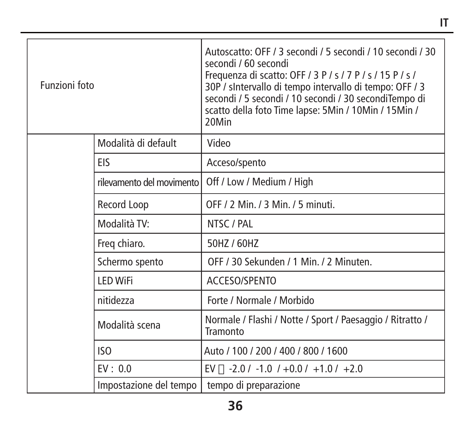| Funzioni foto         |                           | Autoscatto: OFF / 3 secondi / 5 secondi / 10 secondi / 30<br>secondi / 60 secondi<br>Frequenza di scatto: OFF / 3 P / s / 7 P / s / 15 P / s /<br>30P / sintervallo di tempo intervallo di tempo: OFF / 3<br>secondi / 5 secondi / 10 secondi / 30 secondiTempo di<br>scatto della foto Time lapse: 5Min / 10Min / 15Min /<br>20Min |
|-----------------------|---------------------------|-------------------------------------------------------------------------------------------------------------------------------------------------------------------------------------------------------------------------------------------------------------------------------------------------------------------------------------|
|                       | Modalità di default       | Video                                                                                                                                                                                                                                                                                                                               |
|                       | <b>FIS</b>                | Acceso/spento                                                                                                                                                                                                                                                                                                                       |
|                       | rilevamento del movimento | Off / Low / Medium / High                                                                                                                                                                                                                                                                                                           |
|                       | Record Loop               | OFF / 2 Min. / 3 Min. / 5 minuti.                                                                                                                                                                                                                                                                                                   |
|                       | Modalità TV <sup>.</sup>  | NTSC / PAI                                                                                                                                                                                                                                                                                                                          |
|                       | Freg chiaro.              | 50HZ / 60HZ                                                                                                                                                                                                                                                                                                                         |
|                       | Schermo spento            | OFF / 30 Sekunden / 1 Min. / 2 Minuten.                                                                                                                                                                                                                                                                                             |
|                       | <b>IFD WiFi</b>           | ACCESO/SPENTO                                                                                                                                                                                                                                                                                                                       |
|                       | nitidezza                 | Forte / Normale / Morbido                                                                                                                                                                                                                                                                                                           |
|                       | Modalità scena            | Normale / Flashi / Notte / Sport / Paesaggio / Ritratto /<br>Tramonto                                                                                                                                                                                                                                                               |
| <b>ISO</b><br>EV: 0.0 |                           | Auto / 100 / 200 / 400 / 800 / 1600                                                                                                                                                                                                                                                                                                 |
|                       |                           | $-2.0$ / $-1.0$ / $+0.0$ / $+1.0$ / $+2.0$<br>FV                                                                                                                                                                                                                                                                                    |
|                       | Impostazione del tempo    | tempo di preparazione                                                                                                                                                                                                                                                                                                               |

 $\overline{\phantom{a}}$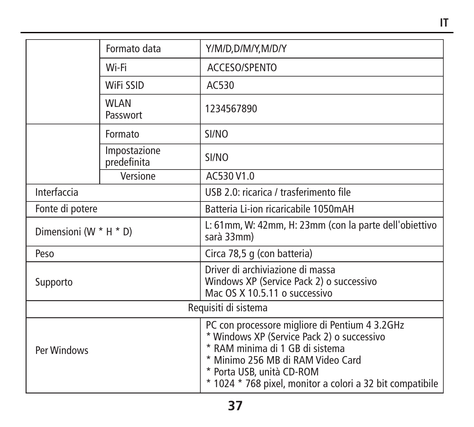|                        | Formato data                | Y/M/D,D/M/Y,M/D/Y                                                                                                                                                                                                                                              |
|------------------------|-----------------------------|----------------------------------------------------------------------------------------------------------------------------------------------------------------------------------------------------------------------------------------------------------------|
|                        | Wi-Fi                       | ACCESO/SPENTO                                                                                                                                                                                                                                                  |
|                        | WiFi SSID                   | AC530                                                                                                                                                                                                                                                          |
|                        | WI AN<br>Passwort           | 1234567890                                                                                                                                                                                                                                                     |
|                        | Formato                     | SI/NO                                                                                                                                                                                                                                                          |
|                        | Impostazione<br>predefinita | SI/NO                                                                                                                                                                                                                                                          |
|                        | Versione                    | AC530 V1.0                                                                                                                                                                                                                                                     |
| Interfaccia            |                             | USB 2.0: ricarica / trasferimento file                                                                                                                                                                                                                         |
| Fonte di potere        |                             | Batteria Li-ion ricaricabile 1050mAH                                                                                                                                                                                                                           |
| Dimensioni (W * H * D) |                             | L: 61mm, W: 42mm, H: 23mm (con la parte dell'obiettivo<br>sarà 33mm)                                                                                                                                                                                           |
| Peso                   |                             | Circa 78,5 g (con batteria)                                                                                                                                                                                                                                    |
| Supporto               |                             | Driver di archiviazione di massa<br>Windows XP (Service Pack 2) o successivo<br>Mac OS X 10.5.11 o successivo                                                                                                                                                  |
| Requisiti di sistema   |                             |                                                                                                                                                                                                                                                                |
| Per Windows            |                             | PC con processore migliore di Pentium 4 3.2GHz<br>* Windows XP (Service Pack 2) o successivo<br>* RAM minima di 1 GB di sistema<br>* Minimo 256 MB di RAM Video Card<br>* Porta USB, unità CD-ROM<br>* 1024 * 768 pixel, monitor a colori a 32 bit compatibile |

J.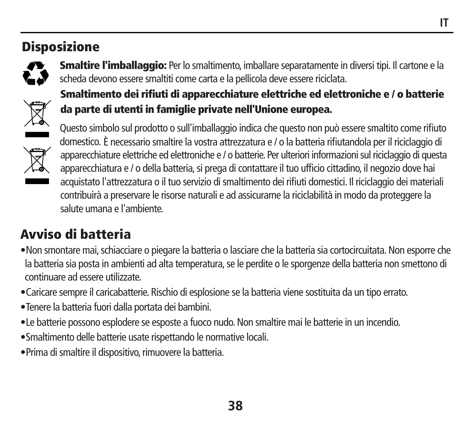#### **Disposizione**



**Smaltire l'imballaggio:** Per lo smaltimento, imballare separatamente in diversi tipi. Il cartone e la scheda devono essere smaltiti come carta e la pellicola deve essere riciclata.

**IT**

#### **Smaltimento dei rifiuti di apparecchiature elettriche ed elettroniche e / o batterie da parte di utenti in famiglie private nell'Unione europea.**



domestico. È necessario smaltire la vostra attrezzatura e / o la batteria rifiutandola per il riciclaggio di Questo simbolo sul prodotto o sull'imballaggio indica che questo non può essere smaltito come rifiuto apparecchiature elettriche ed elettroniche e / o batterie. Per ulteriori informazioni sul riciclaggio di questa apparecchiatura e / o della batteria, si prega di contattare il tuo ufficio cittadino, il negozio dove hai acquistato l'attrezzatura o il tuo servizio di smaltimento dei rifiuti domestici. Il riciclaggio dei materiali contribuirà a preservare le risorse naturali e ad assicurarne la riciclabilità in modo da proteggere la salute umana e l'ambiente.

# **Avviso di batteria**

- •Non smontare mai, schiacciare o piegare la batteria o lasciare che la batteria sia cortocircuitata. Non esporre che la batteria sia posta in ambienti ad alta temperatura, se le perdite o le sporgenze della batteria non smettono di continuare ad essere utilizzate.
- •Caricare sempre il caricabatterie. Rischio di esplosione se la batteria viene sostituita da un tipo errato.
- •Tenere la batteria fuori dalla portata dei bambini.
- •Le batterie possono esplodere se esposte a fuoco nudo. Non smaltire mai le batterie in un incendio.
- •Smaltimento delle batterie usate rispettando le normative locali.
- •Prima di smaltire il dispositivo, rimuovere la batteria.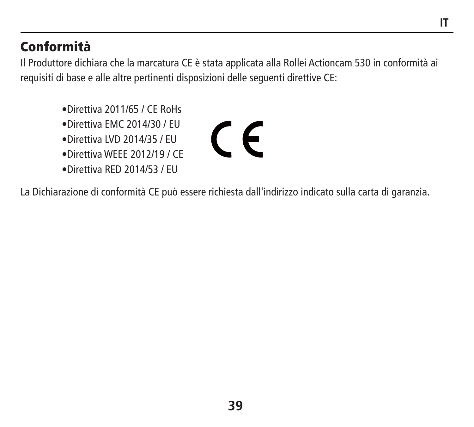#### **Conformità**

Il Produttore dichiara che la marcatura CE è stata applicata alla Rollei Actioncam 30 in conformità ai requisiti di base e alle altre pertinenti disposizioni delle seguenti direttive CE:

- •Direttiva 2011/65 / CE RoHs
- •Direttiva EMC 2014/30 / EU
- •Direttiva LVD 2014/35 / EU
- •Direttiva WEEE 2012/19 / CE
- •Direttiva RED 2014/53 / EU

# $\epsilon$

La Dichiarazione di conformità CE può essere richiesta dall'indirizzo indicato sulla carta di garanzia.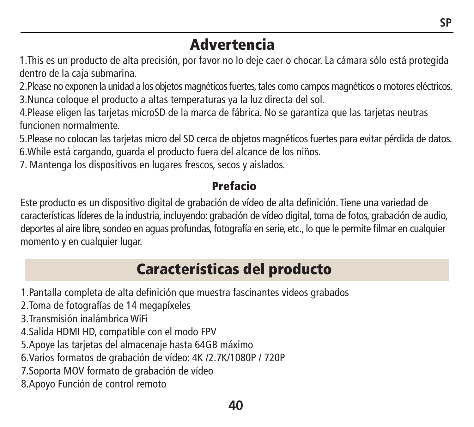### **Advertencia**

1.This es un producto de alta precisión, por favor no lo deje caer o chocar. La cámara sólo está protegida dentro de la caja submarina.

2.Please no exponen la unidad a los objetos magnéticos fuertes, tales como campos magnéticos o motores eléctricos. 3.Nunca coloque el producto a altas temperaturas ya la luz directa del sol.

4.Please eligen las tarjetas microSD de la marca de fábrica. No se garantiza que las tarjetas neutras funcionen normalmente.

5.Please no colocan las tarjetas micro del SD cerca de objetos magnéticos fuertes para evitar pérdida de datos. 6.While está cargando, guarda el producto fuera del alcance de los niños.

7. Mantenga los dispositivos en lugares frescos, secos y aislados.

#### **Prefacio**

Este producto es un dispositivo digital de grabación de vídeo de alta definición. Tiene una variedad de características líderes de la industria, incluyendo: grabación de vídeo digital, toma de fotos, grabación de audio, deportes al aire libre, sondeo en aguas profundas, fotografía en serie, etc., lo que le permite filmar en cualquier momento y en cualquier lugar.

# **Características del producto**

1.Pantalla completa de alta definición que muestra fascinantes videos grabados

2.Toma de fotografías de 14 megapíxeles

3.Transmisión inalámbrica WiFi

4.Salida HDMI HD, compatible con el modo FPV

5.Apoye las tarjetas del almacenaje hasta 64GB máximo

6.Varios formatos de grabación de vídeo: 4K /2.7K/1080P / 720P

7.Soporta MOV formato de grabación de vídeo

8.Apoyo Función de control remoto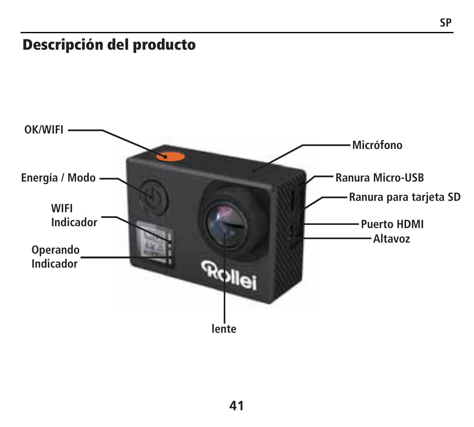# **Descripción del producto**

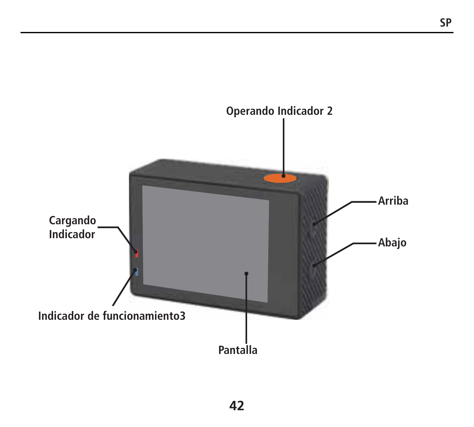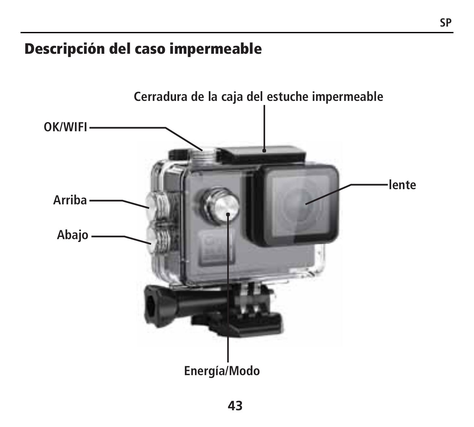# **Descripción del caso impermeable**

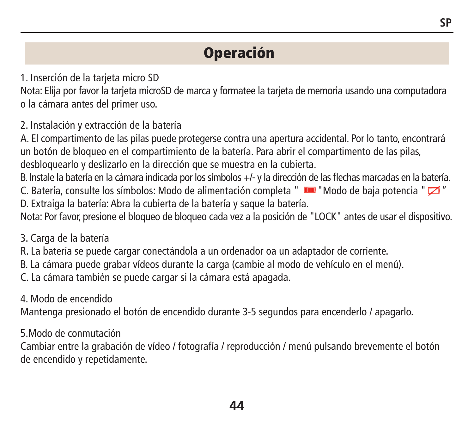# **Operación**

1. Inserción de la tarjeta micro SD

Nota: Elija por favor la tarjeta microSD de marca y formatee la tarjeta de memoria usando una computadora o la cámara antes del primer uso.

2. Instalación y extracción de la batería

A. El compartimento de las pilas puede protegerse contra una apertura accidental. Por lo tanto, encontrará un botón de bloqueo en el compartimiento de la batería. Para abrir el compartimento de las pilas, desbloquearlo y deslizarlo en la dirección que se muestra en la cubierta.

B. Instale la batería en la cámara indicada por los símbolos +/- y la dirección de las flechas marcadas en la batería.

C. Batería, consulte los símbolos: Modo de alimentación completa "  $\Box$ " Modo de baja potencia " $\Box$ " D. Extraiga la batería: Abra la cubierta de la batería y saque la batería.

Nota: Por favor, presione el bloqueo de bloqueo cada vez a la posición de "LOCK" antes de usar el dispositivo.

- 3. Carga de la batería
- R. La batería se puede cargar conectándola a un ordenador oa un adaptador de corriente.
- B. La cámara puede grabar vídeos durante la carga (cambie al modo de vehículo en el menú).
- C. La cámara también se puede cargar si la cámara está apagada.
- 4. Modo de encendido

Mantenga presionado el botón de encendido durante 3-5 segundos para encenderlo / apagarlo.

#### 5.Modo de conmutación

Cambiar entre la grabación de vídeo / fotografía / reproducción / menú pulsando brevemente el botón de encendido y repetidamente.

**SP**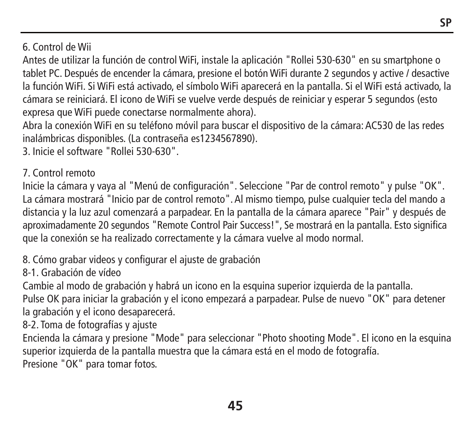6. Control de Wii

Antes de utilizar la función de control WiFi, instale la aplicación "Rollei 530-630" en su smartphone o tablet PC. Después de encender la cámara, presione el botón WiFi durante 2 segundos y active / desactive la función WiFi. Si WiFi está activado, el símbolo WiFi aparecerá en la pantalla. Si el WiFi está activado, la cámara se reiniciará. El icono de WiFi se vuelve verde después de reiniciar y esperar 5 segundos (esto expresa que WiFi puede conectarse normalmente ahora).

**SP**

Abra la conexión WiFi en su teléfono móvil para buscar el dispositivo de la cámara: AC530 de las redes inalámbricas disponibles. (La contraseña es1234567890).

3. Inicie el software "Rollei 530-630".

7. Control remoto

Inicie la cámara y vaya al "Menú de configuración". Seleccione "Par de control remoto" y pulse "OK". La cámara mostrará "Inicio par de control remoto". Al mismo tiempo, pulse cualquier tecla del mando a distancia y la luz azul comenzará a parpadear. En la pantalla de la cámara aparece "Pair" y después de aproximadamente 20 segundos "Remote Control Pair Success!", Se mostrará en la pantalla. Esto significa que la conexión se ha realizado correctamente y la cámara vuelve al modo normal.

8. Cómo grabar videos y configurar el ajuste de grabación

8-1. Grabación de vídeo

Cambie al modo de grabación y habrá un icono en la esquina superior izquierda de la pantalla.

Pulse OK para iniciar la grabación y el icono empezará a parpadear. Pulse de nuevo "OK" para detener la grabación y el icono desaparecerá.

8-2. Toma de fotografías y ajuste

Encienda la cámara y presione "Mode" para seleccionar "Photo shooting Mode". El icono en la esquina superior izquierda de la pantalla muestra que la cámara está en el modo de fotografía.

Presione "OK" para tomar fotos.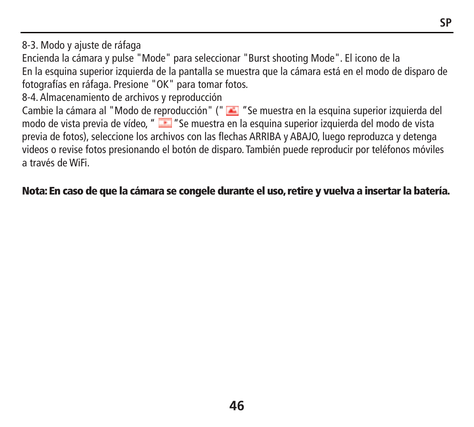8-3. Modo y ajuste de ráfaga Encienda la cámara y pulse "Mode" para seleccionar "Burst shooting Mode". El icono de la

En la esquina superior izquierda de la pantalla se muestra que la cámara está en el modo de disparo de fotografías en ráfaga. Presione "OK" para tomar fotos.

8-4. Almacenamiento de archivos y reproducción

Cambie la cámara al "Modo de reproducción" (" "Se muestra en la esquina superior izquierda del modo de vista previa de vídeo, " **[\_\_\_** "Se muestra en la esquina superior izquierda del modo de vista previa de fotos), seleccione los archivos con las flechas ARRIBA y ABAJO, luego reproduzca y detenga videos o revise fotos presionando el botón de disparo. También puede reproducir por teléfonos móviles a través de WiFi.

#### **Nota: En caso de que la cámara se congele durante el uso, retire y vuelva a insertar la batería.**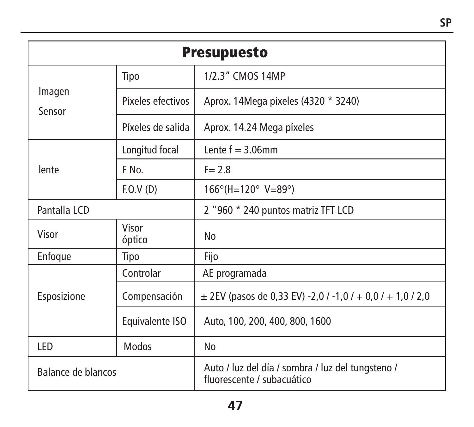| <b>Presupuesto</b> |                   |                                                                                 |
|--------------------|-------------------|---------------------------------------------------------------------------------|
| Imagen<br>Sensor   | Tipo              | 1/2.3" CMOS 14MP                                                                |
|                    | Píxeles efectivos | Aprox. 14Mega píxeles (4320 * 3240)                                             |
|                    | Píxeles de salida | Aprox. 14.24 Mega píxeles                                                       |
|                    | Longitud focal    | Lente $f = 3.06$ mm                                                             |
| lente              | F No.             | $F = 2.8$                                                                       |
|                    | F.0.V(D)          | $166^{\circ}$ (H=120° V=89°)                                                    |
| Pantalla LCD       |                   | 2 "960 * 240 puntos matriz TFT LCD                                              |
| Visor              | Visor<br>óptico   | No                                                                              |
| Enfoque            | Tipo              | Fijo                                                                            |
|                    | Controlar         | AE programada                                                                   |
| Esposizione        | Compensación      | $\pm$ 2EV (pasos de 0,33 EV) -2,0 / -1,0 / + 0,0 / + 1,0 / 2,0                  |
|                    | Equivalente ISO   | Auto, 100, 200, 400, 800, 1600                                                  |
| LED                | Modos             | No                                                                              |
| Balance de blancos |                   | Auto / luz del día / sombra / luz del tungsteno /<br>fluorescente / subacuático |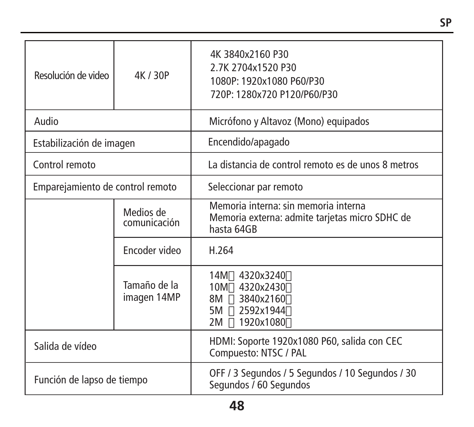| Resolución de video              | 4K / 30P                    | 4K 3840x2160 P30<br>2.7K 2704x1520 P30<br>1080P: 1920x1080 P60/P30<br>720P: 1280x720 P120/P60/P30    |
|----------------------------------|-----------------------------|------------------------------------------------------------------------------------------------------|
| Audio                            |                             | Micrófono y Altavoz (Mono) equipados                                                                 |
| Estabilización de imagen         |                             | Encendido/apagado                                                                                    |
| Control remoto                   |                             | La distancia de control remoto es de unos 8 metros                                                   |
| Emparejamiento de control remoto |                             | Seleccionar par remoto                                                                               |
|                                  | Medios de<br>comunicación   | Memoria interna: sin memoria interna<br>Memoria externa: admite tarjetas micro SDHC de<br>hasta 64GB |
|                                  | Encoder video               | H.264                                                                                                |
|                                  | Tamaño de la<br>imagen 14MP | 4320x3240<br>14M<br>10M 4320x2430<br>8M<br>3840x2160<br>2592x1944<br>5M<br>1920x1080<br>2M           |
| Salida de vídeo                  |                             | HDMI: Soporte 1920x1080 P60, salida con CEC<br>Compuesto: NTSC / PAL                                 |
| Función de lapso de tiempo       |                             | OFF / 3 Segundos / 5 Segundos / 10 Segundos / 30<br>Segundos / 60 Segundos                           |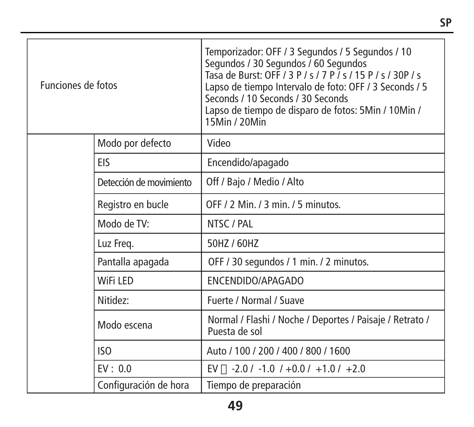| <b>Funciones de fotos</b> |                         | Temporizador: OFF / 3 Segundos / 5 Segundos / 10<br>Segundos / 30 Segundos / 60 Segundos<br>Tasa de Burst: OFF / 3 P / s / 7 P / s / 15 P / s / 30P / s<br>Lapso de tiempo Intervalo de foto: OFF / 3 Seconds / 5<br>Seconds / 10 Seconds / 30 Seconds<br>Lapso de tiempo de disparo de fotos: 5Min / 10Min /<br>15Min / 20Min |
|---------------------------|-------------------------|--------------------------------------------------------------------------------------------------------------------------------------------------------------------------------------------------------------------------------------------------------------------------------------------------------------------------------|
|                           | Modo por defecto        | Video                                                                                                                                                                                                                                                                                                                          |
|                           | <b>FIS</b>              | Encendido/apagado                                                                                                                                                                                                                                                                                                              |
|                           | Detección de movimiento | Off / Bajo / Medio / Alto                                                                                                                                                                                                                                                                                                      |
|                           | Registro en bucle       | OFF / 2 Min. / 3 min. / 5 minutos.                                                                                                                                                                                                                                                                                             |
|                           | Modo de TV <sup>.</sup> | NTSC / PAI                                                                                                                                                                                                                                                                                                                     |
|                           | Luz Freq.               | 50HZ / 60HZ                                                                                                                                                                                                                                                                                                                    |
|                           | Pantalla apagada        | OFF / 30 segundos / 1 min. / 2 minutos.                                                                                                                                                                                                                                                                                        |
|                           | WiFi I FD               | ENCENDIDO/APAGADO                                                                                                                                                                                                                                                                                                              |
|                           | Nitidez <sup>-</sup>    | Fuerte / Normal / Suave                                                                                                                                                                                                                                                                                                        |
|                           | Modo escena             | Normal / Flashi / Noche / Deportes / Paisaje / Retrato /<br>Puesta de sol                                                                                                                                                                                                                                                      |
|                           | <b>ISO</b>              | Auto / 100 / 200 / 400 / 800 / 1600                                                                                                                                                                                                                                                                                            |
|                           | EV: 0.0                 | $-2.0/ -1.0/ +0.0/ +1.0/ +2.0$<br><b>FV</b>                                                                                                                                                                                                                                                                                    |
|                           | Configuración de hora   | Tiempo de preparación                                                                                                                                                                                                                                                                                                          |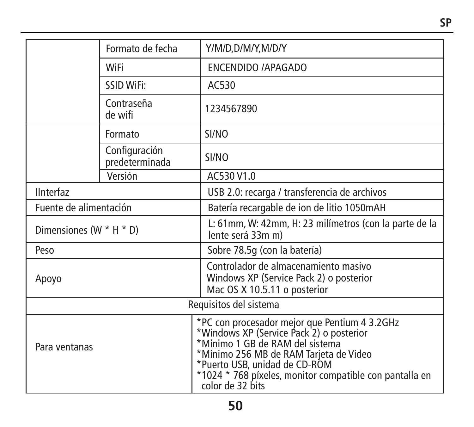|                         | Formato de fecha                | Y/M/D.D/M/Y.M/D/Y                                                                                                                                                                                                                                                                      |
|-------------------------|---------------------------------|----------------------------------------------------------------------------------------------------------------------------------------------------------------------------------------------------------------------------------------------------------------------------------------|
|                         | WiFi                            | ENCENDIDO / APAGADO                                                                                                                                                                                                                                                                    |
|                         | <b>SSID WiFi:</b>               | AC530                                                                                                                                                                                                                                                                                  |
|                         | Contraseña<br>de wifi           | 1234567890                                                                                                                                                                                                                                                                             |
|                         | Formato                         | SI/NO                                                                                                                                                                                                                                                                                  |
|                         | Configuración<br>predeterminada | SI/NO                                                                                                                                                                                                                                                                                  |
|                         | Versión                         | AC530 V1.0                                                                                                                                                                                                                                                                             |
| <b>IInterfaz</b>        |                                 | USB 2.0: recarga / transferencia de archivos                                                                                                                                                                                                                                           |
| Fuente de alimentación  |                                 | Batería recargable de ion de litio 1050mAH                                                                                                                                                                                                                                             |
| Dimensiones (W * H * D) |                                 | L: 61mm, W: 42mm, H: 23 milímetros (con la parte de la<br>lente será 33m m)                                                                                                                                                                                                            |
| Peso                    |                                 | Sobre 78.5q (con la batería)                                                                                                                                                                                                                                                           |
| Apoyo                   |                                 | Controlador de almacenamiento masivo<br>Windows XP (Service Pack 2) o posterior<br>Mac OS X 10.5.11 o posterior                                                                                                                                                                        |
| Requisitos del sistema  |                                 |                                                                                                                                                                                                                                                                                        |
| Para ventanas           |                                 | *PC con procesador mejor que Pentium 4 3.2GHz<br>*Windows XP (Service Pack 2) o posterior<br>*Mínimo 1 GB de RAM del sistema<br>*Mínimo 256 MB de RAM Tarjeta de Video<br>*Puerto USB, unidad de CD-RÓM<br>*1024 * 768 píxeles, monitor compatible con pantalla en<br>color de 32 bits |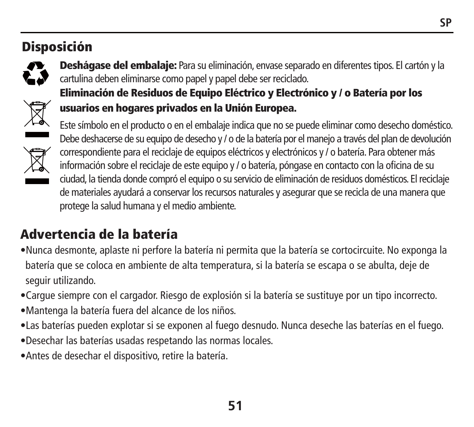#### **Disposición**



**Deshágase del embalaje:** Para su eliminación, envase separado en diferentes tipos. El cartón y la cartulina deben eliminarse como papel y papel debe ser reciclado. **Eliminación de Residuos de Equipo Eléctrico y Electrónico y / o Batería por los** 



Este símbolo en el producto o en el embalaje indica que no se puede eliminar como desecho doméstico. Debe deshacerse de su equipo de desecho y / o de la batería por el manejo a través del plan de devolución  $\overline{\mathbb{R}}$ correspondiente para el reciclaje de equipos eléctricos y electrónicos y / o batería. Para obtener más información sobre el reciclaje de este equipo y / o batería, póngase en contacto con la oficina de su ciudad, la tienda donde compró el equipo o su servicio de eliminación de residuos domésticos. El reciclaje de materiales ayudará a conservar los recursos naturales y asegurar que se recicla de una manera que protege la salud humana y el medio ambiente.

# **Advertencia de la batería**

- •Nunca desmonte, aplaste ni perfore la batería ni permita que la batería se cortocircuite. No exponga la batería que se coloca en ambiente de alta temperatura, si la batería se escapa o se abulta, deje de seguir utilizando.
- •Cargue siempre con el cargador. Riesgo de explosión si la batería se sustituye por un tipo incorrecto.
- •Mantenga la batería fuera del alcance de los niños.
- •Las baterías pueden explotar si se exponen al fuego desnudo. Nunca deseche las baterías en el fuego.
- •Desechar las baterías usadas respetando las normas locales.

**usuarios en hogares privados en la Unión Europea.**

•Antes de desechar el dispositivo, retire la batería.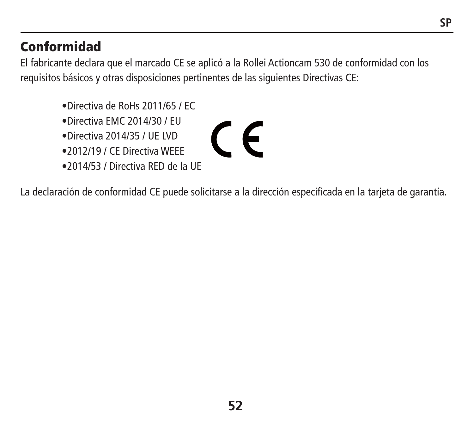#### **Conformidad**

El fabricante declara que el marcado CE se aplicó a la Rollei Actioncam 30 de conformidad con los requisitos básicos y otras disposiciones pertinentes de las siguientes Directivas CE:

- •Directiva de RoHs 2011/65 / EC
- •Directiva EMC 2014/30 / EU
- •Directiva 2014/35 / UE LVD
- •2012/19 / CE Directiva WEEE
- •2014/53 / Directiva RED de la UE

# $\epsilon$

La declaración de conformidad CE puede solicitarse a la dirección especificada en la tarjeta de garantía.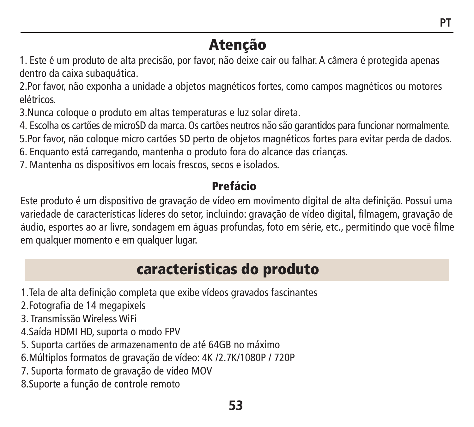# **Atenção**

1. Este é um produto de alta precisão, por favor, não deixe cair ou falhar. A câmera é protegida apenas dentro da caixa subaquática.

2.Por favor, não exponha a unidade a objetos magnéticos fortes, como campos magnéticos ou motores elétricos.

3.Nunca coloque o produto em altas temperaturas e luz solar direta.

4. Escolha os cartões de microSD da marca. Os cartões neutros não são garantidos para funcionar normalmente.

5.Por favor, não coloque micro cartões SD perto de objetos magnéticos fortes para evitar perda de dados. 6. Enquanto está carregando, mantenha o produto fora do alcance das crianças.

7. Mantenha os dispositivos em locais frescos, secos e isolados.

#### **Prefácio**

Este produto é um dispositivo de gravação de vídeo em movimento digital de alta definição. Possui uma variedade de características líderes do setor, incluindo: gravação de vídeo digital, filmagem, gravação de áudio, esportes ao ar livre, sondagem em águas profundas, foto em série, etc., permitindo que você filme em qualquer momento e em qualquer lugar.

# **características do produto**

1.Tela de alta definição completa que exibe vídeos gravados fascinantes

2.Fotografia de 14 megapixels

3. Transmissão Wireless WiFi

4.Saída HDMI HD, suporta o modo FPV

5. Suporta cartões de armazenamento de até 64GB no máximo

6.Múltiplos formatos de gravação de vídeo: 4K /2.7K/1080P / 720P

7. Suporta formato de gravação de vídeo MOV

8.Suporte a função de controle remoto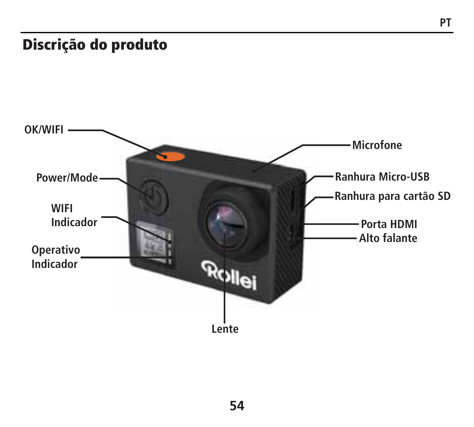# **Discrição do produto**

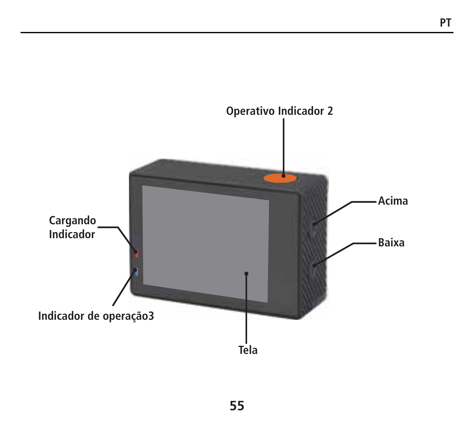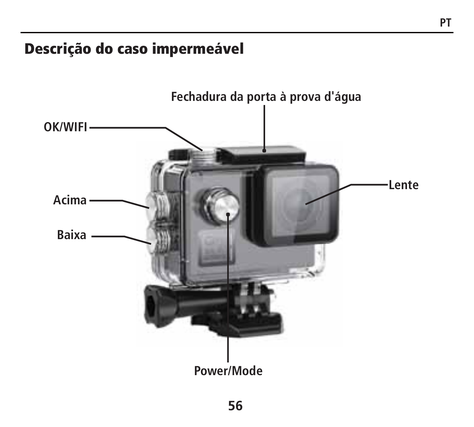# **Descrição do caso impermeável**

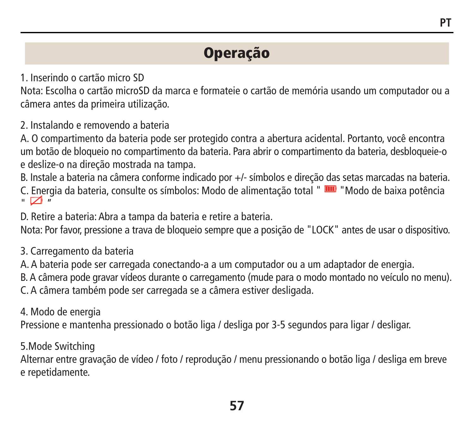**PT**

# **Operação**

1. Inserindo o cartão micro SD

Nota: Escolha o cartão microSD da marca e formateie o cartão de memória usando um computador ou a câmera antes da primeira utilização.

2. Instalando e removendo a bateria

A. O compartimento da bateria pode ser protegido contra a abertura acidental. Portanto, você encontra um botão de bloqueio no compartimento da bateria. Para abrir o compartimento da bateria, desbloqueie-o e deslize-o na direção mostrada na tampa.

B. Instale a bateria na câmera conforme indicado por +/- símbolos e direção das setas marcadas na bateria. C. Energia da bateria, consulte os símbolos: Modo de alimentação total " **I Modo de baixa potência**  $\overline{7}$   $\overline{7}$ 

D. Retire a bateria: Abra a tampa da bateria e retire a bateria.

Nota: Por favor, pressione a trava de bloqueio sempre que a posição de "LOCK" antes de usar o dispositivo.

3. Carregamento da bateria

A. A bateria pode ser carregada conectando-a a um computador ou a um adaptador de energia.

B. A câmera pode gravar vídeos durante o carregamento (mude para o modo montado no veículo no menu).

C. A câmera também pode ser carregada se a câmera estiver desligada.

4. Modo de energia

Pressione e mantenha pressionado o botão liga / desliga por 3-5 segundos para ligar / desligar.

5.Mode Switching

Alternar entre gravação de vídeo / foto / reprodução / menu pressionando o botão liga / desliga em breve e repetidamente.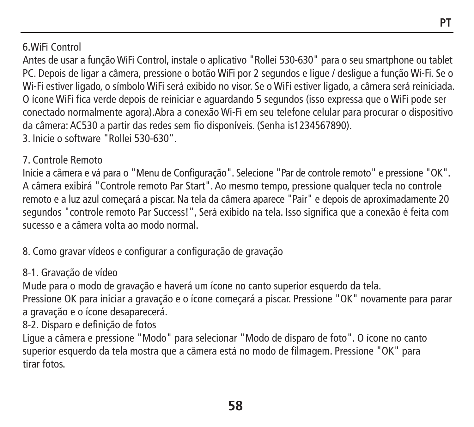#### 6.WiFi Control

Antes de usar a função WiFi Control, instale o aplicativo "Rollei 530-630" para o seu smartphone ou tablet PC. Depois de ligar a câmera, pressione o botão WiFi por 2 segundos e ligue / desligue a função Wi-Fi. Se o Wi-Fi estiver ligado, o símbolo WiFi será exibido no visor. Se o WiFi estiver ligado, a câmera será reiniciada. O ícone WiFi fica verde depois de reiniciar e aguardando 5 segundos (isso expressa que o WiFi pode ser conectado normalmente agora).Abra a conexão Wi-Fi em seu telefone celular para procurar o dispositivo da câmera: AC530 a partir das redes sem fio disponíveis. (Senha is1234567890). 3. Inicie o software "Rollei 530-630".

#### 7. Controle Remoto

Inicie a câmera e vá para o "Menu de Configuração". Selecione "Par de controle remoto" e pressione "OK". A câmera exibirá "Controle remoto Par Start". Ao mesmo tempo, pressione qualquer tecla no controle remoto e a luz azul começará a piscar. Na tela da câmera aparece "Pair" e depois de aproximadamente 20 segundos "controle remoto Par Success!", Será exibido na tela. Isso significa que a conexão é feita com sucesso e a câmera volta ao modo normal.

8. Como gravar vídeos e configurar a configuração de gravação

#### 8-1. Gravação de vídeo

Mude para o modo de gravação e haverá um ícone no canto superior esquerdo da tela.

Pressione OK para iniciar a gravação e o ícone começará a piscar. Pressione "OK" novamente para parar a gravação e o ícone desaparecerá.

8-2. Disparo e definição de fotos

Ligue a câmera e pressione "Modo" para selecionar "Modo de disparo de foto". O ícone no canto superior esquerdo da tela mostra que a câmera está no modo de filmagem. Pressione "OK" para tirar fotos.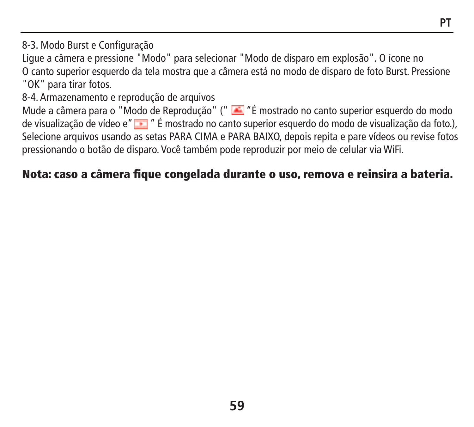8-3. Modo Burst e Configuração

Ligue a câmera e pressione "Modo" para selecionar "Modo de disparo em explosão". O ícone no O canto superior esquerdo da tela mostra que a câmera está no modo de disparo de foto Burst. Pressione "OK" para tirar fotos.

8-4. Armazenamento e reprodução de arquivos

Mude a câmera para o "Modo de Reprodução" ("  $\blacktriangle$ "É mostrado no canto superior esquerdo do modo de visualização de vídeo e" " É mostrado no canto superior esquerdo do modo de visualização da foto.), Selecione arquivos usando as setas PARA CIMA e PARA BAIXO, depois repita e pare vídeos ou revise fotos pressionando o botão de disparo. Você também pode reproduzir por meio de celular via WiFi.

#### **Nota: caso a câmera fique congelada durante o uso, remova e reinsira a bateria.**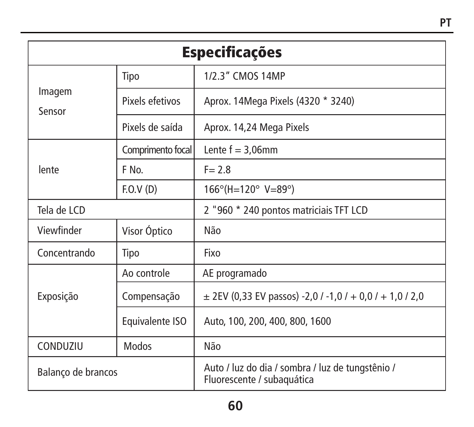| <b>Especificações</b> |                   |                                                                                |
|-----------------------|-------------------|--------------------------------------------------------------------------------|
| Imagem<br>Sensor      | Tipo              | 1/2.3" CMOS 14MP                                                               |
|                       | Pixels efetivos   | Aprox. 14Mega Pixels (4320 * 3240)                                             |
|                       | Pixels de saída   | Aprox. 14,24 Mega Pixels                                                       |
|                       | Comprimento focal | Lente $f = 3,06$ mm                                                            |
| lente                 | F No.             | $F = 2.8$                                                                      |
|                       | F.0.V(D)          | $166^{\circ}$ (H=120° V=89°)                                                   |
| Tela de LCD           |                   | 2 "960 * 240 pontos matriciais TFT LCD                                         |
| Viewfinder            | Visor Óptico      | Não                                                                            |
| Concentrando          | Tipo              | Fixo                                                                           |
|                       | Ao controle       | AE programado                                                                  |
| Exposição             | Compensação       | $\pm$ 2EV (0,33 EV passos) -2,0 / -1,0 / + 0,0 / + 1,0 / 2,0                   |
|                       | Equivalente ISO   | Auto, 100, 200, 400, 800, 1600                                                 |
| CONDUZIU              | Modos             | Não                                                                            |
| Balanço de brancos    |                   | Auto / luz do dia / sombra / luz de tungstênio /<br>Fluorescente / subaquática |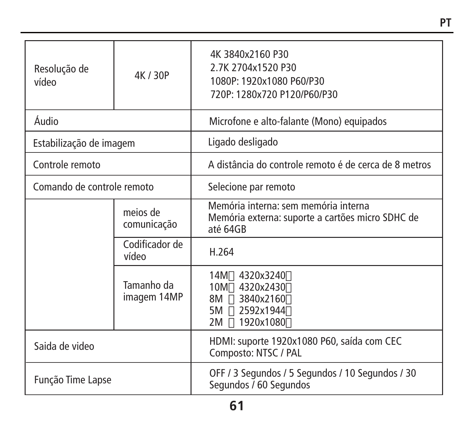| Resolução de<br>oebìv      | 4K / 30P                  | 4K 3840x2160 P30<br>2 7K 2704x1520 P30<br>1080P: 1920x1080 P60/P30<br>720P: 1280x720 P120/P60/P30    |
|----------------------------|---------------------------|------------------------------------------------------------------------------------------------------|
| Áudio                      |                           | Microfone e alto-falante (Mono) equipados                                                            |
| Estabilização de imagem    |                           | Ligado desligado                                                                                     |
| Controle remoto            |                           | A distância do controle remoto é de cerca de 8 metros                                                |
| Comando de controle remoto |                           | Selecione par remoto                                                                                 |
|                            | meios de<br>comunicação   | Memória interna: sem memória interna<br>Memória externa: suporte a cartões micro SDHC de<br>até 64GB |
|                            | Codificador de<br>vídeo   | H.264                                                                                                |
|                            | Tamanho da<br>imagem 14MP | 14M<br>4320x3240<br>10M<br>4320x2430<br>3840x2160<br>8M<br>2592x1944<br>5M<br>2M<br>1920x1080        |
| Saida de video             |                           | HDMI: suporte 1920x1080 P60, saída com CEC<br>Composto: NTSC / PAL                                   |
| Função Time Lapse          |                           | OFF / 3 Segundos / 5 Segundos / 10 Segundos / 30<br>Segundos / 60 Segundos                           |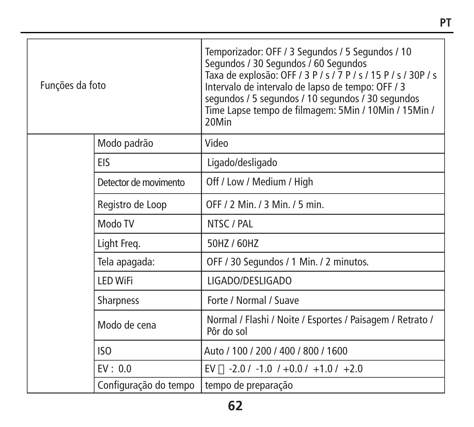| Funções da foto |                       | Temporizador: OFF / 3 Segundos / 5 Segundos / 10<br>Segundos / 30 Segundos / 60 Segundos<br>Taxa de explosão: OFF / 3 P / s / 7 P / s / 15 P / s / 30P / s<br>Intervalo de intervalo de lapso de tempo: OFF / 3<br>segundos / 5 segundos / 10 segundos / 30 segundos<br>Time Lapse tempo de filmagem: 5Min / 10Min / 15Min /<br>20Min |
|-----------------|-----------------------|---------------------------------------------------------------------------------------------------------------------------------------------------------------------------------------------------------------------------------------------------------------------------------------------------------------------------------------|
|                 | Modo padrão           | Video                                                                                                                                                                                                                                                                                                                                 |
|                 | <b>FIS</b>            | Ligado/desligado                                                                                                                                                                                                                                                                                                                      |
|                 | Detector de movimento | Off / Low / Medium / High                                                                                                                                                                                                                                                                                                             |
|                 | Registro de Loop      | OFF / 2 Min. / 3 Min. / 5 min.                                                                                                                                                                                                                                                                                                        |
|                 | Modo TV               | NTSC / PAI                                                                                                                                                                                                                                                                                                                            |
|                 | Light Freg.           | 50HZ / 60HZ                                                                                                                                                                                                                                                                                                                           |
|                 | Tela apagada:         | OFF / 30 Segundos / 1 Min. / 2 minutos.                                                                                                                                                                                                                                                                                               |
|                 | <b>IFD WiFi</b>       | LIGADO/DESLIGADO                                                                                                                                                                                                                                                                                                                      |
|                 | Sharpness             | Forte / Normal / Suave                                                                                                                                                                                                                                                                                                                |
|                 | Modo de cena          | Normal / Flashi / Noite / Esportes / Paisagem / Retrato /<br>Pôr do sol                                                                                                                                                                                                                                                               |
|                 | ISO                   | Auto / 100 / 200 / 400 / 800 / 1600                                                                                                                                                                                                                                                                                                   |
|                 | EV: 0.0               | $-2.0$ / $-1.0$ / $+0.0$ / $+1.0$ / $+2.0$<br>EV                                                                                                                                                                                                                                                                                      |
|                 | Configuração do tempo | tempo de preparação                                                                                                                                                                                                                                                                                                                   |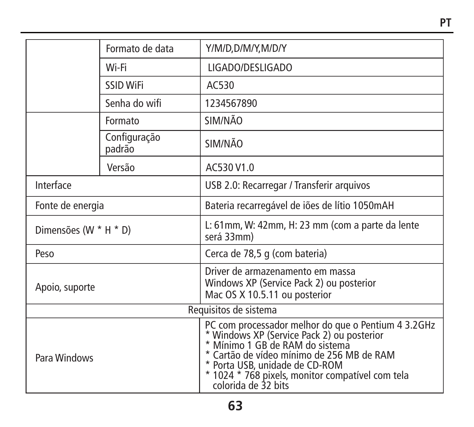|                       | Formato de data        | Y/M/D.D/M/Y.M/D/Y                                                                                                                                                                                                                                                                              |
|-----------------------|------------------------|------------------------------------------------------------------------------------------------------------------------------------------------------------------------------------------------------------------------------------------------------------------------------------------------|
|                       | Wi-Fi                  | LIGADO/DESLIGADO                                                                                                                                                                                                                                                                               |
|                       | <b>SSID WiFi</b>       | AC530                                                                                                                                                                                                                                                                                          |
|                       | Senha do wifi          | 1234567890                                                                                                                                                                                                                                                                                     |
|                       | Formato                | SIM/NÃO                                                                                                                                                                                                                                                                                        |
|                       | Configuração<br>padrão | SIM/NÃO                                                                                                                                                                                                                                                                                        |
|                       | Versão                 | AC530 V1.0                                                                                                                                                                                                                                                                                     |
| Interface             |                        | USB 2.0: Recarregar / Transferir arguivos                                                                                                                                                                                                                                                      |
| Fonte de energia      |                        | Bateria recarregável de iões de lítio 1050mAH                                                                                                                                                                                                                                                  |
| Dimensões (W * H * D) |                        | L: 61mm, W: 42mm, H: 23 mm (com a parte da lente<br>será 33mm)                                                                                                                                                                                                                                 |
| Peso                  |                        | Cerca de 78,5 g (com bateria)                                                                                                                                                                                                                                                                  |
| Apoio, suporte        |                        | Driver de armazenamento em massa<br>Windows XP (Service Pack 2) ou posterior<br>Mac OS X 10.5.11 ou posterior                                                                                                                                                                                  |
| Requisitos de sistema |                        |                                                                                                                                                                                                                                                                                                |
| Para Windows          |                        | PC com processador melhor do que o Pentium 4 3.2GHz<br>* Windows XP (Service Pack 2) ou posterior<br>* Mínimo 1 GB de RAM do sistema<br>* Cartão de vídeo mínimo de 256 MB de RAM<br>* Porta USB, unidade de CD-ROM<br>* 1024 * 768 pixels, monitor compatível com tela<br>colorida de 32 bits |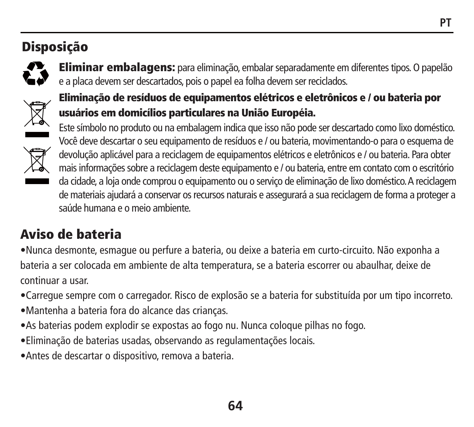### **Disposição**



**Eliminar embalagens:** para eliminação, embalar separadamente em diferentes tipos. O papelão e a placa devem ser descartados, pois o papel ea folha devem ser reciclados.



#### **Eliminação de resíduos de equipamentos elétricos e eletrônicos e / ou bateria por usuários em domicílios particulares na União Européia.**



Este símbolo no produto ou na embalagem indica que isso não pode ser descartado como lixo doméstico. Você deve descartar o seu equipamento de resíduos e / ou bateria, movimentando-o para o esquema de devolução aplicável para a reciclagem de equipamentos elétricos e eletrônicos e / ou bateria. Para obter mais informações sobre a reciclagem deste equipamento e / ou bateria, entre em contato com o escritório da cidade, a loja onde comprou o equipamento ou o serviço de eliminação de lixo doméstico. A reciclagem de materiais ajudará a conservar os recursos naturais e assegurará a sua reciclagem de forma a proteger a saúde humana e o meio ambiente.

# **Aviso de bateria**

•Nunca desmonte, esmague ou perfure a bateria, ou deixe a bateria em curto-circuito. Não exponha a bateria a ser colocada em ambiente de alta temperatura, se a bateria escorrer ou abaulhar, deixe de continuar a usar.

- •Carregue sempre com o carregador. Risco de explosão se a bateria for substituída por um tipo incorreto.
- •Mantenha a bateria fora do alcance das crianças.
- •As baterias podem explodir se expostas ao fogo nu. Nunca coloque pilhas no fogo.
- •Eliminação de baterias usadas, observando as regulamentações locais.
- •Antes de descartar o dispositivo, remova a bateria.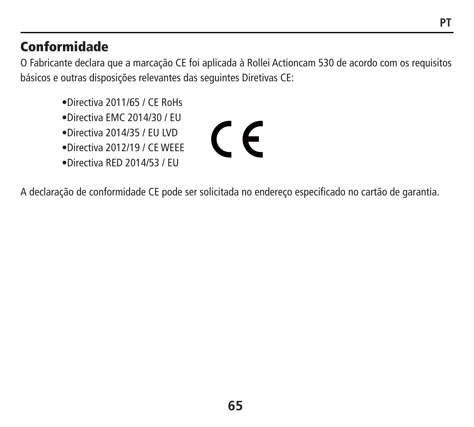#### **Conformidade**

O Fabricante declara que a marcação CE foi aplicada à Rollei Actioncam 530 de acordo com os requisitos básicos e outras disposições relevantes das seguintes Diretivas CE:

- •Directiva 2011/65 / CE RoHs
- •Directiva EMC 2014/30 / EU
- •Directiva 2014/35 / EU LVD
- •Directiva 2012/19 / CE WEEE
- •Directiva RED 2014/53 / EU

# $\epsilon$

A declaração de conformidade CE pode ser solicitada no endereço especificado no cartão de garantia.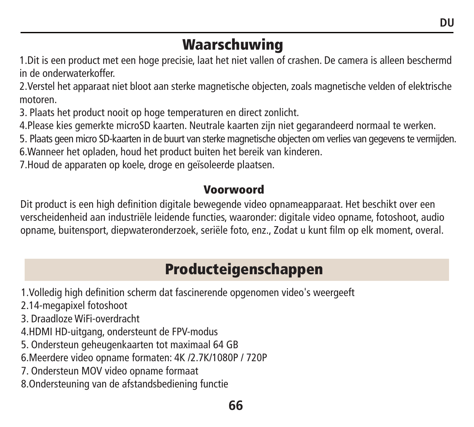### **Waarschuwing**

1.Dit is een product met een hoge precisie, laat het niet vallen of crashen. De camera is alleen beschermd in de onderwaterkoffer.

2.Verstel het apparaat niet bloot aan sterke magnetische objecten, zoals magnetische velden of elektrische motoren.

3. Plaats het product nooit op hoge temperaturen en direct zonlicht.

4.Please kies gemerkte microSD kaarten. Neutrale kaarten zijn niet gegarandeerd normaal te werken.

5. Plaats geen micro SD-kaarten in de buurt van sterke magnetische objecten om verlies van gegevens te vermijden. 6.Wanneer het opladen, houd het product buiten het bereik van kinderen.

7.Houd de apparaten op koele, droge en geïsoleerde plaatsen.

#### **Voorwoord**

Dit product is een high definition digitale bewegende video opnameapparaat. Het beschikt over een verscheidenheid aan industriële leidende functies, waaronder: digitale video opname, fotoshoot, audio opname, buitensport, diepwateronderzoek, seriële foto, enz., Zodat u kunt film op elk moment, overal.

# **Producteigenschappen**

1.Volledig high definition scherm dat fascinerende opgenomen video's weergeeft

- 2.14-megapixel fotoshoot
- 3. Draadloze WiFi-overdracht
- 4.HDMI HD-uitgang, ondersteunt de FPV-modus
- 5. Ondersteun geheugenkaarten tot maximaal 64 GB
- 6.Meerdere video opname formaten: 4K /2.7K/1080P / 720P
- 7. Ondersteun MOV video opname formaat
- 8.Ondersteuning van de afstandsbediening functie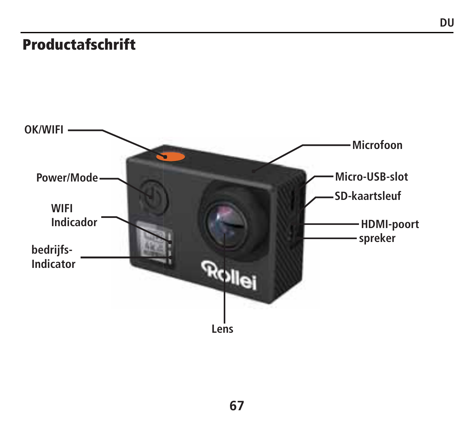## **Productafschrift**

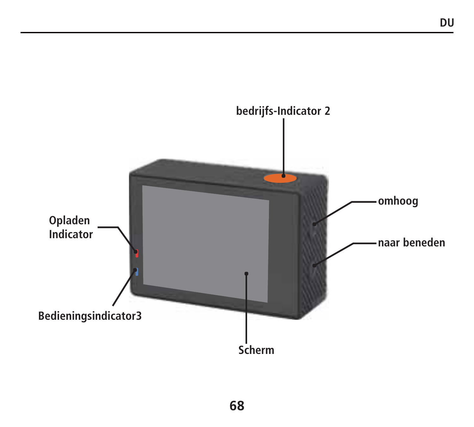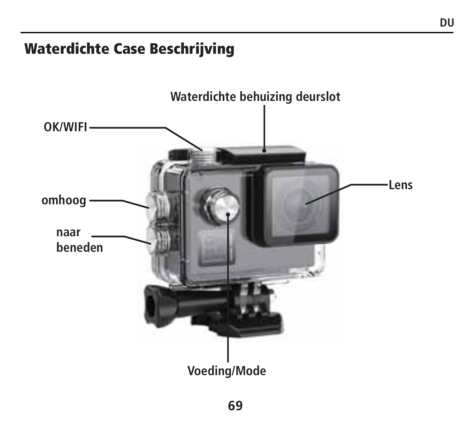# **Waterdichte Case Beschrijving**

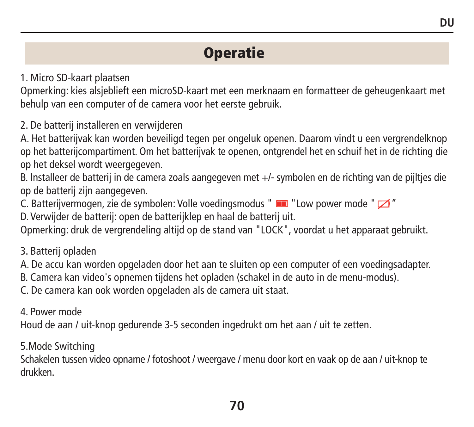# **Operatie**

**DU**

1. Micro SD-kaart plaatsen

Opmerking: kies alsjeblieft een microSD-kaart met een merknaam en formatteer de geheugenkaart met behulp van een computer of de camera voor het eerste gebruik.

2. De batterij installeren en verwijderen

A. Het batterijvak kan worden beveiligd tegen per ongeluk openen. Daarom vindt u een vergrendelknop op het batterijcompartiment. Om het batterijvak te openen, ontgrendel het en schuif het in de richting die op het deksel wordt weergegeven.

B. Installeer de batterij in de camera zoals aangegeven met +/- symbolen en de richting van de pijltjes die op de batterij zijn aangegeven.

C. Batterijvermogen, zie de symbolen: Volle voedingsmodus "  $\Box$  " Low power mode "  $\Box$ "

D. Verwijder de batterij: open de batterijklep en haal de batterij uit.

Opmerking: druk de vergrendeling altijd op de stand van "LOCK", voordat u het apparaat gebruikt.

3. Batterij opladen

A. De accu kan worden opgeladen door het aan te sluiten op een computer of een voedingsadapter.

B. Camera kan video's opnemen tijdens het opladen (schakel in de auto in de menu-modus).

C. De camera kan ook worden opgeladen als de camera uit staat.

4. Power mode

Houd de aan / uit-knop gedurende 3-5 seconden ingedrukt om het aan / uit te zetten.

5.Mode Switching

Schakelen tussen video opname / fotoshoot / weergave / menu door kort en vaak op de aan / uit-knop te drukken.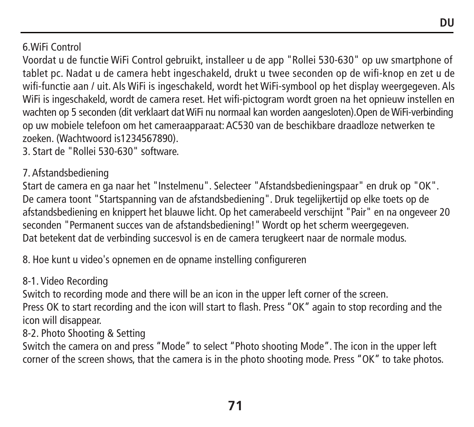#### 6.WiFi Control

Voordat u de functie WiFi Control gebruikt, installeer u de app "Rollei 530-630" op uw smartphone of tablet pc. Nadat u de camera hebt ingeschakeld, drukt u twee seconden op de wifi-knop en zet u de wifi-functie aan / uit. Als WiFi is ingeschakeld, wordt het WiFi-symbool op het display weergegeven. Als WiFi is ingeschakeld, wordt de camera reset. Het wifi-pictogram wordt groen na het opnieuw instellen en wachten op 5 seconden (dit verklaart dat WiFi nu normaal kan worden aangesloten).Open de WiFi-verbinding op uw mobiele telefoon om het cameraapparaat: AC530 van de beschikbare draadloze netwerken te zoeken. (Wachtwoord is1234567890).

3. Start de "Rollei 530-630" software.

#### 7. Afstandsbediening

Start de camera en ga naar het "Instelmenu". Selecteer "Afstandsbedieningspaar" en druk op "OK". De camera toont "Startspanning van de afstandsbediening". Druk tegelijkertijd op elke toets op de afstandsbediening en knippert het blauwe licht. Op het camerabeeld verschijnt "Pair" en na ongeveer 20 seconden "Permanent succes van de afstandsbediening!" Wordt op het scherm weergegeven. Dat betekent dat de verbinding succesvol is en de camera terugkeert naar de normale modus.

8. Hoe kunt u video's opnemen en de opname instelling configureren

#### 8-1. Video Recording

Switch to recording mode and there will be an icon in the upper left corner of the screen.

Press OK to start recording and the icon will start to flash. Press "OK" again to stop recording and the icon will disappear.

8-2. Photo Shooting & Setting

Switch the camera on and press "Mode" to select "Photo shooting Mode". The icon in the upper left corner of the screen shows, that the camera is in the photo shooting mode. Press "OK" to take photos.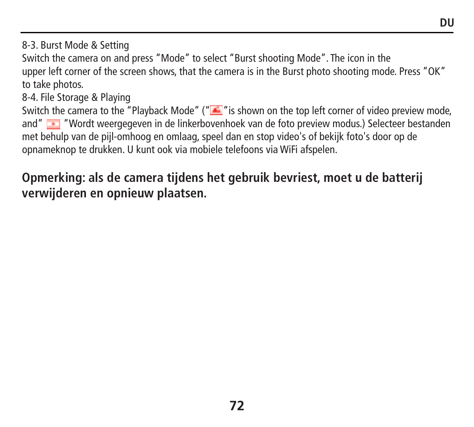8-3. Burst Mode & Setting

Switch the camera on and press "Mode" to select "Burst shooting Mode". The icon in the upper left corner of the screen shows, that the camera is in the Burst photo shooting mode. Press "OK" to take photos.

8-4. File Storage & Playing

Switch the camera to the "Playback Mode" (" "is shown on the top left corner of video preview mode, and"  $\blacksquare$  "Wordt weergegeven in de linkerbovenhoek van de foto preview modus.) Selecteer bestanden met behulp van de pijl-omhoog en omlaag, speel dan en stop video's of bekijk foto's door op de opnameknop te drukken. U kunt ook via mobiele telefoons via WiFi afspelen.

**Opmerking: als de camera tijdens het gebruik bevriest, moet u de batterij verwijderen en opnieuw plaatsen.**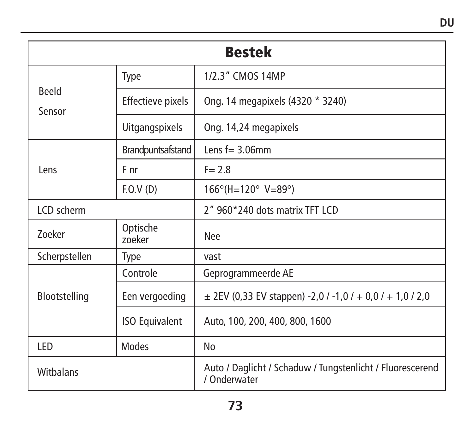| <b>Bestek</b>          |                       |                                                                           |
|------------------------|-----------------------|---------------------------------------------------------------------------|
|                        | Type                  | 1/2 3" CMOS 14MP                                                          |
| <b>Beeld</b><br>Sensor | Effectieve pixels     | Ong. 14 megapixels (4320 * 3240)                                          |
|                        | <b>Uitgangspixels</b> | Ong. 14,24 megapixels                                                     |
|                        | Brandpuntsafstand     | Lens $f = 3.06$ mm                                                        |
| Lens                   | F nr                  | $F = 2.8$                                                                 |
|                        | F.O.V(D)              | $166^{\circ}$ (H=120° V=89°)                                              |
| LCD scherm             |                       | 2" 960*240 dots matrix TFT LCD                                            |
| Zoeker                 | Optische<br>zneker    | Nee                                                                       |
| Scherpstellen          | <b>Type</b>           | vast                                                                      |
|                        | Controle              | Geprogrammeerde AE                                                        |
| Blootstelling          | Een vergoeding        | $\pm$ 2EV (0,33 EV stappen) -2,0 / -1,0 / + 0,0 / + 1,0 / 2,0             |
|                        | <b>ISO Equivalent</b> | Auto, 100, 200, 400, 800, 1600                                            |
| LED                    | Modes                 | No                                                                        |
| Witbalans              |                       | Auto / Daglicht / Schaduw / Tungstenlicht / Fluorescerend<br>/ Onderwater |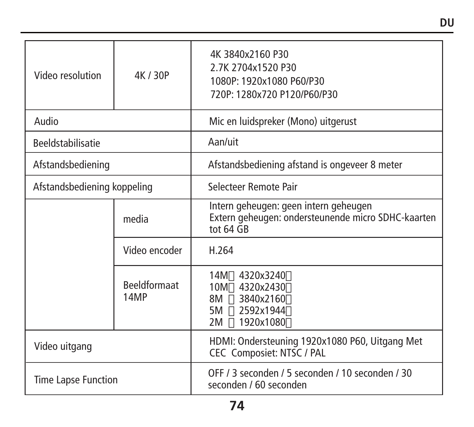| Video resolution            | 4K / 30P                    | 4K 3840x2160 P30<br>2.7K 2704x1520 P30<br>1080P: 1920x1080 P60/P30<br>720P: 1280x720 P120/P60/P30         |
|-----------------------------|-----------------------------|-----------------------------------------------------------------------------------------------------------|
| Audio                       |                             | Mic en luidspreker (Mono) uitgerust                                                                       |
| <b>Beeldstabilisatie</b>    |                             | Aan/uit                                                                                                   |
| Afstandsbediening           |                             | Afstandsbediening afstand is ongeveer 8 meter                                                             |
| Afstandsbediening koppeling |                             | Selecteer Remote Pair                                                                                     |
|                             | media                       | Intern geheugen: geen intern geheugen<br>Extern geheugen: ondersteunende micro SDHC-kaarten<br>tot $646R$ |
|                             | Video encoder               | H 264                                                                                                     |
|                             | <b>Beeldformaat</b><br>14MP | 14M<br>4320x3240<br>4320x2430<br>10M<br>3840x2160<br>8M<br>2592x1944<br>5M<br>1920x1080<br>2M             |
| Video uitgang               |                             | HDMI: Ondersteuning 1920x1080 P60, Uitgang Met<br>CEC Composiet: NTSC / PAL                               |
| Time Lapse Function         |                             | OFF / 3 seconden / 5 seconden / 10 seconden / 30<br>seconden / 60 seconden                                |

**DU**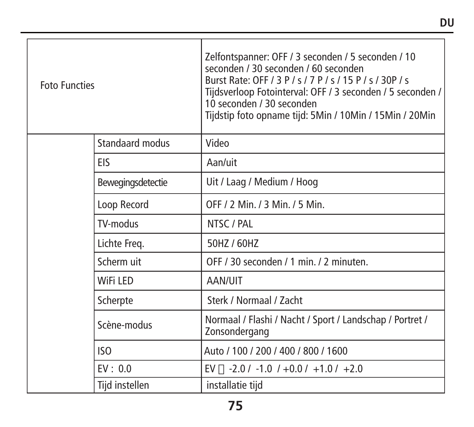| <b>Foto Functies</b> |                   | Zelfontspanner: OFF / 3 seconden / 5 seconden / 10<br>seconden / 30 seconden / 60 seconden<br>Burst Rate: OFF / 3 P / s / 7 P / s / 15 P / s / 30P / s<br>Tijdsverloop Fotointerval: OFF / 3 seconden / 5 seconden /<br>10 seconden / 30 seconden<br>Tijdstip foto opname tijd: 5Min / 10Min / 15Min / 20Min |
|----------------------|-------------------|--------------------------------------------------------------------------------------------------------------------------------------------------------------------------------------------------------------------------------------------------------------------------------------------------------------|
|                      | Standaard modus   | Video                                                                                                                                                                                                                                                                                                        |
|                      | <b>FIS</b>        | Aan/uit                                                                                                                                                                                                                                                                                                      |
|                      | Bewegingsdetectie | Uit / Laag / Medium / Hoog                                                                                                                                                                                                                                                                                   |
|                      | Loop Record       | OFF / 2 Min. / 3 Min. / 5 Min.                                                                                                                                                                                                                                                                               |
|                      | TV-modus          | NTSC / PAL                                                                                                                                                                                                                                                                                                   |
|                      | Lichte Freq.      | 50HZ / 60HZ                                                                                                                                                                                                                                                                                                  |
|                      | Scherm uit        | OFF / 30 seconden / 1 min. / 2 minuten.                                                                                                                                                                                                                                                                      |
|                      | WiFi I FD         | AAN/UIT                                                                                                                                                                                                                                                                                                      |
|                      | Scherpte          | Sterk / Normaal / Zacht                                                                                                                                                                                                                                                                                      |
|                      | Scène-modus       | Normaal / Flashi / Nacht / Sport / Landschap / Portret /<br>Zonsondergang                                                                                                                                                                                                                                    |
|                      | ISO               | Auto / 100 / 200 / 400 / 800 / 1600                                                                                                                                                                                                                                                                          |
|                      | EV: 0.0           | $-2.0$ / $-1.0$ / $+0.0$ / $+1.0$ / $+2.0$<br>FV                                                                                                                                                                                                                                                             |
|                      | Tijd instellen    | installatie tijd                                                                                                                                                                                                                                                                                             |

**DU**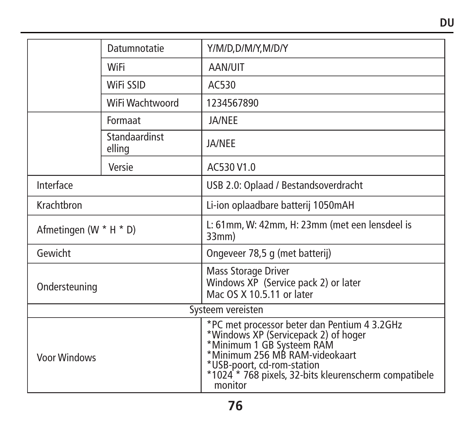|                        | Datumnotatie            | Y/M/D.D/M/Y.M/D/Y                                                                                                                                                                                                                                     |
|------------------------|-------------------------|-------------------------------------------------------------------------------------------------------------------------------------------------------------------------------------------------------------------------------------------------------|
|                        | WiFi                    | AAN/UIT                                                                                                                                                                                                                                               |
|                        | WiFi SSID               | AC530                                                                                                                                                                                                                                                 |
|                        | WiFi Wachtwoord         | 1234567890                                                                                                                                                                                                                                            |
|                        | Formaat                 | <b>JA/NEE</b>                                                                                                                                                                                                                                         |
|                        | Standaardinst<br>elling | <b>JA/NEE</b>                                                                                                                                                                                                                                         |
|                        | Versie                  | AC530 V1 0                                                                                                                                                                                                                                            |
| Interface              |                         | USB 2.0: Oplaad / Bestandsoverdracht                                                                                                                                                                                                                  |
| Krachtbron             |                         | Li-ion oplaadbare batterij 1050mAH                                                                                                                                                                                                                    |
| Afmetingen (W * H * D) |                         | L: 61mm, W: 42mm, H: 23mm (met een lensdeel is<br>33mm)                                                                                                                                                                                               |
| Gewicht                |                         | Ongeveer 78,5 g (met batterij)                                                                                                                                                                                                                        |
| Ondersteuning          |                         | Mass Storage Driver<br>Windows XP (Service pack 2) or later<br>Mac OS X 10 5 11 or later                                                                                                                                                              |
| Systeem vereisten      |                         |                                                                                                                                                                                                                                                       |
| Voor Windows           |                         | *PC met processor beter dan Pentium 4 3.2GHz<br>*Windows XP (Servicepack 2) of hoger<br>*Minimum 1 GB Systeem RAM<br>*Minimum 256 MB RAM-videokaart<br>*USB-poort, cd-rom-station<br>*1024 * 768 pixels, 32-bits kleurenscherm compatibele<br>monitor |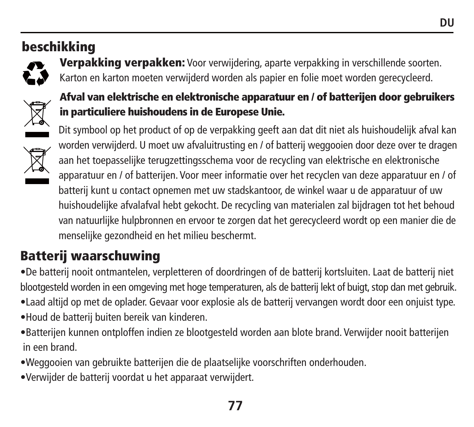## **beschikking**



**Verpakking verpakken:** Voor verwijdering, aparte verpakking in verschillende soorten. Karton en karton moeten verwijderd worden als papier en folie moet worden gerecycleerd.



#### **Afval van elektrische en elektronische apparatuur en / of batterijen door gebruikers in particuliere huishoudens in de Europese Unie.**



Dit symbool op het product of op de verpakking geeft aan dat dit niet als huishoudelijk afval kan worden verwijderd. U moet uw afvaluitrusting en / of batterij weggooien door deze over te dragen aan het toepasselijke terugzettingsschema voor de recycling van elektrische en elektronische apparatuur en / of batterijen. Voor meer informatie over het recyclen van deze apparatuur en / of batterij kunt u contact opnemen met uw stadskantoor, de winkel waar u de apparatuur of uw huishoudelijke afvalafval hebt gekocht. De recycling van materialen zal bijdragen tot het behoud van natuurlijke hulpbronnen en ervoor te zorgen dat het gerecycleerd wordt op een manier die de menselijke gezondheid en het milieu beschermt.

# **Batterij waarschuwing**

•De batterij nooit ontmantelen, verpletteren of doordringen of de batterij kortsluiten. Laat de batterij niet blootgesteld worden in een omgeving met hoge temperaturen, als de batterij lekt of buigt, stop dan met gebruik. •Laad altijd op met de oplader. Gevaar voor explosie als de batterij vervangen wordt door een onjuist type.

- •Houd de batterij buiten bereik van kinderen.
- •Batterijen kunnen ontploffen indien ze blootgesteld worden aan blote brand. Verwijder nooit batterijen in een brand.
- •Weggooien van gebruikte batterijen die de plaatselijke voorschriften onderhouden.
- •Verwijder de batterij voordat u het apparaat verwijdert.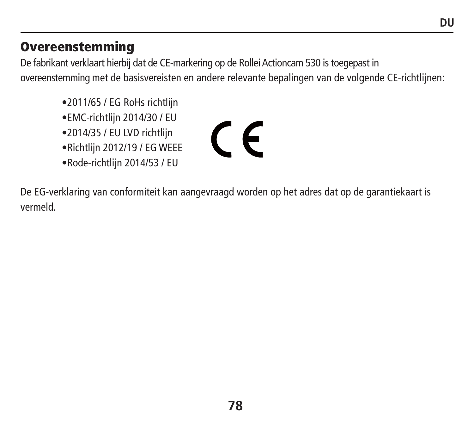#### **Overeenstemming**

De fabrikant verklaart hierbij dat de CE-markering op de Rollei Actioncam 30 is toegepast in overeenstemming met de basisvereisten en andere relevante bepalingen van de volgende CE-richtlijnen:

- •2011/65 / EG RoHs richtlijn
- •EMC-richtlijn 2014/30 / EU
- •2014/35 / EU LVD richtlijn
- •Richtlijn 2012/19 / EG WEEE
- •Rode-richtlijn 2014/53 / EU

# $\epsilon$

De EG-verklaring van conformiteit kan aangevraagd worden op het adres dat op de garantiekaart is vermeld.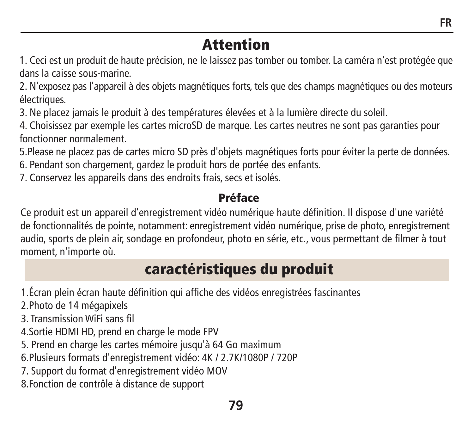## **Attention**

1. Ceci est un produit de haute précision, ne le laissez pas tomber ou tomber. La caméra n'est protégée que dans la caisse sous-marine.

2. N'exposez pas l'appareil à des objets magnétiques forts, tels que des champs magnétiques ou des moteurs électriques.

3. Ne placez jamais le produit à des températures élevées et à la lumière directe du soleil.

4. Choisissez par exemple les cartes microSD de marque. Les cartes neutres ne sont pas garanties pour fonctionner normalement.

5.Please ne placez pas de cartes micro SD près d'objets magnétiques forts pour éviter la perte de données.

6. Pendant son chargement, gardez le produit hors de portée des enfants.

7. Conservez les appareils dans des endroits frais, secs et isolés.

#### **Préface**

Ce produit est un appareil d'enregistrement vidéo numérique haute définition. Il dispose d'une variété de fonctionnalités de pointe, notamment: enregistrement vidéo numérique, prise de photo, enregistrement audio, sports de plein air, sondage en profondeur, photo en série, etc., vous permettant de filmer à tout moment, n'importe où.

## **caractéristiques du produit**

1.Écran plein écran haute définition qui affiche des vidéos enregistrées fascinantes

2.Photo de 14 mégapixels

3. Transmission WiFi sans fil

4.Sortie HDMI HD, prend en charge le mode FPV

5. Prend en charge les cartes mémoire jusqu'à 64 Go maximum

6.Plusieurs formats d'enregistrement vidéo: 4K / 2.7K/1080P / 720P

7. Support du format d'enregistrement vidéo MOV

8.Fonction de contrôle à distance de support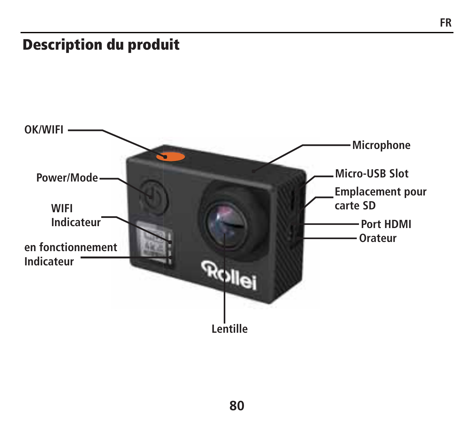## **Description du produit**

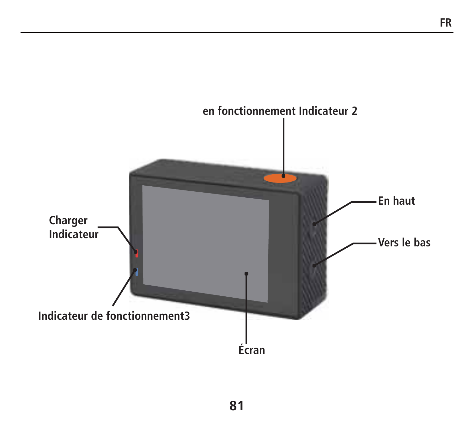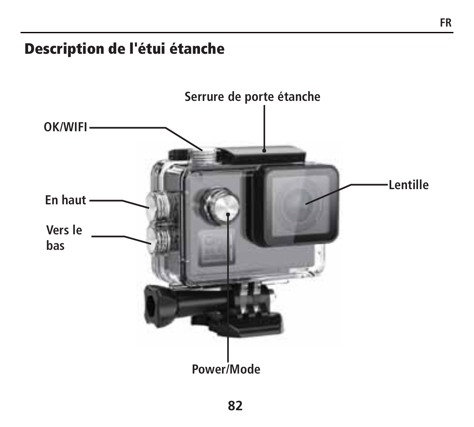# **Description de l'étui étanche**

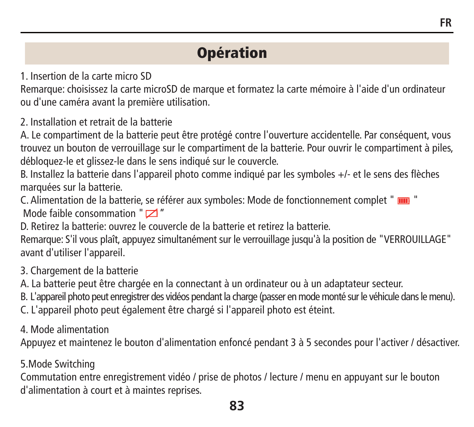# **Opération**

1. Insertion de la carte micro SD

Remarque: choisissez la carte microSD de marque et formatez la carte mémoire à l'aide d'un ordinateur ou d'une caméra avant la première utilisation.

2. Installation et retrait de la batterie

A. Le compartiment de la batterie peut être protégé contre l'ouverture accidentelle. Par conséquent, vous trouvez un bouton de verrouillage sur le compartiment de la batterie. Pour ouvrir le compartiment à piles, débloquez-le et glissez-le dans le sens indiqué sur le couvercle.

B. Installez la batterie dans l'appareil photo comme indiqué par les symboles +/- et le sens des flèches marquées sur la batterie.

C. Alimentation de la batterie, se référer aux symboles: Mode de fonctionnement complet " " Mode faible consommation  $"$   $\neg$   $"$ 

D. Retirez la batterie: ouvrez le couvercle de la batterie et retirez la batterie.

Remarque: S'il vous plaît, appuyez simultanément sur le verrouillage jusqu'à la position de "VERROUILLAGE" avant d'utiliser l'appareil.

3. Chargement de la batterie

A. La batterie peut être chargée en la connectant à un ordinateur ou à un adaptateur secteur.

B. L'appareil photo peut enregistrer des vidéos pendant la charge (passer en mode monté sur le véhicule dans le menu).

C. L'appareil photo peut également être chargé si l'appareil photo est éteint.

4. Mode alimentation

Appuyez et maintenez le bouton d'alimentation enfoncé pendant 3 à 5 secondes pour l'activer / désactiver.

5.Mode Switching

Commutation entre enregistrement vidéo / prise de photos / lecture / menu en appuyant sur le bouton d'alimentation à court et à maintes reprises.

**83**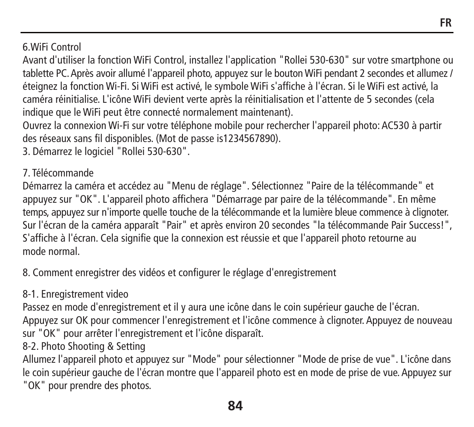6.WiFi Control

Avant d'utiliser la fonction WiFi Control, installez l'application "Rollei 530-630" sur votre smartphone ou tablette PC. Après avoir allumé l'appareil photo, appuyez sur le bouton WiFi pendant 2 secondes et allumez / éteignez la fonction Wi-Fi. Si WiFi est activé, le symbole WiFi s'affiche à l'écran. Si le WiFi est activé, la caméra réinitialise. L'icône WiFi devient verte après la réinitialisation et l'attente de 5 secondes (cela indique que le WiFi peut être connecté normalement maintenant).

Ouvrez la connexion Wi-Fi sur votre téléphone mobile pour rechercher l'appareil photo: AC530 à partir des réseaux sans fil disponibles. (Mot de passe is1234567890).

3. Démarrez le logiciel "Rollei 530-630".

7. Télécommande

Démarrez la caméra et accédez au "Menu de réglage". Sélectionnez "Paire de la télécommande" et appuyez sur "OK". L'appareil photo affichera "Démarrage par paire de la télécommande". En même temps, appuyez sur n'importe quelle touche de la télécommande et la lumière bleue commence à clignoter. Sur l'écran de la caméra apparaît "Pair" et après environ 20 secondes "la télécommande Pair Success!", S'affiche à l'écran. Cela signifie que la connexion est réussie et que l'appareil photo retourne au mode normal.

8. Comment enregistrer des vidéos et configurer le réglage d'enregistrement

8-1. Enregistrement video

Passez en mode d'enregistrement et il y aura une icône dans le coin supérieur gauche de l'écran.

Appuyez sur OK pour commencer l'enregistrement et l'icône commence à clignoter. Appuyez de nouveau sur "OK" pour arrêter l'enregistrement et l'icône disparaît.

8-2. Photo Shooting & Setting

Allumez l'appareil photo et appuyez sur "Mode" pour sélectionner "Mode de prise de vue". L'icône dans le coin supérieur gauche de l'écran montre que l'appareil photo est en mode de prise de vue. Appuyez sur "OK" pour prendre des photos.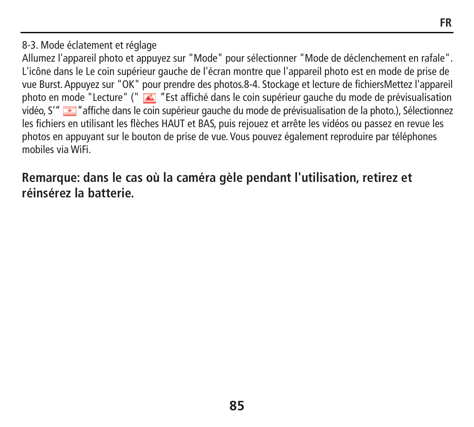8-3. Mode éclatement et réglage

Allumez l'appareil photo et appuyez sur "Mode" pour sélectionner "Mode de déclenchement en rafale". L'icône dans le Le coin supérieur gauche de l'écran montre que l'appareil photo est en mode de prise de vue Burst. Appuyez sur "OK" pour prendre des photos.8-4. Stockage et lecture de fichiersMettez l'appareil photo en mode "Lecture" (" Est affiché dans le coin supérieur gauche du mode de prévisualisation vidéo, S'"  $\blacksquare$  "affiche dans le coin supérieur gauche du mode de prévisualisation de la photo.), Sélectionnez les fichiers en utilisant les flèches HAUT et BAS, puis rejouez et arrête les vidéos ou passez en revue les photos en appuyant sur le bouton de prise de vue. Vous pouvez également reproduire par téléphones mobiles via WiFi.

**Remarque: dans le cas où la caméra gèle pendant l'utilisation, retirez et réinsérez la batterie.**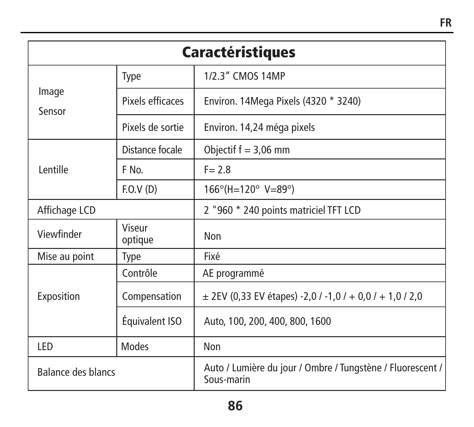| <b>Caractéristiques</b>   |                   |                                                                          |
|---------------------------|-------------------|--------------------------------------------------------------------------|
|                           | <b>Type</b>       | 1/2.3" CMOS 14MP                                                         |
| Image<br>Sensor           | Pixels efficaces  | Environ. 14Mega Pixels (4320 * 3240)                                     |
|                           | Pixels de sortie  | Environ. 14,24 méga pixels                                               |
|                           | Distance focale   | Objectif $f = 3,06$ mm                                                   |
| Lentille                  | F No.             | $F = 2.8$                                                                |
|                           | F.0.V(D)          | $166^{\circ}$ (H=120° V=89°)                                             |
| Affichage LCD             |                   | 2 "960 * 240 points matriciel TFT LCD                                    |
| Viewfinder                | Viseur<br>optique | Non                                                                      |
| Mise au point             | <b>Type</b>       | Fixé                                                                     |
|                           | Contrôle          | AE programmé                                                             |
| Exposition                | Compensation      | ± 2EV (0,33 EV étapes) -2,0 / -1,0 / + 0,0 / + 1,0 / 2,0                 |
|                           | Équivalent ISO    | Auto. 100. 200. 400. 800. 1600                                           |
| LED                       | Modes             | Non                                                                      |
| <b>Balance des blancs</b> |                   | Auto / Lumière du jour / Ombre / Tungstène / Fluorescent /<br>Sous-marin |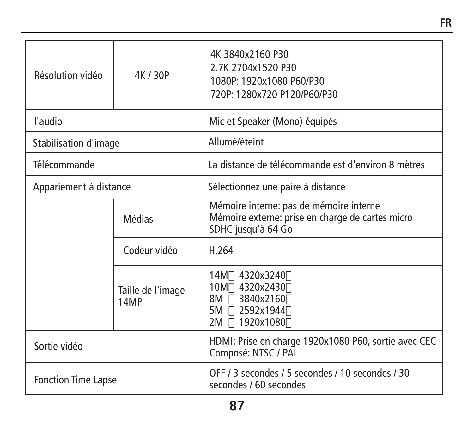| Résolution vidéo       | 4K / 30P                  | 4K 3840x2160 P30<br>2 7K 2704x1520 P30<br>1080P: 1920x1080 P60/P30<br>720P: 1280x720 P120/P60/P30                 |
|------------------------|---------------------------|-------------------------------------------------------------------------------------------------------------------|
| l'audio                |                           | Mic et Speaker (Mono) équipés                                                                                     |
| Stabilisation d'image  |                           | Allumé/éteint                                                                                                     |
| Télécommande           |                           | La distance de télécommande est d'environ 8 mètres                                                                |
| Appariement à distance |                           | Sélectionnez une paire à distance                                                                                 |
|                        | Médias                    | Mémoire interne: pas de mémoire interne<br>Mémoire externe: prise en charge de cartes micro<br>SDHC jusqu'à 64 Go |
|                        | Codeur vidéo              | H.264                                                                                                             |
|                        | Taille de l'image<br>14MP | 14M<br>4320x3240<br>10M<br>4320x2430<br>8M<br>3840x2160<br>2592x1944<br>5M<br>2M<br>1920x1080                     |
| Sortie vidéo           |                           | HDMI: Prise en charge 1920x1080 P60, sortie avec CEC<br>Composé: NTSC / PAL                                       |
| Fonction Time Lapse    |                           | OFF / 3 secondes / 5 secondes / 10 secondes / 30<br>secondes / 60 secondes                                        |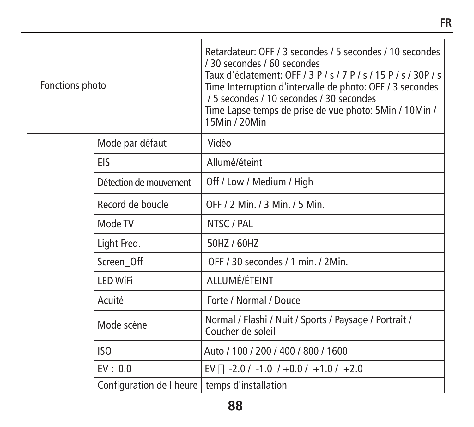| Fonctions photo |                          | Retardateur: OFF / 3 secondes / 5 secondes / 10 secondes<br>/30 secondes / 60 secondes<br>Taux d'éclatement: OFF / 3 P / s / 7 P / s / 15 P / s / 30P / s<br>Time Interruption d'intervalle de photo: OFF / 3 secondes<br>/ 5 secondes / 10 secondes / 30 secondes<br>Time Lapse temps de prise de vue photo: 5Min / 10Min /<br>15Min / 20Min |
|-----------------|--------------------------|-----------------------------------------------------------------------------------------------------------------------------------------------------------------------------------------------------------------------------------------------------------------------------------------------------------------------------------------------|
|                 | Mode par défaut          | Vidéo                                                                                                                                                                                                                                                                                                                                         |
|                 | <b>FIS</b>               | Allumé/éteint                                                                                                                                                                                                                                                                                                                                 |
|                 | Détection de mouvement   | Off / Low / Medium / High                                                                                                                                                                                                                                                                                                                     |
|                 | Record de boucle         | OFF / 2 Min. / 3 Min. / 5 Min.                                                                                                                                                                                                                                                                                                                |
|                 | Mode TV                  | NTSC / PAL                                                                                                                                                                                                                                                                                                                                    |
|                 | Light Freq.              | 50HZ / 60HZ                                                                                                                                                                                                                                                                                                                                   |
|                 | Screen Off               | OFF / 30 secondes / 1 min. / 2Min.                                                                                                                                                                                                                                                                                                            |
|                 | <b>LED WiFi</b>          | ALLUMÉ/ÉTEINT                                                                                                                                                                                                                                                                                                                                 |
|                 | Acuité                   | Forte / Normal / Douce                                                                                                                                                                                                                                                                                                                        |
|                 | Mode scène               | Normal / Flashi / Nuit / Sports / Paysage / Portrait /<br>Coucher de soleil                                                                                                                                                                                                                                                                   |
|                 | ISO                      | Auto / 100 / 200 / 400 / 800 / 1600                                                                                                                                                                                                                                                                                                           |
|                 | EV: 0.0                  | $-2.0$ / $-1.0$ / $+0.0$ / $+1.0$ / $+2.0$<br>FV                                                                                                                                                                                                                                                                                              |
|                 | Configuration de l'heure | temps d'installation                                                                                                                                                                                                                                                                                                                          |

 $\overline{\phantom{a}}$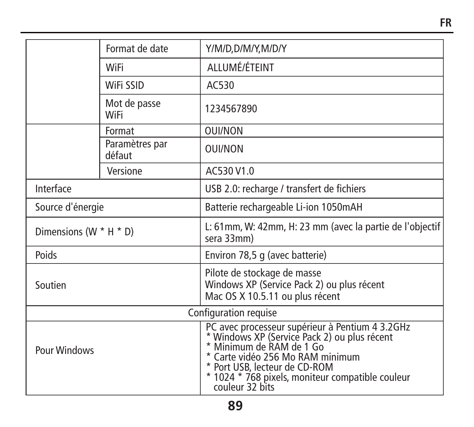|                            | Format de date           | Y/M/D.D/M/Y.M/D/Y                                                                                                                                                                                                                                                       |
|----------------------------|--------------------------|-------------------------------------------------------------------------------------------------------------------------------------------------------------------------------------------------------------------------------------------------------------------------|
|                            | WiFi                     | ALLUMÉ/ÉTEINT                                                                                                                                                                                                                                                           |
|                            | WiFi SSID                | AC530                                                                                                                                                                                                                                                                   |
|                            | Mot de passe<br>WiFi     | 1234567890                                                                                                                                                                                                                                                              |
|                            | Format                   | <b>OUI/NON</b>                                                                                                                                                                                                                                                          |
|                            | Paramètres par<br>défaut | <b>OUI/NON</b>                                                                                                                                                                                                                                                          |
|                            | Versione                 | AC530 V1.0                                                                                                                                                                                                                                                              |
| Interface                  |                          | USB 2.0: recharge / transfert de fichiers                                                                                                                                                                                                                               |
| Source d'énergie           |                          | Batterie rechargeable Li-ion 1050mAH                                                                                                                                                                                                                                    |
| Dimensions (W $*$ H $*$ D) |                          | L: 61mm, W: 42mm, H: 23 mm (avec la partie de l'objectif<br>sera 33mm)                                                                                                                                                                                                  |
| Poids                      |                          | Environ 78,5 g (avec batterie)                                                                                                                                                                                                                                          |
| Soutien                    |                          | Pilote de stockage de masse<br>Windows XP (Service Pack 2) ou plus récent<br>Mac OS X 10.5.11 ou plus récent                                                                                                                                                            |
|                            |                          | Configuration requise                                                                                                                                                                                                                                                   |
| Pour Windows               |                          | PC avec processeur supérieur à Pentium 4 3.2GHz<br>* Windows XP (Service Pack 2) ou plus récent<br>* Minimum de RAM de 1 Go<br>* Carte vidéo 256 Mo RAM minimum<br>* Port USB. lecteur de CD-ROM<br>* 1024 * 768 pixels, moniteur compatible couleur<br>couleur 32 bits |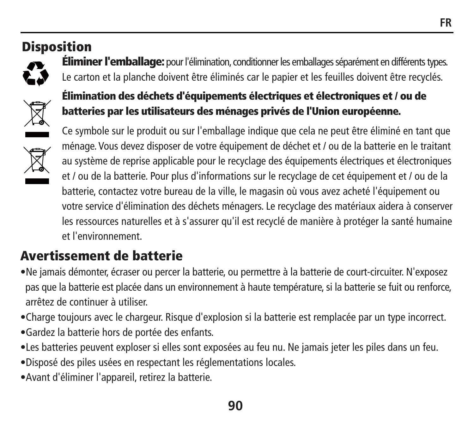## **Disposition**



**Éliminer l'emballage:** pour l'élimination, conditionner les emballages séparément en différents types. Le carton et la planche doivent être éliminés car le papier et les feuilles doivent être recyclés.



#### **Élimination des déchets d'équipements électriques et électroniques et / ou de batteries par les utilisateurs des ménages privés de l'Union européenne.**



Ce symbole sur le produit ou sur l'emballage indique que cela ne peut être éliminé en tant que ménage. Vous devez disposer de votre équipement de déchet et / ou de la batterie en le traitant au système de reprise applicable pour le recyclage des équipements électriques et électroniques et / ou de la batterie. Pour plus d'informations sur le recyclage de cet équipement et / ou de la batterie, contactez votre bureau de la ville, le magasin où vous avez acheté l'équipement ou votre service d'élimination des déchets ménagers. Le recyclage des matériaux aidera à conserver les ressources naturelles et à s'assurer qu'il est recyclé de manière à protéger la santé humaine et l'environnement.

## **Avertissement de batterie**

- •Ne jamais démonter, écraser ou percer la batterie, ou permettre à la batterie de court-circuiter. N'exposez pas que la batterie est placée dans un environnement à haute température, si la batterie se fuit ou renforce, arrêtez de continuer à utiliser.
- •Charge toujours avec le chargeur. Risque d'explosion si la batterie est remplacée par un type incorrect.
- •Gardez la batterie hors de portée des enfants.
- •Les batteries peuvent exploser si elles sont exposées au feu nu. Ne jamais jeter les piles dans un feu.
- •Disposé des piles usées en respectant les réglementations locales.
- •Avant d'éliminer l'appareil, retirez la batterie.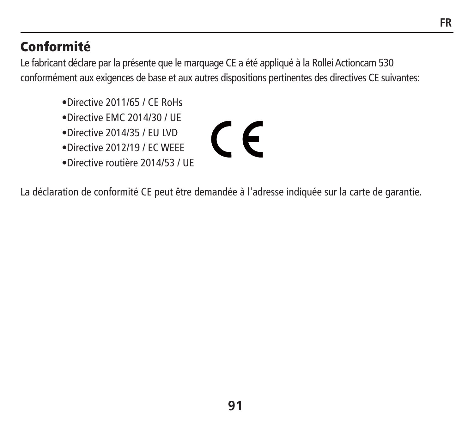#### **Conformité**

Le fabricant déclare par la présente que le marquage CE a été appliqué à la Rollei Actioncam 530 conformément aux exigences de base et aux autres dispositions pertinentes des directives CE suivantes:

- •Directive 2011/65 / CE RoHs
- •Directive EMC 2014/30 / UE
- •Directive 2014/35 / EU LVD
- •Directive 2012/19 / EC WEEE
- •Directive routière 2014/53 / UE

# $\epsilon$

La déclaration de conformité CE peut être demandée à l'adresse indiquée sur la carte de garantie.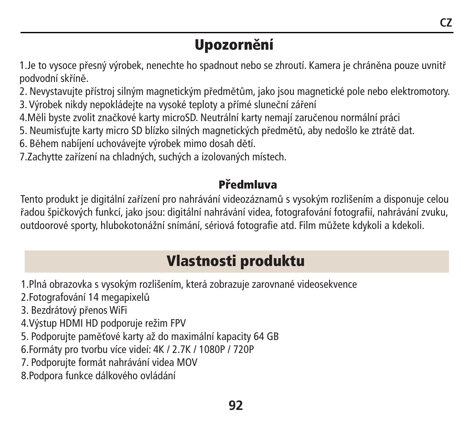# Upozornění

1.Je to vysoce přesný výrobek, nenechte ho spadnout nebo se zhroutí. Kamera je chráněna pouze uvnitř podvodní skříně.

2. Nevystavujte přístroj silným magnetickým předmětům, jako jsou magnetické pole nebo elektromotory. 3. Výrobek nikdy nepokládejte na vysoké teploty a přímé sluneční záření

4.Měli byste zvolit značkové karty microSD. Neutrální karty nemají zaručenou normální práci

5. Neumisťujte karty micro SD blízko silných magnetických předmětů, aby nedošlo ke ztrátě dat.

6. Během nabíjení uchovávejte výrobek mimo dosah dětí.

7.Zachytte zařízení na chladných, suchých a izolovaných místech.

#### **Předmluva**

Tento produkt je digitální zařízení pro nahrávání videozáznamů s vysokým rozlišením a disponuje celou řadou špičkových funkcí, jako jsou: digitální nahrávání videa, fotografování fotografií, nahrávání zvuku, outdoorové sporty, hlubokotonážní snímání, sériová fotografie atd. Film můžete kdykoli a kdekoli.

## **Vlastnosti produktu**

1.Plná obrazovka s vysokým rozlišením, která zobrazuje zarovnané videosekvence

- 2.Fotografování 14 megapixelů
- 3. Bezdrátový přenos WiFi
- 4.Výstup HDMI HD podporuje režim FPV
- 5. Podporujte paměťové karty až do maximální kapacity 64 GB

6.Formáty pro tvorbu více videí: 4K / 2.7K / 1080P / 720P

- 7. Podporujte formát nahrávání videa MOV
- 8.Podpora funkce dálkového ovládání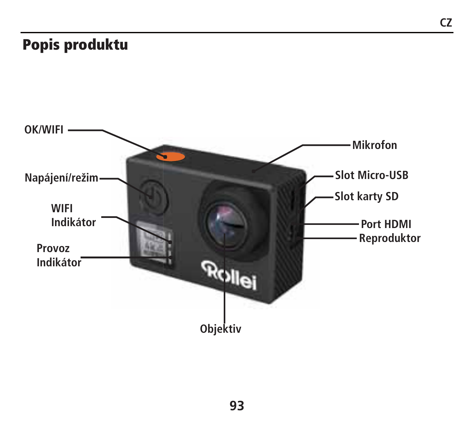# **Popis produktu**

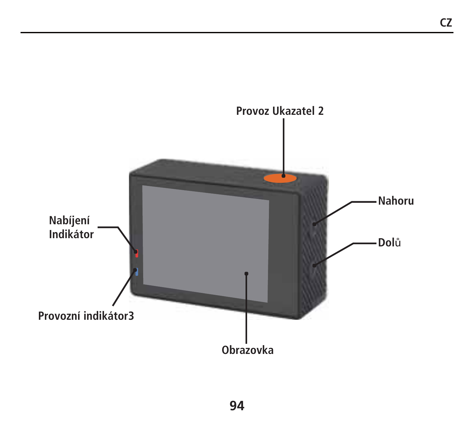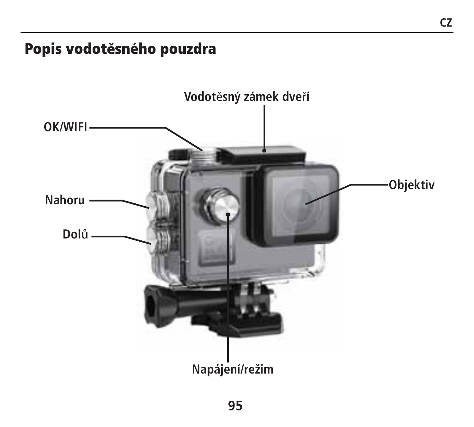# Popis vodotěsného pouzdra

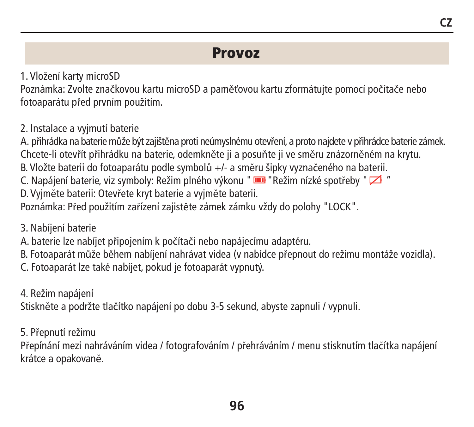#### **Provoz**

**CZ**

1. Vložení karty microSD

Poznámka: Zvolte značkovou kartu microSD a paměťovou kartu zformátujte pomocí počítače nebo fotoaparátu před prvním použitím.

2. Instalace a vyjmutí baterie

A. přihrádka na baterie může být zajištěna proti neúmyslnému otevření, a proto najdete v přihrádce baterie zámek. Chcete-li otevřít přihrádku na baterie, odemkněte ji a posuňte ji ve směru znázorněném na krytu.

B. Vložte baterii do fotoaparátu podle symbolů +/- a směru šipky vyznačeného na baterii.

C. Napájení baterie, viz symboly: Režim plného výkonu " · Režim nízké spotřeby "  $\boxtimes$  "

D. Vyjměte baterii: Otevřete kryt baterie a vyjměte baterii.

Poznámka: Před použitím zařízení zajistěte zámek zámku vždy do polohy "LOCK".

3. Nabíjení baterie

A. baterie lze nabíjet připojením k počítači nebo napájecímu adaptéru.

B. Fotoaparát může během nabíjení nahrávat videa (v nabídce přepnout do režimu montáže vozidla).

C. Fotoaparát lze také nabíjet, pokud je fotoaparát vypnutý.

4. Režim napájení

Stiskněte a podržte tlačítko napájení po dobu 3-5 sekund, abyste zapnuli / vypnuli.

5. Přepnutí režimu

Přepínání mezi nahráváním videa / fotografováním / přehráváním / menu stisknutím tlačítka napájení krátce a opakovaně.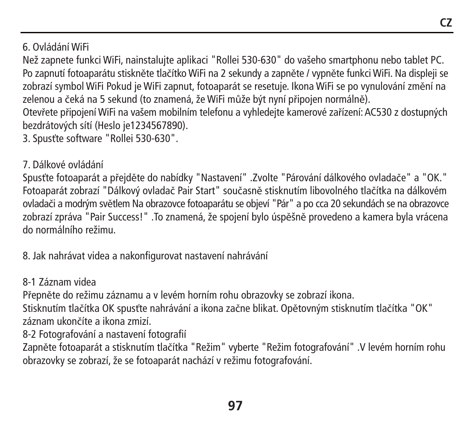6. Ovládání WiFi

Než zapnete funkci WiFi, nainstalujte aplikaci "Rollei 530-630" do vašeho smartphonu nebo tablet PC. Po zapnutí fotoaparátu stiskněte tlačítko WiFi na 2 sekundy a zapněte / vypněte funkci WiFi. Na displeji se zobrazí symbol WiFi Pokud je WiFi zapnut, fotoaparát se resetuje. Ikona WiFi se po vynulování změní na zelenou a čeká na 5 sekund (to znamená, že WiFi může být nyní připojen normálně). Otevřete připojení WiFi na vašem mobilním telefonu a vyhledejte kamerové zařízení: AC530 z dostupných bezdrátových sítí (Heslo je1234567890).

3. Spusťte software "Rollei 530-630".

#### 7. Dálkové ovládání

Spusťte fotoaparát a přejděte do nabídky "Nastavení" .Zvolte "Párování dálkového ovladače" a "OK." Fotoaparát zobrazí "Dálkový ovladač Pair Start" současně stisknutím libovolného tlačítka na dálkovém ovladači a modrým světlem Na obrazovce fotoaparátu se objeví "Pár" a po cca 20 sekundách se na obrazovce zobrazí zpráva "Pair Success!" .To znamená, že spojení bylo úspěšně provedeno a kamera byla vrácena do normálního režimu.

8. Jak nahrávat videa a nakonfigurovat nastavení nahrávání

#### 8-1 Záznam videa

Přepněte do režimu záznamu a v levém horním rohu obrazovky se zobrazí ikona.

Stisknutím tlačítka OK spusťte nahrávání a ikona začne blikat. Opětovným stisknutím tlačítka "OK" záznam ukončíte a ikona zmizí.

8-2 Fotografování a nastavení fotografií

Zapněte fotoaparát a stisknutím tlačítka "Režim" vyberte "Režim fotografování" .V levém horním rohu obrazovky se zobrazí, že se fotoaparát nachází v režimu fotografování.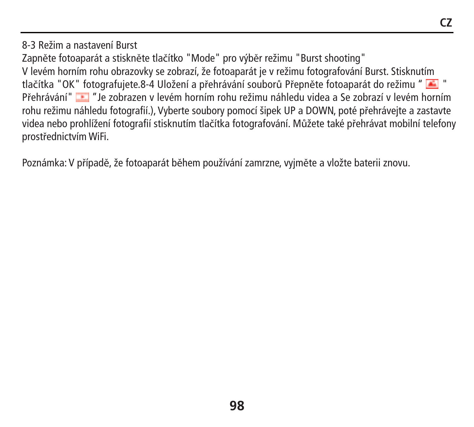**CZ**

8-3 Režim a nastavení Burst

Zapněte fotoaparát a stiskněte tlačítko "Mode" pro výběr režimu "Burst shooting" V levém horním rohu obrazovky se zobrazí, že fotoaparát je v režimu fotografování Burst. Stisknutím tlačítka "OK" fotografujete.8-4 Uložení a přehrávání souborů Přepněte fotoaparát do režimu " " Přehrávání" • "Je zobrazen v levém horním rohu režimu náhledu videa a Se zobrazí v levém horním rohu režimu náhledu fotografií.), Vyberte soubory pomocí šipek UP a DOWN, poté přehrávejte a zastavte videa nebo prohlížení fotografií stisknutím tlačítka fotografování. Můžete také přehrávat mobilní telefony prostřednictvím WiFi.

Poznámka: V případě, že fotoaparát během používání zamrzne, vyjměte a vložte baterii znovu.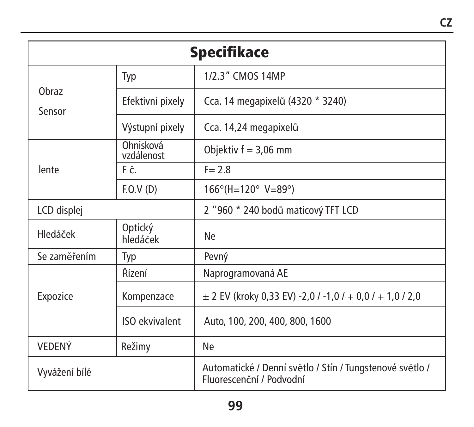| <b>Specifikace</b> |                         |                                                                                      |
|--------------------|-------------------------|--------------------------------------------------------------------------------------|
|                    | Typ                     | 1/2 3" CMOS 14MP                                                                     |
| Ohraz<br>Sensor    | Efektivní pixely        | Cca. 14 megapixelů (4320 * 3240)                                                     |
|                    | Výstupní pixely         | Cca. 14,24 megapixelů                                                                |
|                    | Ohnisková<br>vzdálenost | Objektiv $f = 3.06$ mm                                                               |
| lente              | Fř                      | $F = 2.8$                                                                            |
|                    | F.0.V(D)                | 166°(H=120°V=89°)                                                                    |
| LCD displej        |                         | 2 "960 * 240 bodů maticový TFT LCD                                                   |
| Hledáček           | Optický<br>hledáček     | Ne                                                                                   |
| Se zaměřením       | Typ                     | Pevný                                                                                |
|                    | Řízení                  | Naprogramovaná AE                                                                    |
| Expozice           | Kompenzace              | $\pm$ 2 EV (kroky 0,33 EV) -2,0 / -1,0 / + 0,0 / + 1,0 / 2,0                         |
|                    | ISO ekvivalent          | Auto, 100, 200, 400, 800, 1600                                                       |
| VEDENÝ             | Režimy                  | Ne                                                                                   |
| Vyvážení bílé      |                         | Automatické / Denní světlo / Stín / Tungstenové světlo /<br>Fluorescenční / Podvodní |

**99**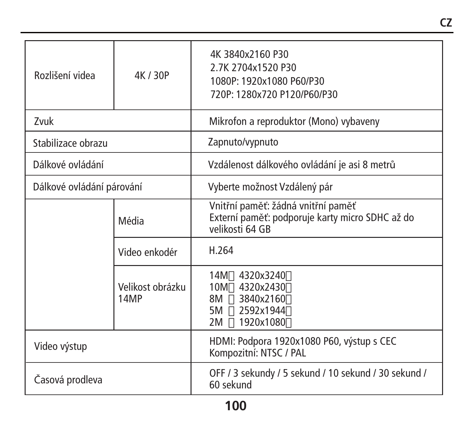| Rozlišení videa           | 4K / 30P                 | 4K 3840x2160 P30<br>2 7K 2704x1520 P30<br>1080P: 1920x1080 P60/P30<br>720P: 1280x720 P120/P60/P30        |
|---------------------------|--------------------------|----------------------------------------------------------------------------------------------------------|
| Zvuk                      |                          | Mikrofon a reproduktor (Mono) vybaveny                                                                   |
| Stabilizace obrazu        |                          | Zapnuto/vypnuto                                                                                          |
| Dálkové ovládání          |                          | Vzdálenost dálkového ovládání je asi 8 metrů                                                             |
| Dálkové ovládání párování |                          | Vyberte možnost Vzdálený pár                                                                             |
|                           | Média                    | Vnitřní paměť: žádná vnitřní paměť<br>Externí paměť: podporuje karty micro SDHC až do<br>velikosti 64 GB |
|                           | Video enkodér            | H 264                                                                                                    |
|                           | Velikost obrázku<br>14MP | 14M<br>4320x3240<br>10M<br>4320x2430<br>3840x2160<br>8M<br>2592x1944<br>5M<br>1920x1080<br>2M            |
| Video výstup              |                          | HDMI: Podpora 1920x1080 P60, výstup s CEC<br>Kompozitní: NTSC / PAL                                      |
| Časová prodleva           |                          | OFF / 3 sekundy / 5 sekund / 10 sekund / 30 sekund /<br>60 sekund                                        |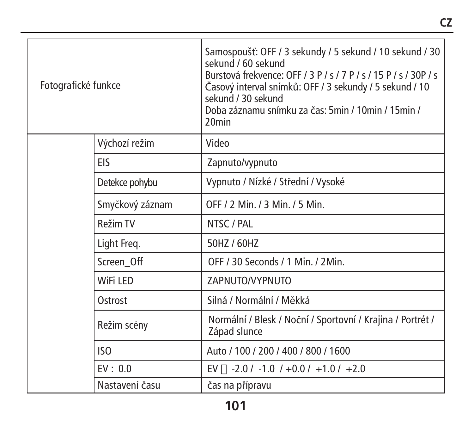| Fotografické funkce     |                 | Samospoušť: OFF / 3 sekundy / 5 sekund / 10 sekund / 30<br>sekund / 60 sekund<br>Burstová frekvence: OFF / 3 P / s / 7 P / s / 15 P / s / 30P / s<br>Časový interval snímků: OFF / 3 sekundy / 5 sekund / 10<br>sekund / 30 sekund<br>Doba záznamu snímku za čas: 5min / 10min / 15min /<br>20 <sub>min</sub> |
|-------------------------|-----------------|---------------------------------------------------------------------------------------------------------------------------------------------------------------------------------------------------------------------------------------------------------------------------------------------------------------|
|                         | Výchozí režim   | Video                                                                                                                                                                                                                                                                                                         |
|                         | <b>FIS</b>      | Zapnuto/vypnuto                                                                                                                                                                                                                                                                                               |
|                         | Detekce pohybu  | Vypnuto / Nízké / Střední / Vysoké                                                                                                                                                                                                                                                                            |
|                         | Smyčkový záznam | OFF / 2 Min. / 3 Min. / 5 Min.                                                                                                                                                                                                                                                                                |
| Režim TV<br>Light Freq. |                 | NTSC / PAI                                                                                                                                                                                                                                                                                                    |
|                         |                 | 50HZ / 60HZ                                                                                                                                                                                                                                                                                                   |
|                         | Screen_Off      | OFF / 30 Seconds / 1 Min. / 2Min.                                                                                                                                                                                                                                                                             |
|                         | WiFi I FD       | ZAPNUTO/VYPNUTO                                                                                                                                                                                                                                                                                               |
|                         | Ostrost         | Silná / Normální / Měkká                                                                                                                                                                                                                                                                                      |
|                         | Režim scény     | Normální / Blesk / Noční / Sportovní / Krajina / Portrét /<br>Západ slunce                                                                                                                                                                                                                                    |
| ISO                     |                 | Auto / 100 / 200 / 400 / 800 / 1600                                                                                                                                                                                                                                                                           |
|                         | EV: 0.0         | $-2.0/ -1.0/ +0.0/ +1.0/ +2.0$<br>FV -                                                                                                                                                                                                                                                                        |
|                         | Nastavení času  | čas na přípravu                                                                                                                                                                                                                                                                                               |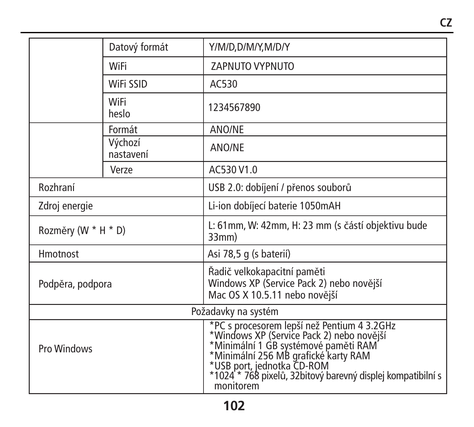|                     | Datový formát        | Y/M/D.D/M/Y.M/D/Y                                                                                                                                                                                                                                                                  |
|---------------------|----------------------|------------------------------------------------------------------------------------------------------------------------------------------------------------------------------------------------------------------------------------------------------------------------------------|
|                     | WiFi                 | ZAPNUTO VYPNUTO                                                                                                                                                                                                                                                                    |
|                     | WiFi SSID            | AC530                                                                                                                                                                                                                                                                              |
|                     | WiFi<br>heslo        | 1234567890                                                                                                                                                                                                                                                                         |
|                     | Formát               | ANO/NE                                                                                                                                                                                                                                                                             |
|                     | Výchozí<br>nastavení | ANO/NE                                                                                                                                                                                                                                                                             |
|                     | Verze                | AC530 V1.0                                                                                                                                                                                                                                                                         |
| Rozhraní            |                      | USB 2.0: dobíjení / přenos souborů                                                                                                                                                                                                                                                 |
| Zdroj energie       |                      | Li-ion dobíjecí baterie 1050mAH                                                                                                                                                                                                                                                    |
| Rozměry (W * H * D) |                      | L: 61mm, W: 42mm, H: 23 mm (s částí objektivu bude<br>33mm)                                                                                                                                                                                                                        |
| Hmotnost            |                      | Asi 78,5 g (s baterií)                                                                                                                                                                                                                                                             |
| Podpěra, podpora    |                      | Řadič velkokapacitní paměti<br>Windows XP (Service Pack 2) nebo novější<br>Mac OS X 10.5.11 nebo novější                                                                                                                                                                           |
|                     |                      | Požadavky na systém                                                                                                                                                                                                                                                                |
| Pro Windows         |                      | *PC s procesorem lepší než Pentium 4 3.2GHz<br>*Windows XP (Service Pack 2) nebo novější<br>*Minimální 1 GB systémové paměti RAM<br>*Minimální 256 MB grafické karty RAM<br>*USB port, jednotka CD-ROM<br>*1024 * 768 pixelů, 32bitový barevný displej kompatibilní s<br>monitorem |

 $\overline{\phantom{a}}$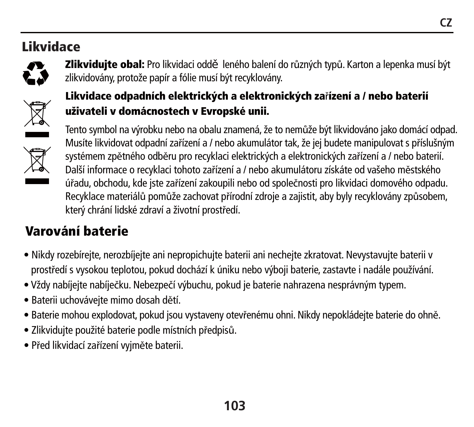### **Likvidace**



**Zlikvidujte obal:** Pro likvidaci odd leného balení do různých typů. Karton a lepenka musí být zlikvidovány, protože papír a fólie musí být recyklovány.



#### **Likvidace odpadních elektrických a elektronických za**ř**ízení a / nebo baterií uživateli v domácnostech v Evropské unii.**



Tento symbol na výrobku nebo na obalu znamená, že to nemůže být likvidováno jako domácí odpad. Musíte likvidovat odpadní zařízení a / nebo akumulátor tak, že jej budete manipulovat s příslušným systémem zpětného odběru pro recyklaci elektrických a elektronických zařízení a / nebo baterií. Další informace o recyklaci tohoto zařízení a / nebo akumulátoru získáte od vašeho městského úřadu, obchodu, kde jste zařízení zakoupili nebo od společnosti pro likvidaci domového odpadu. Recyklace materiálů pomůže zachovat přírodní zdroje a zajistit, aby byly recyklovány způsobem, který chrání lidské zdraví a životní prostředí.

## **Varování baterie**

- Nikdy rozebírejte, nerozbíjejte ani nepropichujte baterii ani nechejte zkratovat. Nevystavujte baterii v prostředí s vysokou teplotou, pokud dochází k úniku nebo výboji baterie, zastavte i nadále používání.
- Vždy nabíjejte nabíječku. Nebezpečí výbuchu, pokud je baterie nahrazena nesprávným typem.
- Baterii uchovávejte mimo dosah dětí.
- Baterie mohou explodovat, pokud jsou vystaveny otevřenému ohni. Nikdy nepokládejte baterie do ohně.
- Zlikvidujte použité baterie podle místních předpisů.
- Před likvidací zařízení vyjměte baterii.

**CZ**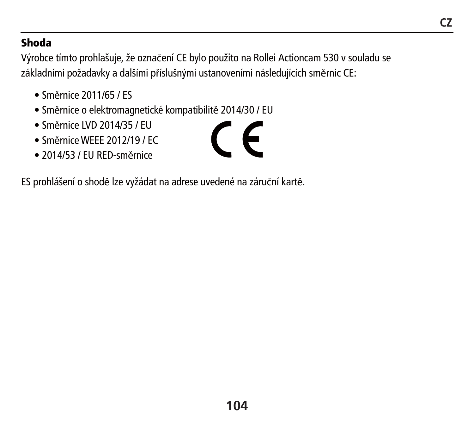#### **Shoda**

Výrobce tímto prohlašuje, že označení CE bylo použito na Rollei Actioncam 50 v souladu se základními požadavky a dalšími příslušnými ustanoveními následujících směrnic CE:

 $\in \epsilon$ 

- Směrnice 2011/65 / ES
- Směrnice o elektromagnetické kompatibilitě 2014/30 / EU
- Směrnice LVD 2014/35 / EU
- Směrnice WEEE 2012/19 / EC
- 2014/53 / EU RED-směrnice

ES prohlášení o shodě lze vyžádat na adrese uvedené na záruční kartě.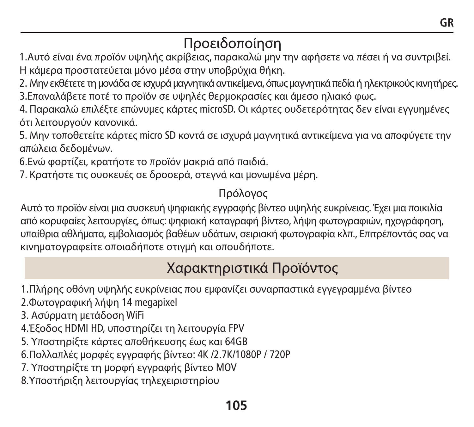## Προειδοποίηση

1.Αυτό είναι ένα προϊόν υψηλής ακρίβειας, παρακαλώ μην την αφήσετε να πέσει ή να συντριβεί. Η κάμερα προστατεύεται μόνο μέσα στην υποβρύχια θήκη.

2. Μην εκθέτετε τη μονάδα σε ισχυρά μαγνητικά αντικείμενα, όπως μαγνητικά πεδία ή ηλεκτρικούς κινητήρες. 3.Επαναλάβετε ποτέ το προϊόν σε υψηλές θερμοκρασίες και άμεσο ηλιακό φως.

4. Παρακαλώ επιλέξτε επώνυμες κάρτες microSD. Οι κάρτες ουδετερότητας δεν είναι εγγυημένες ότι λειτουργούν κανονικά.

5. Μην τοποθετείτε κάρτες micro SD κοντά σε ισχυρά μαγνητικά αντικείμενα για να αποφύγετε την απώλεια δεδομένων.

6.Ενώ φορτίζει, κρατήστε το προϊόν μακριά από παιδιά.

7. Κρατήστε τις συσκευές σε δροσερά, στεγνά και μονωμένα μέρη.

#### Πρόλονος

Αυτό το προϊόν είναι μια συσκευή ψηφιακής εγγραφής βίντεο υψηλής ευκρίνειας. Έχει μια ποικιλία από κορυφαίες λειτουργίες, όπως: ψηφιακή καταγραφή βίντεο, λήψη φωτογραφιών, ηχογράφηση, υπαίθρια αθλήματα, εμβολιασμός βαθέων υδάτων, σειριακή φωτογραφία κλπ., Επιτρέποντάς σας να κινηματογραφείτε οποιαδήποτε στιγμή και οπουδήποτε.

## Χαρακτηριστικά Προϊόντος

1.Πλήρης οθόνη υψηλής ευκρίνειας που εμφανίζει συναρπαστικά εγγεγραμμένα βίντεο

- 2.Φωτογραφική λήψη 14 megapixel
- 3. Ασύρματη μετάδοση WiFi
- 4.Έξοδος HDMI HD, υποστηρίζει τη λειτουργία FPV
- 5. Υποστηρίξτε κάρτες αποθήκευσης έως και 64GB
- 6.Πολλαπλές μορφές εγγραφής βίντεο: 4K /2.7K/1080P / 720P
- 7. Υποστηρίξτε τη μορφή εγγραφής βίντεο MOV
- 8.Υποστήριξη λειτουργίας τηλεχειριστηρίου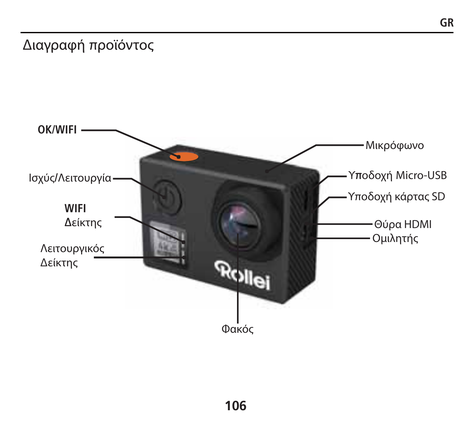## Διαγραφή προϊόντος

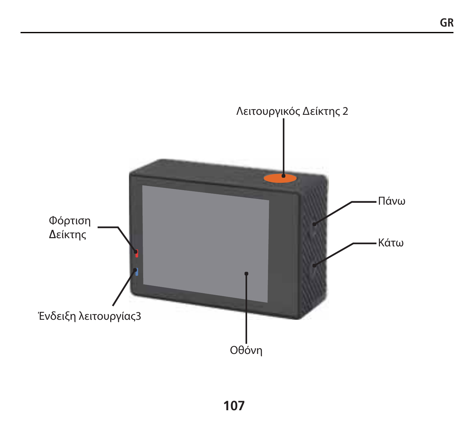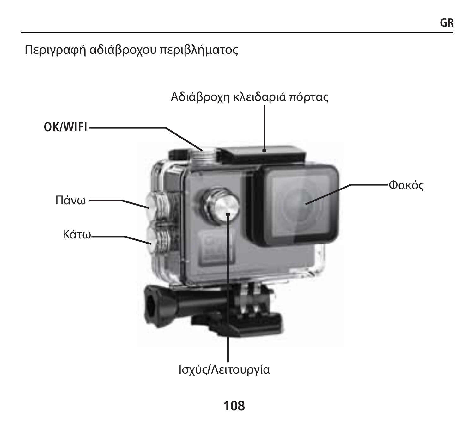Περιγραφή αδιάβροχου περιβλήματος

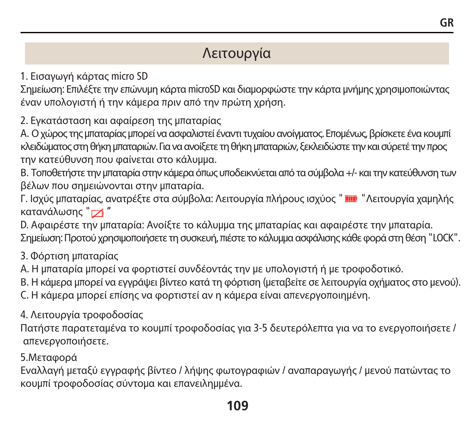## Λειτουργία

1. Εισαγωγή κάρτας micro SD

Σημείωση: Επιλέξτε την επώνυμη κάρτα microSD και διαμορφώστε την κάρτα μνήμης χρησιμοποιώντας έναν υπολογιστή ή την κάμερα πριν από την πρώτη χρήση.

2. Εγκατάσταση και αφαίρεση της μπαταρίας

A. Οχώρος της μπαταρίας μπορεί να ασφαλιστεί έναντι τυχαίου ανοίγματος. Επομένως, βρίσκετε ένα κουμπί κλειδώματοςστηθήκη μπαταριών. Γιαναανοίξετε τηθήκη μπαταριών, ξεκλειδώστε την καισύρετέ την προς την κατεύθυνση που φαίνεται στο κάλυμμα.

Β. Τοποθετήστε την μπαταρία στην κάμερα όπως υποδεικνύεται από τα σύμβολα +/- και την κατεύθυνση των βέλων που σημειώνονται στην μπαταρία.

Γ. Ισχύς μπαταρίας, ανατρέξτε στα σύμβολα: Λειτουργία πλήρους ισχύος " "Λειτουργία χαμηλής κατανάλωσης "<sub>Γ</sub>"

D. Αφαιρέστε την μπαταρία: Ανοίξτε το κάλυμμα της μπαταρίας και αφαιρέστε την μπαταρία. Σημείωση: Προτού χρησιμοποιήσετε τη συσκευή, πιέστε το κάλυμμα ασφάλισης κάθεφορά στη θέση "LOCK".

3. Φόρτιση μπαταρίας

A. Η μπαταρία μπορεί να φορτιστεί συνδέοντάς την με υπολογιστή ή με τροφοδοτικό.

Β. Η κάμερα μπορεί να εγγράψει βίντεο κατά τη φόρτιση (μεταβείτε σε λειτουργία οχήματος στο μενού).

C. Η κάμερα μπορεί επίσης να φορτιστεί αν η κάμερα είναι απενεργοποιημένη.

4. Λειτουργία τροφοδοσίας

Πατήστε παρατεταμένα το κουμπί τροφοδοσίας για 3-5 δευτερόλεπτα για να το ενεργοποιήσετε / απενεργοποιήσετε.

5.Μεταφορά

Εναλλαγή μεταξύ εγγραφής βίντεο / λήψης φωτογραφιών / αναπαραγωγής / μενού πατώντας το κουμπί τροφοδοσίας σύντομα και επανειλημμένα.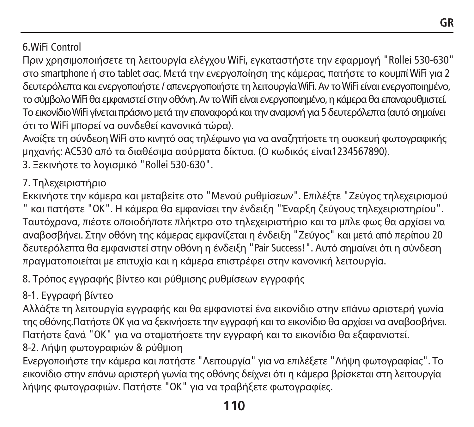6.WiFi Control

Πριν χρησιμοποιήσετε τη λειτουργία ελέγχου WiFi, εγκαταστήστε την εφαρμογή "Rollei 530-630" στο smartphone ή στο tablet σας. Μετά την ενεργοποίηση της κάμερας, πατήστε το κουμπί WiFi για 2 δευτερόλεπτα και ενεργοποιήστε / απενεργοποιήστε τη λειτουργία WiFi. Αν το WiFi είναι ενεργοποιημένο, το σύμβολο WiFi θα εμφανιστεί στην οθόνη. Αν το WiFi είναι ενεργοποιημένο, η κάμερα θα επαναρυθμιστεί. Το εικονίδιο WiFi γίνεται πράσινο μετά την επαναφορά και την αναμονή για 5 δευτερόλεπτα (αυτό σημαίνει ότι το WiFi μπορεί να συνδεθεί κανονικά τώρα).

Ανοίξτε τη σύνδεση WiFi στο κινητό σας τηλέφωνο για να αναζητήσετε τη συσκευή φωτογραφικής μηχανής: AC530 από τα διαθέσιμα ασύρματα δίκτυα. (Ο κωδικός είναι1234567890).

3. Ξεκινήστε το λογισμικό "Rollei 530-630".

7. Τηλεχειριστήριο

Εκκινήστε την κάμερα και μεταβείτε στο "Μενού ρυθμίσεων". Επιλέξτε "Ζεύγος τηλεχειρισμού " και πατήστε "OK". Η κάμερα θα εμφανίσει την ένδειξη "Έναρξη ζεύγους τηλεχειριστηρίου". Ταυτόχρονα, πιέστε οποιοδήποτε πλήκτρο στο τηλεχειριστήριο και το μπλε φως θα αρχίσει να αναβοσβήνει. Στην οθόνη της κάμερας εμφανίζεται η ένδειξη "Ζεύγος" και μετά από περίπου 20 δευτερόλεπτα θα εμφανιστεί στην οθόνη η ένδειξη "Pair Success!". Αυτό σημαίνει ότι η σύνδεση πραγματοποιείται με επιτυχία και η κάμερα επιστρέφει στην κανονική λειτουργία.

8. Τρόπος εγγραφής βίντεο και ρύθμισης ρυθμίσεων εγγραφής

8-1. Εγγραφή βίντεο

Αλλάξτε τη λειτουργία εγγραφής και θα εμφανιστεί ένα εικονίδιο στην επάνω αριστερή γωνία της οθόνης.Πατήστε OK για να ξεκινήσετε την εγγραφή και το εικονίδιο θα αρχίσει να αναβοσβήνει. Πατήστε ξανά "OK" για να σταματήσετε την εγγραφή και το εικονίδιο θα εξαφανιστεί.

8-2. Λήψη φωτογραφιών & ρύθμιση

Ενεργοποιήστε την κάμερα και πατήστε "Λειτουργία" για να επιλέξετε "Λήψη φωτογραφίας". Το εικονίδιο στην επάνω αριστερή γωνία της οθόνης δείχνει ότι η κάμερα βρίσκεται στη λειτουργία λήψης φωτογραφιών. Πατήστε "OK" για να τραβήξετε φωτογραφίες.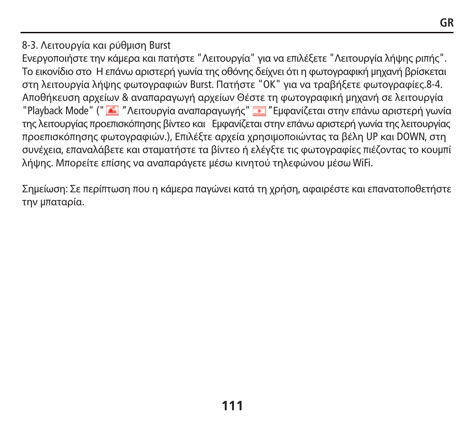8-3. Λειτουργία και ρύθμιση Burst

Ενεργοποιήστε την κάμερα και πατήστε "Λειτουργία" για να επιλέξετε "Λειτουργία λήψης ριπής". Το εικονίδιο στο Η επάνω αριστερή γωνία της οθόνης δείχνει ότι η φωτογραφική μηχανή βρίσκεται στη λειτουργία λήψης φωτογραφιών Burst. Πατήστε "OK" για να τραβήξετε φωτογραφίες.8-4. Αποθήκευση αρχείων & αναπαραγωγή αρχείων Θέστε τη φωτογραφική μηχανή σε λειτουργία "Playback Mode" (" " "Λειτουργία αναπαραγωγής" " "Έμφανίζεται στην επάνω αριστερή γωνία της λειτουργίας προεπισκόπησης βίντεο και Εμφανίζεται στην επάνω αριστερή γωνία της λειτουργίας προεπισκόπησης φωτογραφιών.), Επιλέξτε αρχεία χρησιμοποιώντας τα βέλη UP και DOWN, στη συνέχεια, επαναλάβετε και σταματήστε τα βίντεο ή ελέγξτε τις φωτογραφίες πιέζοντας το κουμπί λήψης. Μπορείτε επίσης να αναπαράγετε μέσω κινητού τηλεφώνου μέσω WiFi.

Σημείωση: Σε περίπτωση που η κάμερα παγώνει κατά τη χρήση, αφαιρέστε και επανατοποθετήστε την μπαταρία.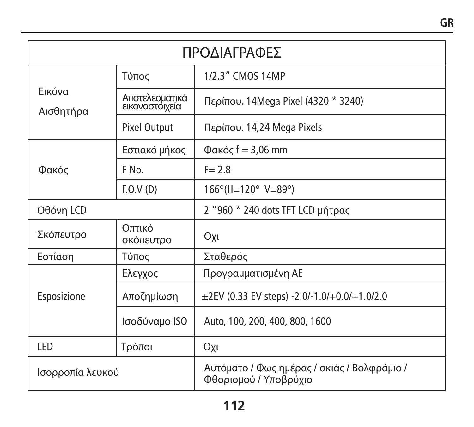| ΠΡΟΔΙΑΓΡΑΦΕΣ        |                                  |                                                                      |
|---------------------|----------------------------------|----------------------------------------------------------------------|
|                     | Τύπος                            | 1/2.3" CMOS 14MP                                                     |
| Εικόνα<br>Αισθητήρα | Αποτελεσματικά<br>εικονοστοιχεία | Περίπου. 14Mega Pixel (4320 * 3240)                                  |
|                     | Pixel Output                     | Περίπου. 14,24 Mega Pixels                                           |
|                     | Εστιακό μήκος                    | $Φακός f = 3.06$ mm                                                  |
| Φακός               | F No.                            | $F = 2.8$                                                            |
|                     | F.O.V(D)                         | $166^{\circ}$ (H=120° V=89°)                                         |
| Oθόνη LCD           |                                  | 2 "960 * 240 dots TFT LCD μήτρας                                     |
| Σκόπευτρο           | Οπτικό<br>σκόπευτρο              | Oxi                                                                  |
| Εστίαση             | Τύπος                            | Σταθερός                                                             |
|                     | Ελεγχος                          | Προγραμματισμένη ΑΕ                                                  |
| Esposizione         | Αποζημίωση                       | ±2EV (0.33 EV steps) -2.0/-1.0/+0.0/+1.0/2.0                         |
|                     | Ισοδύναμο ISO                    | Auto, 100, 200, 400, 800, 1600                                       |
| LED                 | Τρόποι                           | Oxi                                                                  |
| Ισορροπία λευκού    |                                  | Αυτόματο / Φως ημέρας / σκιάς / Βολφράμιο /<br>Φθορισμού / Υποβρύχιο |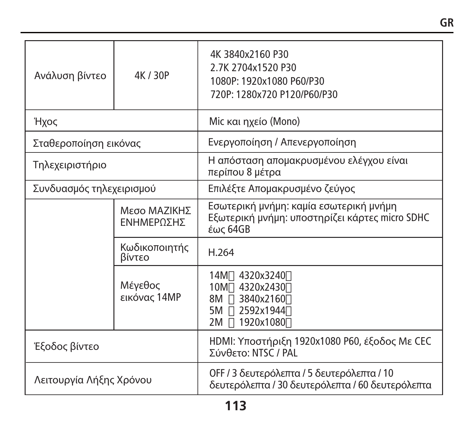| Ανάλυση βίντεο           | 4K / 30P                   | 4K 3840x2160 P30<br>2 7K 2704x1520 P30<br>1080P: 1920x1080 P60/P30<br>720P: 1280x720 P120/P60/P30    |
|--------------------------|----------------------------|------------------------------------------------------------------------------------------------------|
| Ήχος                     |                            | Mic και ηχείο (Mono)                                                                                 |
| Σταθεροποίηση εικόνας    |                            | Ενεργοποίηση / Απενεργοποίηση                                                                        |
| Τηλεχειριστήριο          |                            | Η απόσταση απομακρυσμένου ελέγχου είναι<br>περίπου 8 μέτρα                                           |
| Συνδυασμός τηλεχειρισμού |                            | Επιλέξτε Απομακρυσμένο ζεύγος                                                                        |
|                          | Μεσο ΜΑΖΙΚΗΣ<br>ΕΝΗΜΕΡΩΣΗΣ | Εσωτερική μνήμη: καμία εσωτερική μνήμη<br>Εξωτερική μνήμη: υποστηρίζει κάρτες micro SDHC<br>έως 64GB |
|                          | Κωδικοποιητής<br>βίντεο    | H 264                                                                                                |
|                          | Μέγεθος<br>εικόνας 14ΜΡ    | 4320x3240<br>14M<br>10M 4320x2430<br>8M<br>3840x2160<br>5M<br>2592x1944<br>1920x1080<br>2M           |
| Έξοδος βίντεο            |                            | HDMI: Υποστήριξη 1920x1080 Ρ60, έξοδος Με CEC<br>Σύνθετο: NTSC / PAL                                 |
| Λειτουργία Λήξης Χρόνου  |                            | OFF / 3 δευτερόλεπτα / 5 δευτερόλεπτα / 10<br>δευτερόλεπτα / 30 δευτερόλεπτα / 60 δευτερόλεπτα       |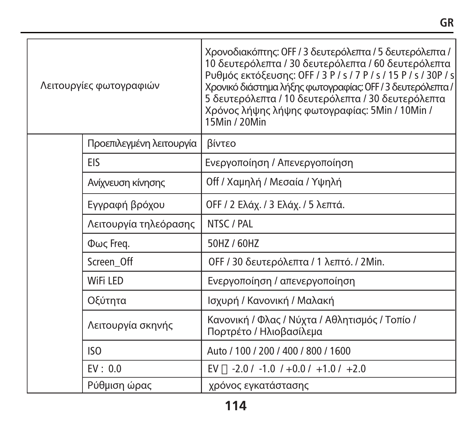| Λειτουργίες φωτογραφιών  | Χρονοδιακόπτης: ΟΕΕ / 3 δευτερόλεπτα / 5 δευτερόλεπτα /<br>10 δευτερόλεπτα / 30 δευτερόλεπτα / 60 δευτερόλεπτα<br>Ρυθμός εκτόξευσης: OFF / 3 Ρ / s / 7 Ρ / s / 15 Ρ / s / 30Ρ / s<br>Χρονικό διάστημα λήξης φωτογραφίας: OFF / 3 δευτερόλεπτα /<br>5 δευτερόλεπτα / 10 δευτερόλεπτα / 30 δευτερόλεπτα<br>Χρόνος λήψης λήψης φωτογραφίας: 5Min / 10Min /<br>15Min / 20Min |
|--------------------------|--------------------------------------------------------------------------------------------------------------------------------------------------------------------------------------------------------------------------------------------------------------------------------------------------------------------------------------------------------------------------|
| Προεπιλεγμένη λειτουργία | βίντεο                                                                                                                                                                                                                                                                                                                                                                   |
| <b>FIS</b>               | Ενεργοποίηση / Απενεργοποίηση                                                                                                                                                                                                                                                                                                                                            |
| Ανίχνευση κίνησης        | Off / Χαμηλή / Μεσαία / Υψηλή                                                                                                                                                                                                                                                                                                                                            |
| Εγγραφή βρόχου           | OFF / 2 Ελάχ. / 3 Ελάχ. / 5 λεπτά.                                                                                                                                                                                                                                                                                                                                       |
| Λειτουργία τηλεόρασης    | NTSC / PAL                                                                                                                                                                                                                                                                                                                                                               |
| Φως Freq.                | 50HZ / 60HZ                                                                                                                                                                                                                                                                                                                                                              |
| Screen Off               | ΟΕΕ / 30 δευτερόλεπτα / 1 λεπτό. / 2Min.                                                                                                                                                                                                                                                                                                                                 |
| WiFi I FD                | Ενεργοποίηση / απενεργοποίηση                                                                                                                                                                                                                                                                                                                                            |
| Οξύτητα                  | Ισχυρή / Κανονική / Μαλακή                                                                                                                                                                                                                                                                                                                                               |
| Λειτουργία σκηνής        | Κανονική / Φλας / Νύχτα / Αθλητισμός / Τοπίο /<br>Πορτρέτο / Ηλιοβασίλεμα                                                                                                                                                                                                                                                                                                |
| ISO                      | Auto / 100 / 200 / 400 / 800 / 1600                                                                                                                                                                                                                                                                                                                                      |
| EV: 0.0                  | $-2.0/ -1.0/ +0.0/ +1.0/ +2.0$<br>FV                                                                                                                                                                                                                                                                                                                                     |
| Ρύθμιση ώρας             | χρόνος εγκατάστασης                                                                                                                                                                                                                                                                                                                                                      |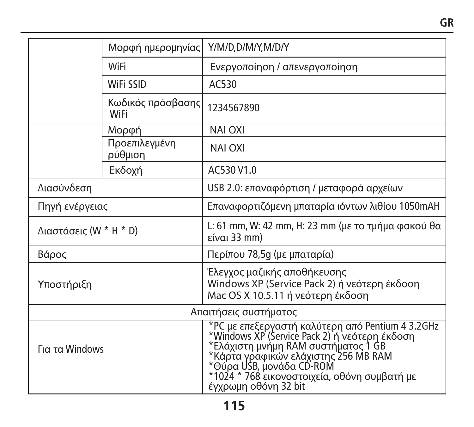|                        | Μορφή ημερομηνίας         | Y/M/D.D/M/Y.M/D/Y                                                                                                                                                                                                                                                                                                |
|------------------------|---------------------------|------------------------------------------------------------------------------------------------------------------------------------------------------------------------------------------------------------------------------------------------------------------------------------------------------------------|
|                        | WiFi                      | Ενεργοποίηση / απενεργοποίηση                                                                                                                                                                                                                                                                                    |
|                        | WiFi SSID                 | AC530                                                                                                                                                                                                                                                                                                            |
|                        | Κωδικός πρόσβασης<br>WiFi | 1234567890                                                                                                                                                                                                                                                                                                       |
|                        | Μορφή                     | <b>NAI OXI</b>                                                                                                                                                                                                                                                                                                   |
|                        | Προεπιλεγμένη<br>ρύθμιση  | <b>NAI OXI</b>                                                                                                                                                                                                                                                                                                   |
|                        | Εκδοχή                    | AC530 V1.0                                                                                                                                                                                                                                                                                                       |
| Διασύνδεση             |                           | USB 2.0: επαναφόρτιση / μεταφορά αρχείων                                                                                                                                                                                                                                                                         |
| Πηγή ενέργειας         |                           | Επαναφορτιζόμενη μπαταρία ιόντων λιθίου 1050mAH                                                                                                                                                                                                                                                                  |
| Διαστάσεις (W * H * D) |                           | L: 61 mm, W: 42 mm, H: 23 mm (με το τμήμα φακού θα<br>είναι 33 mm)                                                                                                                                                                                                                                               |
| Βάρος                  |                           | Περίπου 78,5g (με μπαταρία)                                                                                                                                                                                                                                                                                      |
| Υποστήριξη             |                           | Έλεγχος μαζικής αποθήκευσης<br>Windows XP (Service Pack 2) ή νεότερη έκδοση<br>Mac OS X 10.5.11 ή νεότερη έκδοση                                                                                                                                                                                                 |
| Απαιτήσεις συστήματος  |                           |                                                                                                                                                                                                                                                                                                                  |
| Για τα Windows         |                           | *PC με επεξεργαστή καλύτερη από Pentium 4 3.2GHz<br>*Windows XP (Service Pack 2) ή νεότερη έκδοση<br>*Ελάχιστη μνήμη RAM συστήματος 1 GB<br>*Κάρτα γραφικών ελάχιστης 256 MB RAM<br>*Θύρα USB, μονάδα CD-ROM<br>*Ούρα USB, μονάδα CD-ROM<br>*1024 * 768 εικονοστοιχεία, οθόνη συμβατή με<br>έγχρωμη οθόνη 32 bit |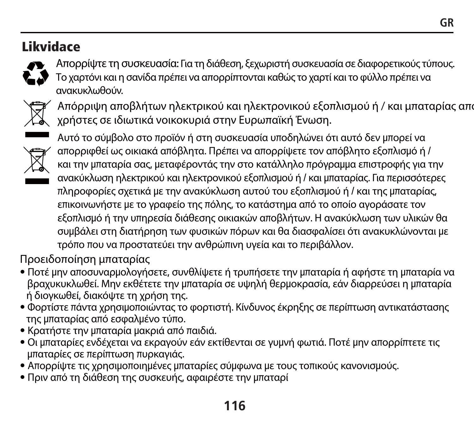#### **Likvidace**



Απορρίψτε τη συσκευασία: Για τη διάθεση, ξεχωριστή συσκευασία σε διαφορετικούς τύπους. Το χαρτόνι και η σανίδα πρέπει να απορρίπτονται καθώς το χαρτί και το φύλλο πρέπει να ανακυκλωθούν.



Απόρριψη αποβλήτων ηλεκτρικού και ηλεκτρονικού εξοπλισμού ή / και μπαταρίας από χρήστες σε ιδιωτικά νοικοκυριά στην Ευρωπαϊκή Ένωση.



Αυτό το σύμβολο στο προϊόν ή στη συσκευασία υποδηλώνει ότι αυτό δεν μπορεί να απορριφθεί ως οικιακά απόβλητα. Πρέπει να απορρίψετε τον απόβλητο εξοπλισμό ή / και την μπαταρία σας, μεταφέροντάς την στο κατάλληλο πρόγραμμα επιστροφής για την ανακύκλωση ηλεκτρικού και ηλεκτρονικού εξοπλισμού ή / και μπαταρίας. Για περισσότερες πληροφορίες σχετικά με την ανακύκλωση αυτού του εξοπλισμού ή / και της μπαταρίας, επικοινωνήστε με το γραφείο της πόλης, το κατάστημα από το οποίο αγοράσατε τον εξοπλισμό ή την υπηρεσία διάθεσης οικιακών αποβλήτων. Η ανακύκλωση των υλικών θα συμβάλει στη διατήρηση των φυσικών πόρων και θα διασφαλίσει ότι ανακυκλώνονται με τρόπο που να προστατεύει την ανθρώπινη υγεία και το περιβάλλον.

Προειδοποίηση μπαταρίας

- Ποτέ μην αποσυναρμολογήσετε, συνθλίψετε ή τρυπήσετε την μπαταρία ή αφήστε τη μπαταρία να βραχυκυκλωθεί. Μην εκθέτετε την μπαταρία σε υψηλή θερμοκρασία, εάν διαρρεύσει η μπαταρία ή διογκωθεί, διακόψτε τη χρήση της.
- Φορτίστε πάντα χρησιμοποιώντας το φορτιστή. Κίνδυνος έκρηξης σε περίπτωση αντικατάστασης της μπαταρίας από εσφαλμένο τύπο.
- Κρατήστε την μπαταρία μακριά από παιδιά.
- Οι μπαταρίες ενδέχεται να εκραγούν εάν εκτίθενται σε γυμνή φωτιά. Ποτέ μην απορρίπτετε τις μπαταρίες σε περίπτωση πυρκαγιάς.
- Απορρίψτε τις χρησιμοποιημένες μπαταρίες σύμφωνα με τους τοπικούς κανονισμούς.
- Πριν από τη διάθεση της συσκευής, αφαιρέστε την μπαταρί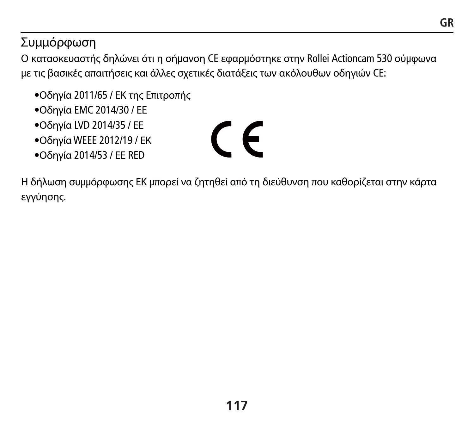#### Συμμόρφωση

Ο κατασκευαστής δηλώνει ότι η σήμανση CE εφαρμόστηκε στην Rollei Actioncam 30 σύμφωνα με τις βασικές απαιτήσεις και άλλες σχετικές διατάξεις των ακόλουθων οδηγιών CE:

- •Οδηγία 2011/65 / ΕΚ της Επιτροπής
- •Οδηγία EMC 2014/30 / ΕΕ
- •Οδηγία LVD 2014/35 / ΕΕ
- •Οδηγία WEEE 2012/19 / ΕΚ
- •Οδηγία 2014/53 / ΕΕ RED

Η δήλωση συμμόρφωσης ΕΚ μπορεί να ζητηθεί από τη διεύθυνση που καθορίζεται στην κάρτα εγγύησης.

## $\epsilon$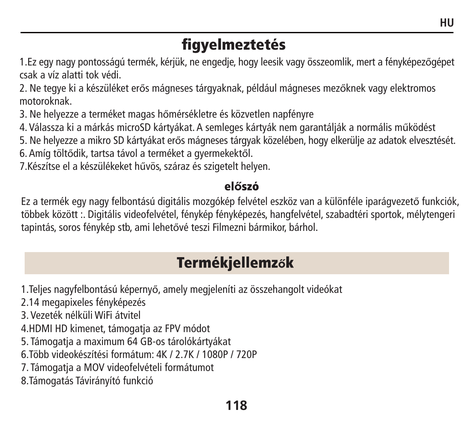#### **figyelmeztetés**

1.Ez egy nagy pontosságú termék, kérjük, ne engedje, hogy leesik vagy összeomlik, mert a fényképezőgépet csak a víz alatti tok védi.

2. Ne tegye ki a készüléket erős mágneses tárgyaknak, például mágneses mezőknek vagy elektromos motoroknak.

3. Ne helyezze a terméket magas hőmérsékletre és közvetlen napfényre

4. Válassza ki a márkás microSD kártyákat. A semleges kártyák nem garantálják a normális működést

5. Ne helyezze a mikro SD kártyákat erős mágneses tárgyak közelében, hogy elkerülje az adatok elvesztését. 6. Amíg töltődik, tartsa távol a terméket a gyermekektől.

7.Készítse el a készülékeket hűvös, száraz és szigetelt helyen.

#### فعكاه

Ez a termék egy nagy felbontású digitális mozgókép felvétel eszköz van a különféle iparágvezető funkciók, többek között :. Digitális videofelvétel, fénykép fényképezés, hangfelvétel, szabadtéri sportok, mélytengeri tapintás, soros fénykép stb, ami lehetővé teszi Filmezni bármikor, bárhol.

## **Termékiellemzők**

- 1.Teljes nagyfelbontású képernyő, amely megjeleníti az összehangolt videókat
- 2.14 megapixeles fényképezés
- 3. Vezeték nélküli WiFi átvitel
- 4.HDMI HD kimenet, támogatja az FPV módot
- 5. Támogatja a maximum 64 GB-os tárolókártyákat
- 6.Több videokészítési formátum: 4K / 2.7K / 1080P / 720P
- 7. Támogatja a MOV videofelvételi formátumot
- 8.Támogatás Távirányító funkció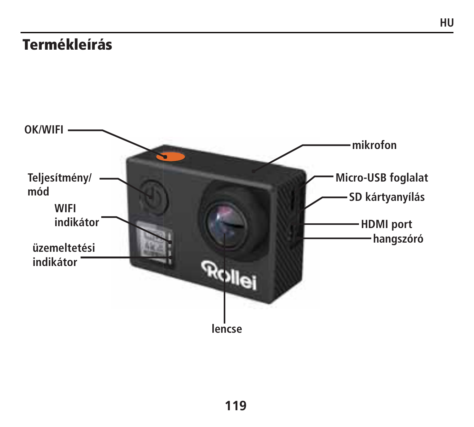## **Termékleírás**

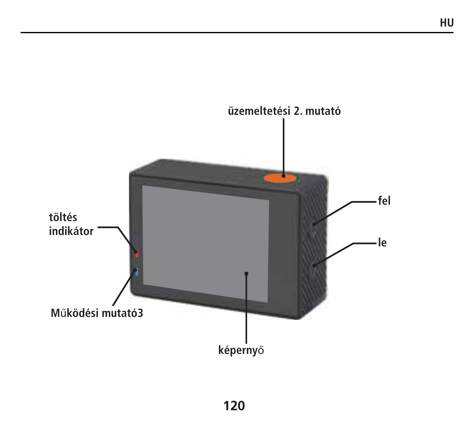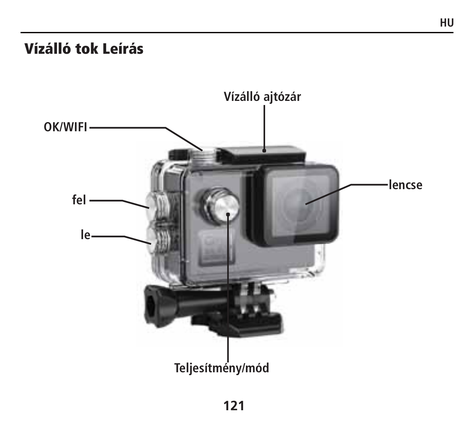## **Vízálló tok Leírás**

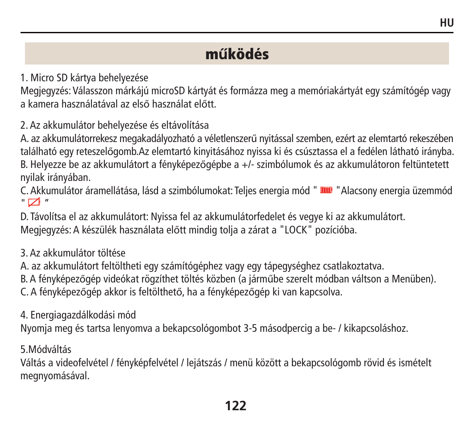### működés

1. Micro SD kártya behelyezése

Megjegyzés: Válasszon márkájú microSD kártyát és formázza meg a memóriakártyát egy számítógép vagy a kamera használatával az első használat előtt.

2. Az akkumulátor behelyezése és eltávolítása

A. az akkumulátorrekesz megakadályozható a véletlenszerű nyitással szemben, ezért az elemtartó rekeszében található egy reteszelőgomb.Az elemtartó kinyitásához nyissa ki és csúsztassa el a fedélen látható irányba. B. Helyezze be az akkumulátort a fényképezőgépbe a +/- szimbólumok és az akkumulátoron feltüntetett nyilak irányában.

C. Akkumulátor áramellátása, lásd a szimbólumokat: Teljes energia mód " "Alacsony energia üzemmód " "

D. Távolítsa el az akkumulátort: Nyissa fel az akkumulátorfedelet és vegye ki az akkumulátort. Megjegyzés: A készülék használata előtt mindig tolja a zárat a "LOCK" pozícióba.

3. Az akkumulátor töltése

A. az akkumulátort feltöltheti egy számítógéphez vagy egy tápegységhez csatlakoztatva.

B. A fényképezőgép videókat rögzíthet töltés közben (a járműbe szerelt módban váltson a Menüben).

C. A fényképezőgép akkor is feltölthető, ha a fényképezőgép ki van kapcsolva.

4. Energiagazdálkodási mód

Nyomja meg és tartsa lenyomva a bekapcsológombot 3-5 másodpercig a be- / kikapcsoláshoz.

#### 5.Módváltás

Váltás a videofelvétel / fényképfelvétel / lejátszás / menü között a bekapcsológomb rövid és ismételt megnyomásával.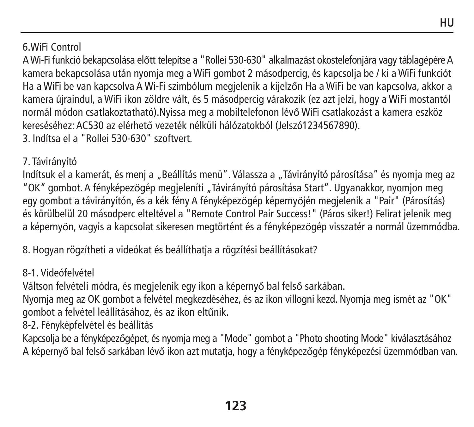#### 6.WiFi Control

A Wi-Fi funkció bekapcsolása előtt telepítse a "Rollei 530-630" alkalmazást okostelefonjára vagy táblagépére A kamera bekapcsolása után nyomja meg a WiFi gombot 2 másodpercig, és kapcsolja be / ki a WiFi funkciót Ha a WiFi be van kapcsolva A Wi-Fi szimbólum megjelenik a kijelzőn Ha a WiFi be van kapcsolva, akkor a kamera újraindul, a WiFi ikon zöldre vált, és 5 másodpercig várakozik (ez azt jelzi, hogy a WiFi mostantól normál módon csatlakoztatható).Nyissa meg a mobiltelefonon lévő WiFi csatlakozást a kamera eszköz kereséséhez: AC530 az elérhető vezeték nélküli hálózatokból (Jelszó1234567890). 3. Indítsa el a "Rollei 530-630" szoftvert.

#### 7. Távirányító

Indítsuk el a kamerát, és menj a "Beállítás menü". Válassza a "Távirányító párosítása" és nyomja meg az "OK" gombot. A fényképezőgép megjeleníti "Távirányító párosítása Start". Ugyanakkor, nyomjon meg egy gombot a távirányítón, és a kék fény A fényképezőgép képernyőjén megjelenik a "Pair" (Párosítás) és körülbelül 20 másodperc elteltével a "Remote Control Pair Success!" (Páros siker!) Felirat jelenik meg a képernyőn, vagyis a kapcsolat sikeresen megtörtént és a fényképezőgép visszatér a normál üzemmódba.

8. Hogyan rögzítheti a videókat és beállíthatja a rögzítési beállításokat?

#### 8-1. Videófelvétel

Váltson felvételi módra, és megjelenik egy ikon a képernyő bal felső sarkában.

Nyomja meg az OK gombot a felvétel megkezdéséhez, és az ikon villogni kezd. Nyomja meg ismét az "OK" gombot a felvétel leállításához, és az ikon eltűnik.

8-2. Fényképfelvétel és beállítás

Kapcsolja be a fényképezőgépet, és nyomja meg a "Mode" gombot a "Photo shooting Mode" kiválasztásához A képernyő bal felső sarkában lévő ikon azt mutatja, hogy a fényképezőgép fényképezési üzemmódban van.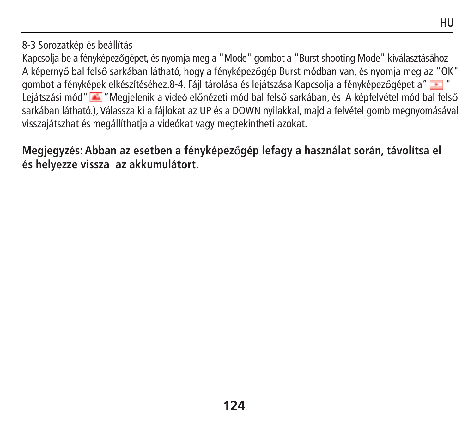8-3 Sorozatkép és beállítás

Kapcsolja be a fényképezőgépet, és nyomja meg a "Mode" gombot a "Burst shooting Mode" kiválasztásához A képernyő bal felső sarkában látható, hogy a fényképezőgép Burst módban van, és nyomja meg az "OK" gombot a fényképek elkészítéséhez.8-4. Fájl tárolása és lejátszása Kapcsolja a fényképezőgépet a" " Lejátszási mód" "Megjelenik a videó előnézeti mód bal felső sarkában, és A képfelvétel mód bal felső sarkában látható.), Válassza ki a fájlokat az UP és a DOWN nyilakkal, majd a felvétel gomb megnyomásával visszajátszhat és megállíthatja a videókat vagy megtekintheti azokat.

**Megjegyzés: Abban az esetben a fényképez**ő**gép lefagy a használat során, távolítsa el és helyezze vissza az akkumulátort.**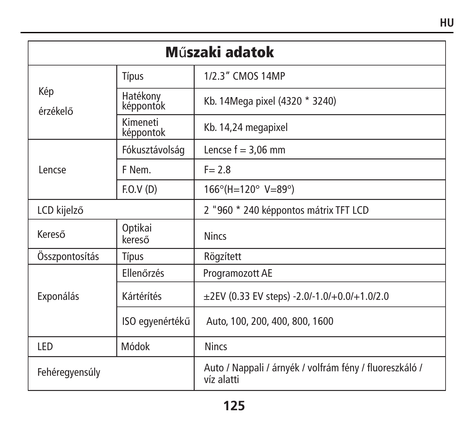| Műszaki adatok  |                       |                                                                       |
|-----------------|-----------------------|-----------------------------------------------------------------------|
| Kép<br>érzékelő | Típus                 | 1/2.3" CMOS 14MP                                                      |
|                 | Hatékony<br>képpontók | Kb. 14Mega pixel (4320 * 3240)                                        |
|                 | Kimeneti<br>képpontok | Kb. 14,24 megapixel                                                   |
|                 | Fókusztávolság        | Lencse $f = 3,06$ mm                                                  |
| Lencse          | F Nem                 | $F = 2.8$                                                             |
|                 | F.O.V(D)              | $166^{\circ}$ (H=120° V=89°)                                          |
| LCD kijelző     |                       | 2 "960 * 240 képpontos mátrix TFT LCD                                 |
| Kereső          | Optikai<br>kereső     | Nincs                                                                 |
| Összpontosítás  | Típus                 | Rögzített                                                             |
|                 | Fllenőrzés            | Programozott AE                                                       |
| Exponálás       | Kártérítés            | ±2EV (0.33 EV steps) -2.0/-1.0/+0.0/+1.0/2.0                          |
|                 | ISO egyenértékű       | Auto, 100, 200, 400, 800, 1600                                        |
| LED             | Módok                 | <b>Nincs</b>                                                          |
| Fehéregyensúly  |                       | Auto / Nappali / árnyék / volfrám fény / fluoreszkáló /<br>víz alatti |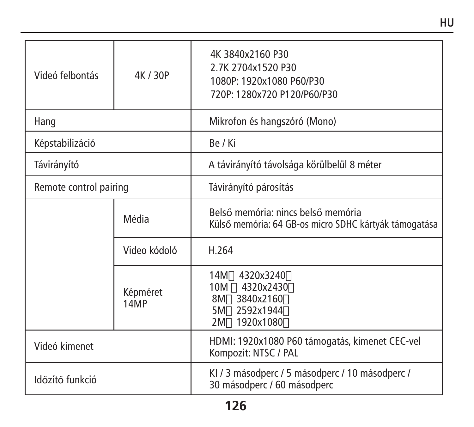| Videó felbontás        | 4K / 30P         | 4K 3840x2160 P30<br>2.7K 2704x1520 P30<br>1080P: 1920x1080 P60/P30<br>720P: 1280x720 P120/P60/P30 |  |
|------------------------|------------------|---------------------------------------------------------------------------------------------------|--|
| Hang                   |                  | Mikrofon és hangszóró (Mono)                                                                      |  |
| Képstabilizáció        |                  | Be / Ki                                                                                           |  |
| Távirányító            |                  | A távirányító távolsága körülbelül 8 méter                                                        |  |
| Remote control pairing |                  | Távirányító párosítás                                                                             |  |
|                        | Média            | Belső memória: nincs belső memória<br>Külső memória: 64 GB-os micro SDHC kártyák támogatása       |  |
|                        | Video kódoló     | H.264                                                                                             |  |
|                        | Képméret<br>14MP | 14M<br>4320x3240<br>4320x2430<br>10M<br>3840x2160<br>8M<br>5M<br>2592x1944<br>1920x1080<br>2M     |  |
| Videó kimenet          |                  | HDMI: 1920x1080 P60 támogatás, kimenet CEC-vel<br>Kompozit: NTSC / PAL                            |  |
| Időzítő funkció        |                  | KI / 3 másodperc / 5 másodperc / 10 másodperc /<br>30 másodperc / 60 másodperc                    |  |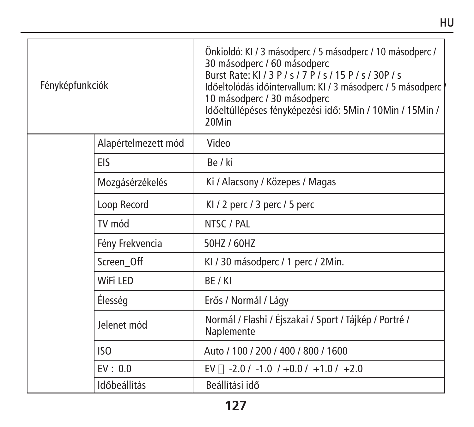| Fényképfunkciók |                     | Önkioldó: KI / 3 másodperc / 5 másodperc / 10 másodperc /<br>30 másodperc / 60 másodperc<br>Burst Rate: KI / 3 P / s / 7 P / s / 15 P / s / 30P / s<br>Időeltolódás időintervallum: KI / 3 másodperc / 5 másodperc .<br>10 másodperc / 30 másodperc<br>Időeltúllépéses fényképezési idő: 5Min / 10Min / 15Min /<br>20Min |
|-----------------|---------------------|--------------------------------------------------------------------------------------------------------------------------------------------------------------------------------------------------------------------------------------------------------------------------------------------------------------------------|
|                 | Alapértelmezett mód | Video                                                                                                                                                                                                                                                                                                                    |
|                 | <b>FIS</b>          | Be / ki                                                                                                                                                                                                                                                                                                                  |
|                 | Mozgásérzékelés     | Ki / Alacsony / Közepes / Magas                                                                                                                                                                                                                                                                                          |
|                 | Loop Record         | KI / 2 perc / 3 perc / 5 perc                                                                                                                                                                                                                                                                                            |
|                 | TV mód              | NTSC / PAL                                                                                                                                                                                                                                                                                                               |
| Fény Frekvencia |                     | 50HZ / 60HZ                                                                                                                                                                                                                                                                                                              |
|                 | Screen Off          | KI / 30 másodperc / 1 perc / 2Min.                                                                                                                                                                                                                                                                                       |
|                 | WiFi LED            | BE/KI                                                                                                                                                                                                                                                                                                                    |
|                 | Élesség             | Erős / Normál / Lágy                                                                                                                                                                                                                                                                                                     |
|                 | Jelenet mód         | Normál / Flashi / Éjszakai / Sport / Tájkép / Portré /<br>Naplemente                                                                                                                                                                                                                                                     |
|                 | ISO                 | Auto / 100 / 200 / 400 / 800 / 1600                                                                                                                                                                                                                                                                                      |
|                 | EV: 0.0             | $-2.0$ / $-1.0$ / $+0.0$ / $+1.0$ / $+2.0$<br>FV                                                                                                                                                                                                                                                                         |
|                 | Időbeállítás        | Beállítási idő                                                                                                                                                                                                                                                                                                           |

-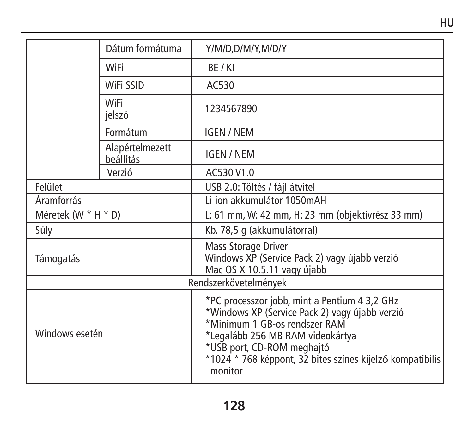|                         | Dátum formátuma              | Y/M/D.D/M/Y.M/D/Y                                                                                                                                                                                                                                                          |
|-------------------------|------------------------------|----------------------------------------------------------------------------------------------------------------------------------------------------------------------------------------------------------------------------------------------------------------------------|
|                         | WiFi                         | BE / KI                                                                                                                                                                                                                                                                    |
|                         | WiFi SSID                    | AC530                                                                                                                                                                                                                                                                      |
|                         | WiFi<br>jelszó               | 1234567890                                                                                                                                                                                                                                                                 |
|                         | Formátum                     | <b>IGEN / NEM</b>                                                                                                                                                                                                                                                          |
|                         | Alapértelmezett<br>beállítás | <b>IGFN / NFM</b>                                                                                                                                                                                                                                                          |
|                         | Verzió                       | AC530 V1.0                                                                                                                                                                                                                                                                 |
| Felület                 |                              | USB 2.0: Töltés / fájl átvitel                                                                                                                                                                                                                                             |
| Áramforrás              |                              | Li-ion akkumulátor 1050mAH                                                                                                                                                                                                                                                 |
| Méretek (W $*$ H $*$ D) |                              | L: 61 mm, W: 42 mm, H: 23 mm (objektívrész 33 mm)                                                                                                                                                                                                                          |
| Súly                    |                              | Kb. 78,5 g (akkumulátorral)                                                                                                                                                                                                                                                |
| Támogatás               |                              | Mass Storage Driver<br>Windows XP (Service Pack 2) vagy újabb verzió<br>Mac OS X 10.5.11 vagy újabb                                                                                                                                                                        |
|                         |                              | Rendszerkövetelmények                                                                                                                                                                                                                                                      |
| Windows esetén          |                              | *PC processzor jobb, mint a Pentium 4 3,2 GHz<br>*Windows XP (Service Pack 2) vagy újabb verzió<br>*Minimum 1 GB-os rendszer RAM<br>*Legalább 256 MB RAM videokártya<br>*USB port, CD-ROM meghajtó<br>*1024 * 768 képpont, 32 bites színes kijelző kompatibilis<br>monitor |

**HU**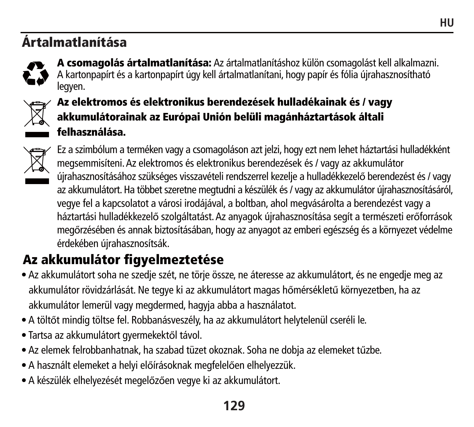## **Ártalmatlanítása**



**A csomagolás ártalmatlanítása:** Az ártalmatlanításhoz külön csomagolást kell alkalmazni. A kartonpapírt és a kartonpapírt úgy kell ártalmatlanítani, hogy papír és fólia újrahasznosítható legyen.



#### **Az elektromos és elektronikus berendezések hulladékainak és / vagy akkumulátorainak az Európai Unión belüli magánháztartások általi felhasználása.**



Ez a szimbólum a terméken vagy a csomagoláson azt jelzi, hogy ezt nem lehet háztartási hulladékként megsemmisíteni. Az elektromos és elektronikus berendezések és / vagy az akkumulátor újrahasznosításához szükséges visszavételi rendszerrel kezelje a hulladékkezelő berendezést és / vagy az akkumulátort. Ha többet szeretne megtudni a készülék és / vagy az akkumulátor újrahasznosításáról, vegye fel a kapcsolatot a városi irodájával, a boltban, ahol megvásárolta a berendezést vagy a háztartási hulladékkezelő szolgáltatást. Az anyagok újrahasznosítása segít a természeti erőforrások megőrzésében és annak biztosításában, hogy az anyagot az emberi egészség és a környezet védelme érdekében újrahasznosítsák.

## **Az akkumulátor figyelmeztetése**

- Az akkumulátort soha ne szedje szét, ne törje össze, ne áteresse az akkumulátort, és ne engedje meg az akkumulátor rövidzárlását. Ne tegye ki az akkumulátort magas hőmérsékletű környezetben, ha az akkumulátor lemerül vagy megdermed, hagyja abba a használatot.
- A töltőt mindig töltse fel. Robbanásveszély, ha az akkumulátort helytelenül cseréli le.
- Tartsa az akkumulátort gyermekektől távol.
- Az elemek felrobbanhatnak, ha szabad tüzet okoznak. Soha ne dobja az elemeket tűzbe.
- A használt elemeket a helyi előírásoknak megfelelően elhelyezzük.
- A készülék elhelyezését megelőzően vegye ki az akkumulátort.

**HU**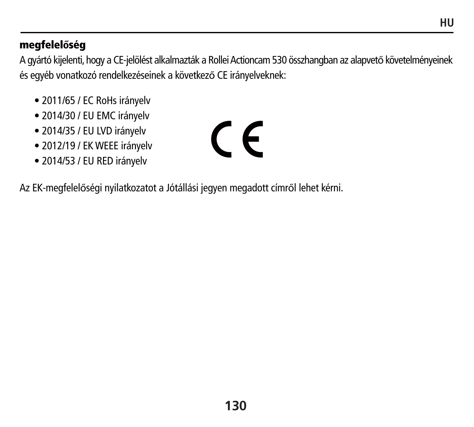#### **megfelel**Ŋ**ség**

A gyártó kijelenti, hogy a CE-jelölést alkalmazták a Rollei Actioncam 530 összhangban az alapvető követelményeinek és egyéb vonatkozó rendelkezéseinek a következő CE irányelveknek:

- 2011/65 / EC RoHs irányelv
- 2014/30 / EU EMC irányelv
- 2014/35 / EU LVD irányelv
- 2012/19 / EK WEEE irányelv
- 2014/53 / EU RED irányelv

# $\epsilon$

Az EK-megfelelőségi nyilatkozatot a Jótállási jegyen megadott címről lehet kérni.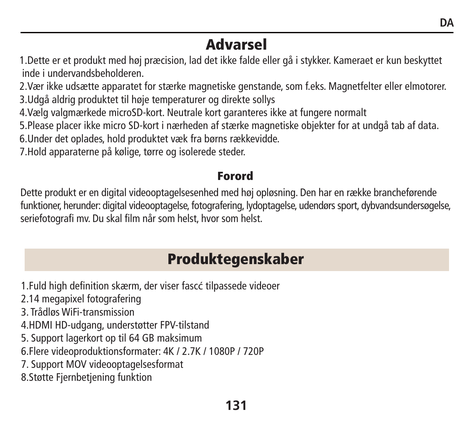## **Advarsel**

1.Dette er et produkt med høj præcision, lad det ikke falde eller gå i stykker. Kameraet er kun beskyttet inde i undervandsbeholderen.

2.Vær ikke udsætte apparatet for stærke magnetiske genstande, som f.eks. Magnetfelter eller elmotorer. 3.Udgå aldrig produktet til høje temperaturer og direkte sollys

4.Vælg valgmærkede microSD-kort. Neutrale kort garanteres ikke at fungere normalt

5.Please placer ikke micro SD-kort i nærheden af stærke magnetiske objekter for at undgå tab af data.

6.Under det oplades, hold produktet væk fra børns rækkevidde.

7.Hold apparaterne på kølige, tørre og isolerede steder.

#### **Forord**

Dette produkt er en digital videooptagelsesenhed med høj opløsning. Den har en række brancheførende funktioner, herunder: digital videooptagelse, fotografering, lydoptagelse, udendørs sport, dybvandsundersøgelse, seriefotografi mv. Du skal film når som helst, hvor som helst.

## **Produktegenskaber**

1.Fuld high definition skærm, der viser fascć tilpassede videoer

- 2.14 megapixel fotografering
- 3. Trådløs WiFi-transmission
- 4.HDMI HD-udgang, understøtter FPV-tilstand
- 5. Support lagerkort op til 64 GB maksimum

6.Flere videoproduktionsformater: 4K / 2.7K / 1080P / 720P

- 7. Support MOV videooptagelsesformat
- 8.Støtte Fjernbetjening funktion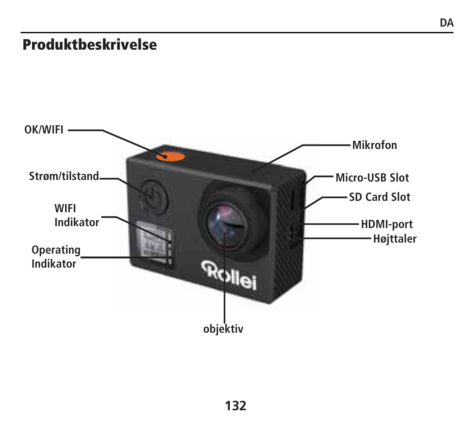#### **Produktbeskrivelse**

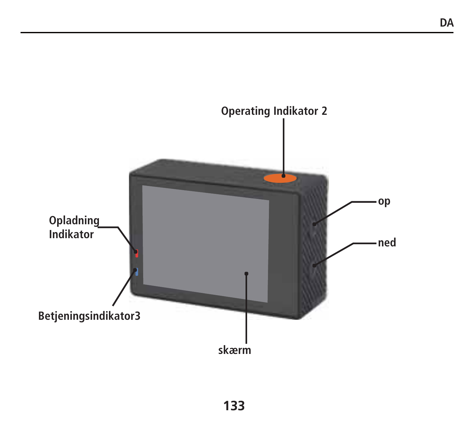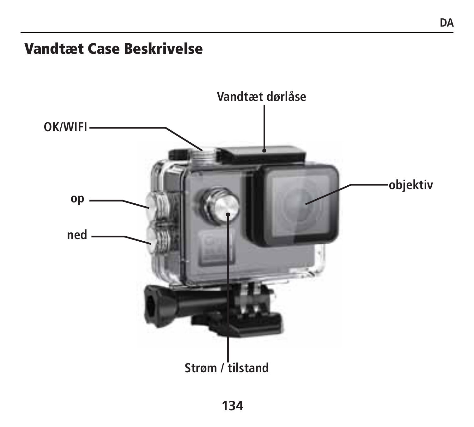## **Vandtæt Case Beskrivelse**

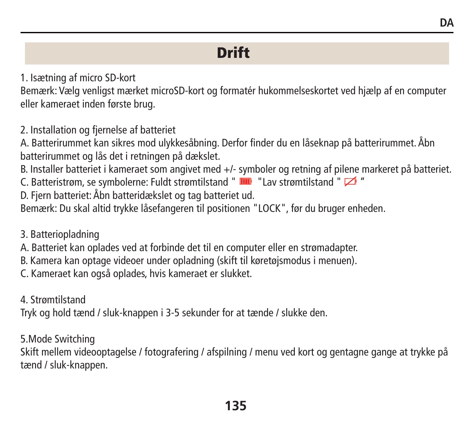## **Drift**

1. Isætning af micro SD-kort

Bemærk: Vælg venligst mærket microSD-kort og formatér hukommelseskortet ved hjælp af en computer eller kameraet inden første brug.

2. Installation og fjernelse af batteriet

A. Batterirummet kan sikres mod ulykkesåbning. Derfor finder du en låseknap på batterirummet. Åbn batterirummet og lås det i retningen på dækslet.

B. Installer batteriet i kameraet som angivet med +/- symboler og retning af pilene markeret på batteriet.

C. Batteristrøm, se symbolerne: Fuldt strømtilstand " Lav strømtilstand "  $\Box$  "

D. Fjern batteriet: Åbn batteridækslet og tag batteriet ud.

Bemærk: Du skal altid trykke låsefangeren til positionen "LOCK", før du bruger enheden.

3. Batteriopladning

A. Batteriet kan oplades ved at forbinde det til en computer eller en strømadapter.

B. Kamera kan optage videoer under opladning (skift til køretøjsmodus i menuen).

C. Kameraet kan også oplades, hvis kameraet er slukket.

4. Strømtilstand Tryk og hold tænd / sluk-knappen i 3-5 sekunder for at tænde / slukke den.

5.Mode Switching Skift mellem videooptagelse / fotografering / afspilning / menu ved kort og gentagne gange at trykke på tænd / sluk-knappen.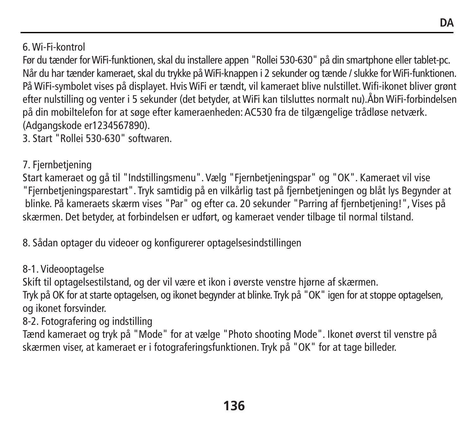6. Wi-Fi-kontrol

Før du tænder for WiFi-funktionen, skal du installere appen "Rollei 530-630" på din smartphone eller tablet-pc. Når du har tænder kameraet, skal du trykke på WiFi-knappen i 2 sekunder og tænde / slukke for WiFi-funktionen. På WiFi-symbolet vises på displayet. Hvis WiFi er tændt, vil kameraet blive nulstillet. Wifi-ikonet bliver grønt efter nulstilling og venter i 5 sekunder (det betyder, at WiFi kan tilsluttes normalt nu).Åbn WiFi-forbindelsen på din mobiltelefon for at søge efter kameraenheden: AC530 fra de tilgængelige trådløse netværk. (Adgangskode er1234567890).

3. Start "Rollei 530-630" softwaren.

#### 7. Fjernbetjening

Start kameraet og gå til "Indstillingsmenu". Vælg "Fjernbetjeningspar" og "OK". Kameraet vil vise "Fjernbetjeningsparestart". Tryk samtidig på en vilkårlig tast på fjernbetjeningen og blåt lys Begynder at blinke. På kameraets skærm vises "Par" og efter ca. 20 sekunder "Parring af fjernbetjening!", Vises på skærmen. Det betyder, at forbindelsen er udført, og kameraet vender tilbage til normal tilstand.

8. Sådan optager du videoer og konfigurerer optagelsesindstillingen

#### 8-1. Videooptagelse

Skift til optagelsestilstand, og der vil være et ikon i øverste venstre hjørne af skærmen.

Tryk på OK for at starte optagelsen, og ikonet begynder at blinke. Tryk på "OK" igen for at stoppe optagelsen, og ikonet forsvinder.

8-2. Fotografering og indstilling

Tænd kameraet og tryk på "Mode" for at vælge "Photo shooting Mode". Ikonet øverst til venstre på skærmen viser, at kameraet er i fotograferingsfunktionen. Tryk på "OK" for at tage billeder.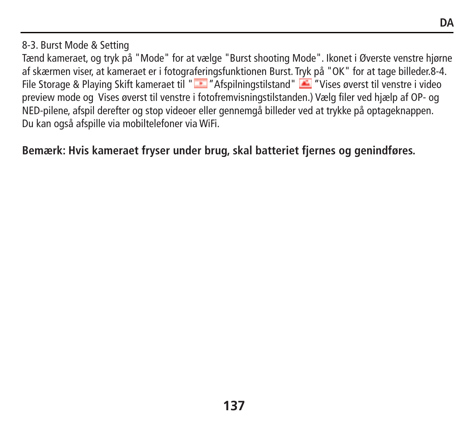8-3. Burst Mode & Setting

Tænd kameraet, og tryk på "Mode" for at vælge "Burst shooting Mode". Ikonet i Øverste venstre hjørne af skærmen viser, at kameraet er i fotograferingsfunktionen Burst. Tryk på "OK" for at tage billeder.8-4. File Storage & Playing Skift kameraet til "**The "Afspilningstilstand"** Nises øverst til venstre i video preview mode og Vises øverst til venstre i fotofremvisningstilstanden.) Vælg filer ved hjælp af OP- og NED-pilene, afspil derefter og stop videoer eller gennemgå billeder ved at trykke på optageknappen. Du kan også afspille via mobiltelefoner via WiFi.

#### **Bemærk: Hvis kameraet fryser under brug, skal batteriet fjernes og genindføres.**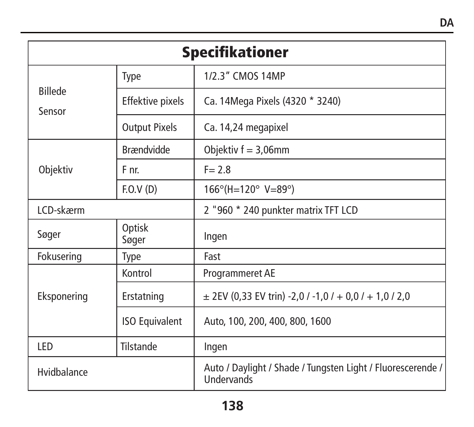| <b>Specifikationer</b>   |                       |                                                                           |
|--------------------------|-----------------------|---------------------------------------------------------------------------|
| <b>Billede</b><br>Sensor | <b>Type</b>           | 1/2.3" CMOS 14MP                                                          |
|                          | Effektive pixels      | Ca. 14Mega Pixels (4320 * 3240)                                           |
|                          | <b>Output Pixels</b>  | Ca. 14,24 megapixel                                                       |
|                          | Brændvidde            | Objektiv $f = 3,06$ mm                                                    |
| Objektiv                 | F nr.                 | $F = 2.8$                                                                 |
|                          | F.0.V(D)              | $166^{\circ}$ (H=120° V=89°)                                              |
| LCD-skærm                |                       | 2 "960 * 240 punkter matrix TFT LCD                                       |
| Søger                    | Optisk<br>Søger       | Ingen                                                                     |
| Fokusering               | Type                  | Fast                                                                      |
|                          | Kontrol               | Programmeret AE                                                           |
| Eksponering              | Erstatning            | $\pm$ 2EV (0,33 EV trin) -2,0 / -1,0 / + 0,0 / + 1,0 / 2,0                |
|                          | <b>ISO Equivalent</b> | Auto, 100, 200, 400, 800, 1600                                            |
| LED                      | Tilstande             | Ingen                                                                     |
| Hvidbalance              |                       | Auto / Daylight / Shade / Tungsten Light / Fluorescerende /<br>Undervands |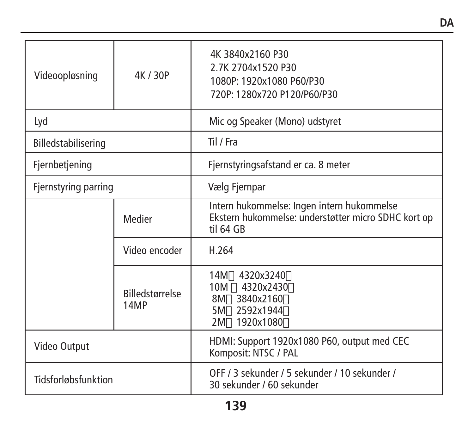| 4K 3840x2160 P30               |  |
|--------------------------------|--|
| 2.7K 2704x1520 P30             |  |
| 1080P: 1920x1080 P60/P30       |  |
| 720P: 1280x720 P120/P60/P30    |  |
| Mic og Speaker (Mono) udstyret |  |
| Til / Fra                      |  |
|                                |  |

|                      |                                | 720P: 1280x720 P120/P60/P30                                                                                    |
|----------------------|--------------------------------|----------------------------------------------------------------------------------------------------------------|
| Lyd                  |                                | Mic og Speaker (Mono) udstyret                                                                                 |
| Billedstabilisering  |                                | Til / Fra                                                                                                      |
| Fjernbetjening       |                                | Fjernstyringsafstand er ca. 8 meter                                                                            |
| Fjernstyring parring |                                | Vælg Fjernpar                                                                                                  |
|                      | Medier                         | Intern hukommelse: Ingen intern hukommelse<br>Ekstern hukommelse: understøtter micro SDHC kort op<br>til 64 GB |
|                      | Video encoder                  | H.264                                                                                                          |
|                      | <b>Billedstørrelse</b><br>14MP | 14M<br>4320x3240<br>4320x2430<br>10M<br>3840x2160<br>8M<br>2592x1944<br>5M<br>1920x1080<br>2M                  |
| Video Output         |                                | HDMI: Support 1920x1080 P60, output med CEC<br>Komposit: NTSC / PAL                                            |
| Tidsforløbsfunktion  |                                | OFF / 3 sekunder / 5 sekunder / 10 sekunder /<br>30 sekunder / 60 sekunder                                     |

Videoopløsning

4K / 30P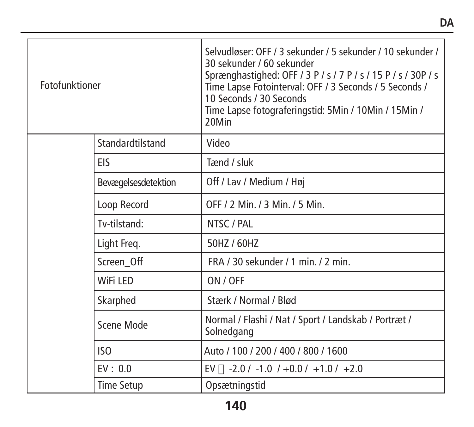| Fotofunktioner           |                     | Selvudløser: OFF / 3 sekunder / 5 sekunder / 10 sekunder /<br>30 sekunder / 60 sekunder<br>Sprænghastighed: OFF / 3 P / s / 7 P / s / 15 P / s / 30P / s<br>Time Lapse Fotointerval: OFF / 3 Seconds / 5 Seconds /<br>10 Seconds / 30 Seconds<br>Time Lapse fotograferingstid: 5Min / 10Min / 15Min /<br>20Min |
|--------------------------|---------------------|----------------------------------------------------------------------------------------------------------------------------------------------------------------------------------------------------------------------------------------------------------------------------------------------------------------|
|                          | Standardtilstand    | Video                                                                                                                                                                                                                                                                                                          |
|                          | <b>FIS</b>          | Tænd / sluk                                                                                                                                                                                                                                                                                                    |
|                          | Bevægelsesdetektion | Off / Lav / Medium / Høj                                                                                                                                                                                                                                                                                       |
|                          | Loop Record         | OFF / 2 Min. / 3 Min. / 5 Min.                                                                                                                                                                                                                                                                                 |
| Tv-tilstand <sup>.</sup> | NTSC / PAL          |                                                                                                                                                                                                                                                                                                                |
| Light Freq.              |                     | 50HZ / 60HZ                                                                                                                                                                                                                                                                                                    |
|                          | Screen Off          | FRA / 30 sekunder / 1 min. / 2 min.                                                                                                                                                                                                                                                                            |
|                          | WiFi I FD           | ON / OFF                                                                                                                                                                                                                                                                                                       |
|                          | Skarphed            | Stærk / Normal / Blød                                                                                                                                                                                                                                                                                          |
| Scene Mode               |                     | Normal / Flashi / Nat / Sport / Landskab / Portræt /<br>Solnedgang                                                                                                                                                                                                                                             |
| ISO                      |                     | Auto / 100 / 200 / 400 / 800 / 1600                                                                                                                                                                                                                                                                            |
|                          | EV: 0.0             | $-2.0$ / $-1.0$ / $+0.0$ / $+1.0$ / $+2.0$<br>FV                                                                                                                                                                                                                                                               |
|                          | <b>Time Setup</b>   | Opsætningstid                                                                                                                                                                                                                                                                                                  |

 $\overline{\phantom{0}}$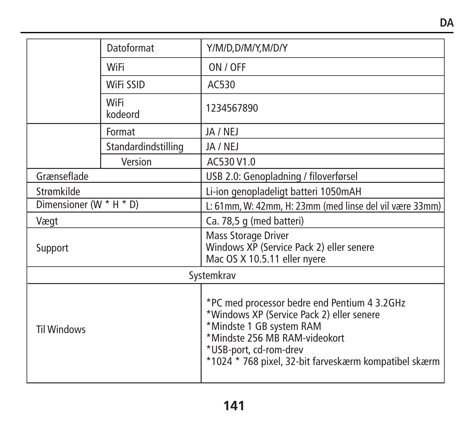|                         | Datoformat          | Y/M/D,D/M/Y,M/D/Y                                                                                                                                                                                                                         |
|-------------------------|---------------------|-------------------------------------------------------------------------------------------------------------------------------------------------------------------------------------------------------------------------------------------|
|                         | WiFi                | ON / OFF                                                                                                                                                                                                                                  |
|                         | WiFi SSID           | AC530                                                                                                                                                                                                                                     |
|                         | WiFi<br>kodeord     | 1234567890                                                                                                                                                                                                                                |
|                         | Format              | JA / NEJ                                                                                                                                                                                                                                  |
|                         | Standardindstilling | IA / NFI                                                                                                                                                                                                                                  |
|                         | Version             | AC530 V1 0                                                                                                                                                                                                                                |
| Grænseflade             |                     | USB 2.0: Genopladning / filoverførsel                                                                                                                                                                                                     |
| Strømkilde              |                     | Li-ion genopladeligt batteri 1050mAH                                                                                                                                                                                                      |
| Dimensioner (W * H * D) |                     | L: 61mm, W: 42mm, H: 23mm (med linse del vil være 33mm)                                                                                                                                                                                   |
| Vægt                    |                     | Ca. 78,5 g (med batteri)                                                                                                                                                                                                                  |
| Support                 |                     | <b>Mass Storage Driver</b><br>Windows XP (Service Pack 2) eller senere<br>Mac OS X 10.5.11 eller nyere                                                                                                                                    |
| Systemkrav              |                     |                                                                                                                                                                                                                                           |
| Til Windows             |                     | *PC med processor bedre end Pentium 4 3.2GHz<br>*Windows XP (Service Pack 2) eller senere<br>*Mindste 1 GB system RAM<br>*Mindste 256 MB RAM-videokort<br>*USB-port, cd-rom-drev<br>*1024 * 768 pixel, 32-bit farveskærm kompatibel skærm |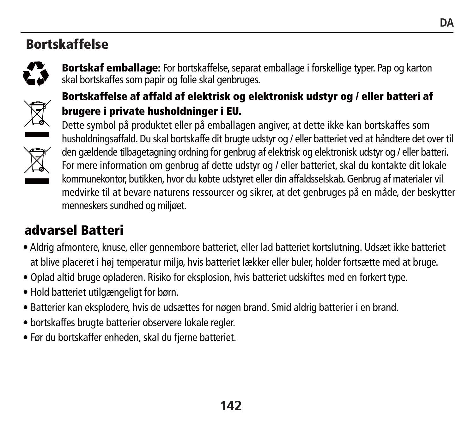#### **Bortskaffelse**



**Bortskaf emballage:** For bortskaffelse, separat emballage i forskellige typer. Pap og karton skal bortskaffes som papir og folie skal genbruges.



#### **Bortskaffelse af affald af elektrisk og elektronisk udstyr og / eller batteri af brugere i private husholdninger i EU.**



Dette symbol på produktet eller på emballagen angiver, at dette ikke kan bortskaffes som husholdningsaffald. Du skal bortskaffe dit brugte udstyr og / eller batteriet ved at håndtere det over til den gældende tilbagetagning ordning for genbrug af elektrisk og elektronisk udstyr og / eller batteri. For mere information om genbrug af dette udstyr og / eller batteriet, skal du kontakte dit lokale kommunekontor, butikken, hvor du købte udstyret eller din affaldsselskab. Genbrug af materialer vil medvirke til at bevare naturens ressourcer og sikrer, at det genbruges på en måde, der beskytter menneskers sundhed og miljøet.

## **advarsel Batteri**

- Aldrig afmontere, knuse, eller gennembore batteriet, eller lad batteriet kortslutning. Udsæt ikke batteriet at blive placeret i høj temperatur miljø, hvis batteriet lækker eller buler, holder fortsætte med at bruge.
- Oplad altid bruge opladeren. Risiko for eksplosion, hvis batteriet udskiftes med en forkert type.
- Hold batteriet utilgængeligt for børn.
- Batterier kan eksplodere, hvis de udsættes for nøgen brand. Smid aldrig batterier i en brand.
- bortskaffes brugte batterier observere lokale regler.
- Før du bortskaffer enheden, skal du fjerne batteriet.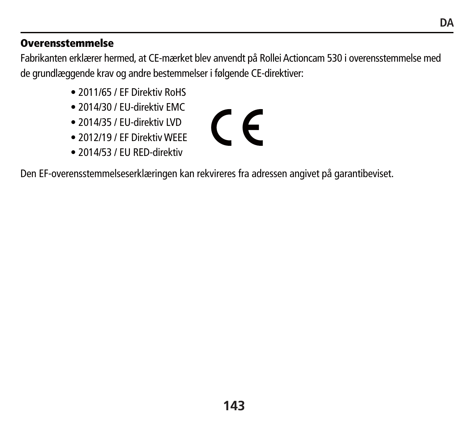#### **Overensstemmelse**

Fabrikanten erklærer hermed, at CE-mærket blev anvendt på Rollei Actioncam 30 i overensstemmelse med de grundlæggende krav og andre bestemmelser i følgende CE-direktiver:

- 2011/65 / EF Direktiv RoHS
- 2014/30 / EU-direktiv EMC
- 2014/35 / EU-direktiv LVD
- 2012/19 / EF Direktiv WEEE
- 2014/53 / EU RED-direktiv

 $\epsilon$ 

Den EF-overensstemmelseserklæringen kan rekvireres fra adressen angivet på garantibeviset.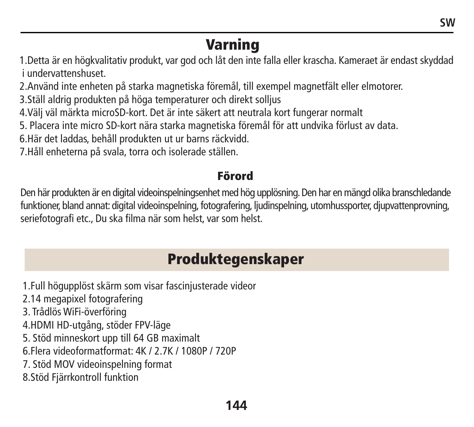## **Varning**

1.Detta är en högkvalitativ produkt, var god och låt den inte falla eller krascha. Kameraet är endast skyddad i undervattenshuset.

2.Använd inte enheten på starka magnetiska föremål, till exempel magnetfält eller elmotorer.

3.Ställ aldrig produkten på höga temperaturer och direkt solljus

4.Välj väl märkta microSD-kort. Det är inte säkert att neutrala kort fungerar normalt

5. Placera inte micro SD-kort nära starka magnetiska föremål för att undvika förlust av data.

6.Här det laddas, behåll produkten ut ur barns räckvidd.

7.Håll enheterna på svala, torra och isolerade ställen.

#### **Förord**

Den här produkten är en digital videoinspelningsenhet med hög upplösning. Den har en mängd olika branschledande funktioner, bland annat: digital videoinspelning, fotografering, ljudinspelning, utomhussporter, djupvattenprovning, seriefotografi etc., Du ska filma när som helst, var som helst.

## **Produktegenskaper**

1.Full högupplöst skärm som visar fascinjusterade videor 2.14 megapixel fotografering 3. Trådlös WiFi-överföring 4.HDMI HD-utgång, stöder FPV-läge 5. Stöd minneskort upp till 64 GB maximalt 6.Flera videoformatformat: 4K / 2.7K / 1080P / 720P 7. Stöd MOV videoinspelning format 8.Stöd Fjärrkontroll funktion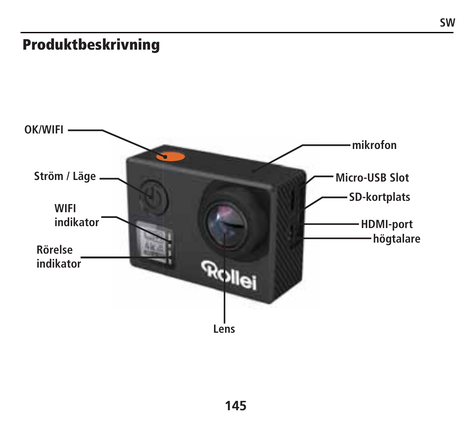# **Produktbeskrivning**

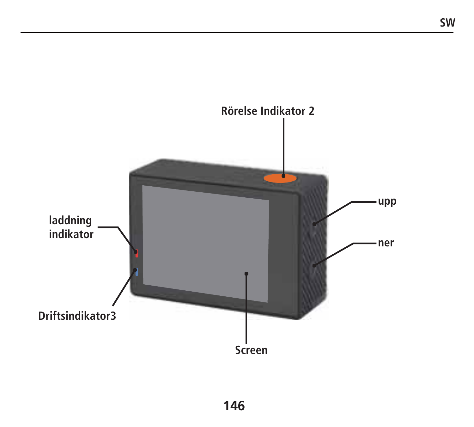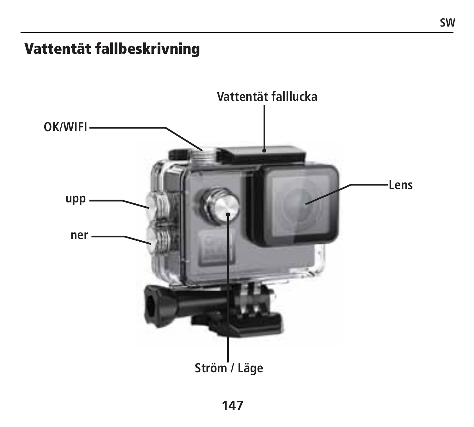# **Vattentät fallbeskrivning**

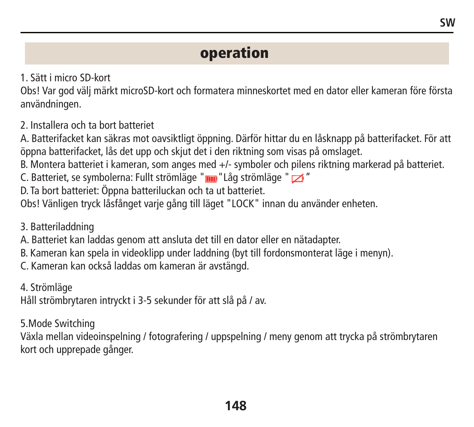## **operation**

1. Sätt i micro SD-kort

Obs! Var god välj märkt microSD-kort och formatera minneskortet med en dator eller kameran före första användningen.

2. Installera och ta bort batteriet

A. Batterifacket kan säkras mot oavsiktligt öppning. Därför hittar du en låsknapp på batterifacket. För att öppna batterifacket, lås det upp och skjut det i den riktning som visas på omslaget.

B. Montera batteriet i kameran, som anges med +/- symboler och pilens riktning markerad på batteriet.

C. Batteriet, se symbolerna: Fullt strömläge " i "Låg strömläge "  $\Box$ "

D. Ta bort batteriet: Öppna batteriluckan och ta ut batteriet.

Obs! Vänligen tryck låsfånget varje gång till läget "LOCK" innan du använder enheten.

3. Batteriladdning

A. Batteriet kan laddas genom att ansluta det till en dator eller en nätadapter.

B. Kameran kan spela in videoklipp under laddning (byt till fordonsmonterat läge i menyn).

C. Kameran kan också laddas om kameran är avstängd.

4. Strömläge Håll strömbrytaren intryckt i 3-5 sekunder för att slå på / av.

5.Mode Switching

Växla mellan videoinspelning / fotografering / uppspelning / meny genom att trycka på strömbrytaren kort och upprepade gånger.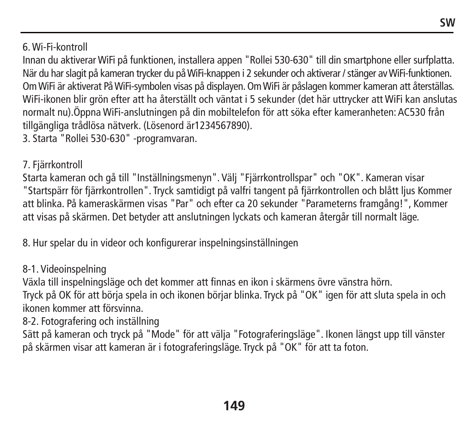6. Wi-Fi-kontroll

Innan du aktiverar WiFi på funktionen, installera appen "Rollei 530-630" till din smartphone eller surfplatta. När du har slagit på kameran trycker du på WiFi-knappen i 2 sekunder och aktiverar / stänger av WiFi-funktionen. Om WiFi är aktiverat På WiFi-symbolen visas på displayen. Om WiFi är påslagen kommer kameran att återställas. WiFi-ikonen blir grön efter att ha återställt och väntat i 5 sekunder (det här uttrycker att WiFi kan anslutas normalt nu).Öppna WiFi-anslutningen på din mobiltelefon för att söka efter kameranheten: AC530 från tillgängliga trådlösa nätverk. (Lösenord är1234567890).

3. Starta "Rollei 530-630" -programvaran.

### 7. Fjärrkontroll

Starta kameran och gå till "Inställningsmenyn". Välj "Fjärrkontrollspar" och "OK". Kameran visar "Startspärr för fjärrkontrollen". Tryck samtidigt på valfri tangent på fjärrkontrollen och blått ljus Kommer att blinka. På kameraskärmen visas "Par" och efter ca 20 sekunder "Parameterns framgång!", Kommer att visas på skärmen. Det betyder att anslutningen lyckats och kameran återgår till normalt läge.

8. Hur spelar du in videor och konfigurerar inspelningsinställningen

#### 8-1. Videoinspelning

Växla till inspelningsläge och det kommer att finnas en ikon i skärmens övre vänstra hörn.

Tryck på OK för att börja spela in och ikonen börjar blinka. Tryck på "OK" igen för att sluta spela in och ikonen kommer att försvinna.

8-2. Fotografering och inställning

Sätt på kameran och tryck på "Mode" för att välja "Fotograferingsläge". Ikonen längst upp till vänster på skärmen visar att kameran är i fotograferingsläge. Tryck på "OK" för att ta foton.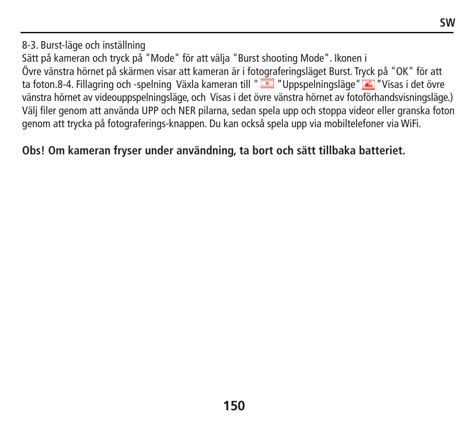8-3. Burst-läge och inställning

Sätt på kameran och tryck på "Mode" för att välja "Burst shooting Mode". Ikonen i Övre vänstra hörnet på skärmen visar att kameran är i fotograferingsläget Burst. Tryck på "OK" för att ta foton.8-4. Fillagring och -spelning Växla kameran till "Nuppspelningsläge" \* "Visas i det övre vänstra hörnet av videouppspelningsläge, och Visas i det övre vänstra hörnet av fotoförhandsvisningsläge.) Välj filer genom att använda UPP och NER pilarna, sedan spela upp och stoppa videor eller granska foton genom att trycka på fotograferings-knappen. Du kan också spela upp via mobiltelefoner via WiFi.

### **Obs! Om kameran fryser under användning, ta bort och sätt tillbaka batteriet.**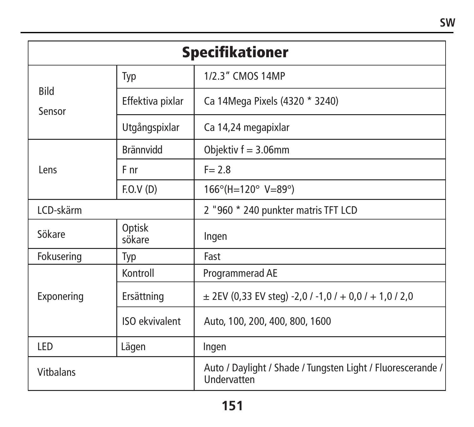| <b>Specifikationer</b> |                       |                                                                            |
|------------------------|-----------------------|----------------------------------------------------------------------------|
|                        | Typ                   | 1/2 3" CMOS 14MP                                                           |
| Bild<br>Sensor         | Effektiva pixlar      | Ca 14Mega Pixels (4320 * 3240)                                             |
|                        | Utgångspixlar         | Ca 14,24 megapixlar                                                        |
|                        | Brännvidd             | Objektiv $f = 3.06$ mm                                                     |
| Lens                   | F nr                  | $F = 2.8$                                                                  |
|                        | F.0.V(D)              | $166^{\circ}$ (H=120° V=89°)                                               |
| LCD-skärm              |                       | 2 "960 * 240 punkter matris TFT LCD                                        |
| Sökare                 | Optisk<br>sökare      | Ingen                                                                      |
| Fokusering             | Typ                   | Fast                                                                       |
|                        | Kontroll              | Programmerad AE                                                            |
| Exponering             | Ersättning            | $\pm$ 2EV (0,33 EV steg) -2,0 / -1,0 / + 0,0 / + 1,0 / 2,0                 |
|                        | <b>ISO</b> ekvivalent | Auto, 100, 200, 400, 800, 1600                                             |
| LED                    | Lägen                 | Ingen                                                                      |
| <b>Vitbalans</b>       |                       | Auto / Daylight / Shade / Tungsten Light / Fluorescerande /<br>Undervatten |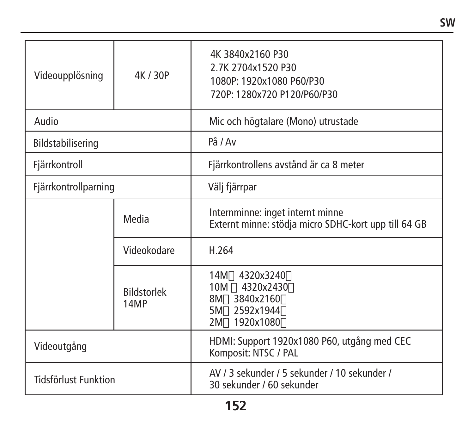| Videoupplösning      | 4K / 30P                   | 4K 3840x2160 P30<br>2.7K 2704x1520 P30<br>1080P: 1920x1080 P60/P30<br>720P: 1280x720 P120/P60/P30 |
|----------------------|----------------------------|---------------------------------------------------------------------------------------------------|
| Audio                |                            | Mic och högtalare (Mono) utrustade                                                                |
| Bildstabilisering    |                            | På / Av                                                                                           |
| Fjärrkontroll        |                            | Fjärrkontrollens avstånd är ca 8 meter                                                            |
| Fjärrkontrollparning |                            | Välj fjärrpar                                                                                     |
|                      | Media                      | Internminne: inget internt minne<br>Externt minne: stödja micro SDHC-kort upp till 64 GB          |
|                      | Videokodare                | H 264                                                                                             |
|                      | <b>Rildstorlek</b><br>14MP | 14M<br>4320x3240<br>10M<br>4320x2430<br>3840x2160<br>8M<br>2592x1944<br>5M<br>1920x1080<br>2M     |
| Videoutgång          |                            | HDMI: Support 1920x1080 P60, utgång med CEC<br>Komposit: NTSC / PAL                               |
| Tidsförlust Funktion |                            | AV / 3 sekunder / 5 sekunder / 10 sekunder /<br>30 sekunder / 60 sekunder                         |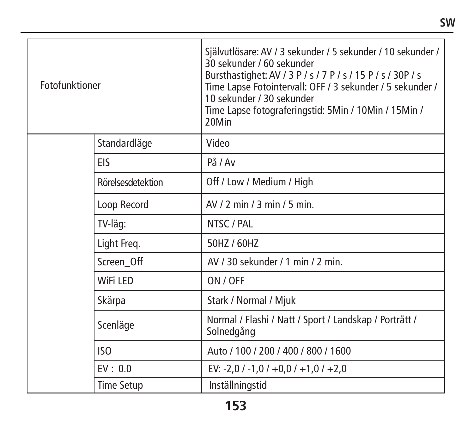| <b>Fotofunktioner</b> |                   | Självutlösare: AV / 3 sekunder / 5 sekunder / 10 sekunder /<br>30 sekunder / 60 sekunder<br>Bursthastighet: AV / 3 P / s / 7 P / s / 15 P / s / 30P / s<br>Time Lapse Fotointervall: OFF / 3 sekunder / 5 sekunder /<br>10 sekunder / 30 sekunder<br>Time Lapse fotograferingstid: 5Min / 10Min / 15Min /<br>20Min |
|-----------------------|-------------------|--------------------------------------------------------------------------------------------------------------------------------------------------------------------------------------------------------------------------------------------------------------------------------------------------------------------|
|                       | Standardläge      | Video                                                                                                                                                                                                                                                                                                              |
|                       | <b>FIS</b>        | På / Av                                                                                                                                                                                                                                                                                                            |
|                       | Rörelsesdetektion | Off / Low / Medium / High                                                                                                                                                                                                                                                                                          |
|                       | Loop Record       | AV / 2 min / 3 min / 5 min.                                                                                                                                                                                                                                                                                        |
|                       | TV-läg:           | NTSC / PAL                                                                                                                                                                                                                                                                                                         |
|                       | Light Freq.       | 50HZ / 60HZ                                                                                                                                                                                                                                                                                                        |
|                       | Screen Off        | AV / 30 sekunder / 1 min / 2 min.                                                                                                                                                                                                                                                                                  |
|                       | WiFi I FD         | ON / OFF                                                                                                                                                                                                                                                                                                           |
|                       | Skärpa            | Stark / Normal / Mjuk                                                                                                                                                                                                                                                                                              |
|                       | Scenläge          | Normal / Flashi / Natt / Sport / Landskap / Porträtt /<br>Solnedgång                                                                                                                                                                                                                                               |
|                       | ISO               | Auto / 100 / 200 / 400 / 800 / 1600                                                                                                                                                                                                                                                                                |
|                       | EV: 0.0           | EV: -2,0 / -1,0 / +0,0 / +1,0 / +2,0                                                                                                                                                                                                                                                                               |
|                       | <b>Time Setup</b> | Inställningstid                                                                                                                                                                                                                                                                                                    |

 $\overline{\phantom{a}}$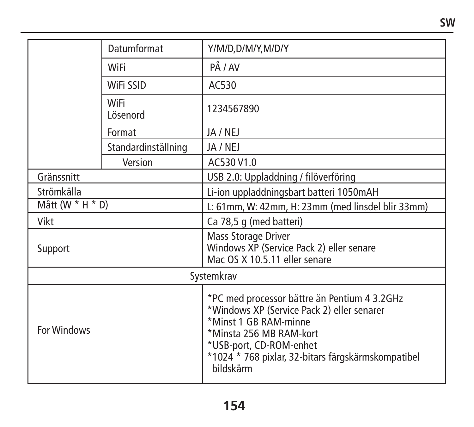|                  | Datumformat         | Y/M/D,D/M/Y,M/D/Y                                                                                                                                                                                                                            |
|------------------|---------------------|----------------------------------------------------------------------------------------------------------------------------------------------------------------------------------------------------------------------------------------------|
|                  | WiFi                | PÅ / AV                                                                                                                                                                                                                                      |
|                  |                     |                                                                                                                                                                                                                                              |
|                  | WiFi SSID           | AC530                                                                                                                                                                                                                                        |
|                  | WiFi<br>l ösenord   | 1234567890                                                                                                                                                                                                                                   |
|                  | Format              | JA / NEJ                                                                                                                                                                                                                                     |
|                  | Standardinställning | JA / NEJ                                                                                                                                                                                                                                     |
|                  | Version             | AC530 V10                                                                                                                                                                                                                                    |
| Gränssnitt       |                     | USB 2.0: Uppladdning / filöverföring                                                                                                                                                                                                         |
| Strömkälla       |                     | Li-ion uppladdningsbart batteri 1050mAH                                                                                                                                                                                                      |
| Mått (W * H * D) |                     | L: 61mm, W: 42mm, H: 23mm (med linsdel blir 33mm)                                                                                                                                                                                            |
| Vikt             |                     | Ca 78,5 g (med batteri)                                                                                                                                                                                                                      |
| Support          |                     | <b>Mass Storage Driver</b><br>Windows XP (Service Pack 2) eller senare<br>Mac OS X 10.5.11 eller senare                                                                                                                                      |
|                  |                     | Systemkrav                                                                                                                                                                                                                                   |
| For Windows      |                     | *PC med processor bättre än Pentium 4 3.2GHz<br>*Windows XP (Service Pack 2) eller senarer<br>*Minst 1 GB RAM-minne<br>*Minsta 256 MB RAM-kort<br>*USB-port, CD-ROM-enhet<br>*1024 * 768 pixlar, 32-bitars färgskärmskompatibel<br>hildskärm |

 $\overline{\phantom{0}}$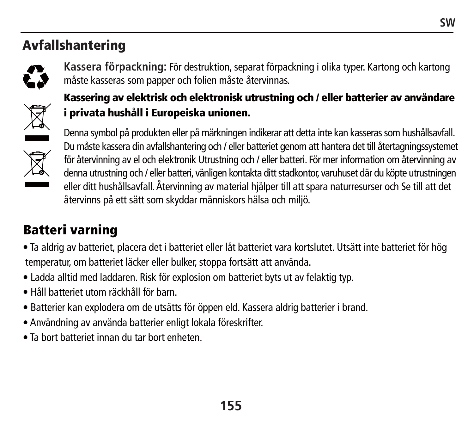### **Avfallshantering**



**Kassera förpackning:** För destruktion, separat förpackning i olika typer. Kartong och kartong måste kasseras som papper och folien måste återvinnas.



**Kassering av elektrisk och elektronisk utrustning och / eller batterier av användare i privata hushåll i Europeiska unionen.**



Denna symbol på produkten eller på märkningen indikerar att detta inte kan kasseras som hushållsavfall. Du måste kassera din avfallshantering och / eller batteriet genom att hantera det till återtagningssystemet för återvinning av el och elektronik Utrustning och / eller batteri. För mer information om återvinning av denna utrustning och / eller batteri, vänligen kontakta ditt stadkontor, varuhuset där du köpte utrustningen eller ditt hushållsavfall. Återvinning av material hjälper till att spara naturresurser och Se till att det återvinns på ett sätt som skyddar människors hälsa och miljö.

# **Batteri varning**

- Ta aldrig av batteriet, placera det i batteriet eller låt batteriet vara kortslutet. Utsätt inte batteriet för hög temperatur, om batteriet läcker eller bulker, stoppa fortsätt att använda.
- Ladda alltid med laddaren. Risk för explosion om batteriet byts ut av felaktig typ.
- Håll batteriet utom räckhåll för barn.
- Batterier kan explodera om de utsätts för öppen eld. Kassera aldrig batterier i brand.
- Användning av använda batterier enligt lokala föreskrifter.
- Ta bort batteriet innan du tar bort enheten.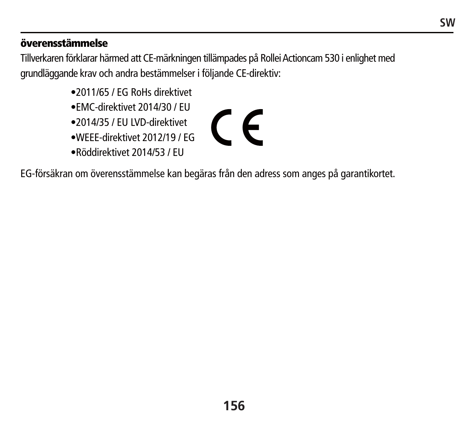### **överensstämmelse**

Tillverkaren förklarar härmed att CE-märkningen tillämpades på Rollei Actioncam 30 i enlighet med grundläggande krav och andra bestämmelser i följande CE-direktiv:

- •2011/65 / EG RoHs direktivet
- •EMC-direktivet 2014/30 / EU
- •2014/35 / EU LVD-direktivet
- •WEEE-direktivet 2012/19 / EG
- •Röddirektivet 2014/53 / EU

EG-försäkran om överensstämmelse kan begäras från den adress som anges på garantikortet.

 $\epsilon$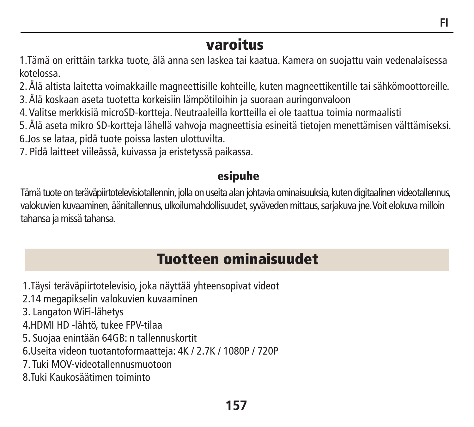### **varoitus**

1.Tämä on erittäin tarkka tuote, älä anna sen laskea tai kaatua. Kamera on suojattu vain vedenalaisessa kotelossa.

2. Älä altista laitetta voimakkaille magneettisille kohteille, kuten magneettikentille tai sähkömoottoreille.

3. Älä koskaan aseta tuotetta korkeisiin lämpötiloihin ja suoraan auringonvaloon

4. Valitse merkkisiä microSD-kortteja. Neutraaleilla kortteilla ei ole taattua toimia normaalisti

5. Älä aseta mikro SD-kortteja lähellä vahvoja magneettisia esineitä tietojen menettämisen välttämiseksi.

6.Jos se lataa, pidä tuote poissa lasten ulottuvilta.

7. Pidä laitteet viileässä, kuivassa ja eristetyssä paikassa.

### **esipuhe**

Tämä tuote on teräväpiirtotelevisiotallennin, jolla on useita alan johtavia ominaisuuksia, kuten digitaalinen videotallennus, valokuvien kuvaaminen, äänitallennus, ulkoilumahdollisuudet, syväveden mittaus, sarjakuva jne. Voit elokuva milloin tahansa ja missä tahansa.

## **Tuotteen ominaisuudet**

1.Täysi teräväpiirtotelevisio, joka näyttää yhteensopivat videot 2.14 megapikselin valokuvien kuvaaminen 3. Langaton WiFi-lähetys 4.HDMI HD -lähtö, tukee FPV-tilaa 5. Suojaa enintään 64GB: n tallennuskortit 6.Useita videon tuotantoformaatteja: 4K / 2.7K / 1080P / 720P 7. Tuki MOV-videotallennusmuotoon 8.Tuki Kaukosäätimen toiminto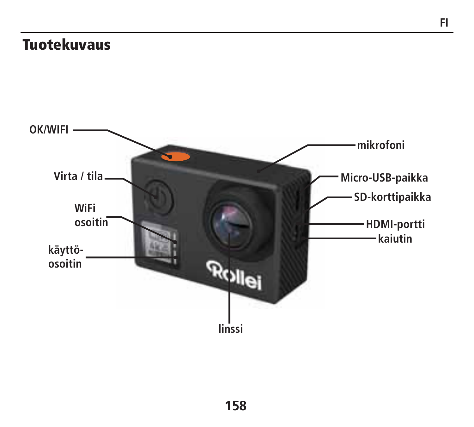# **Tuotekuvaus**

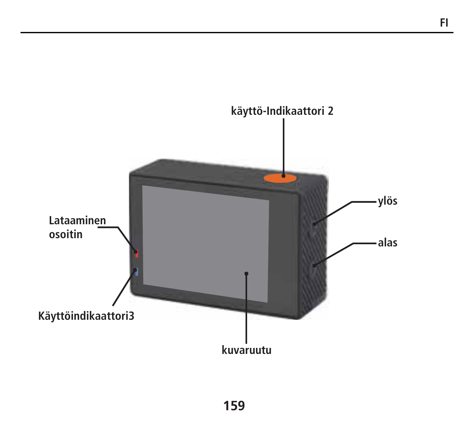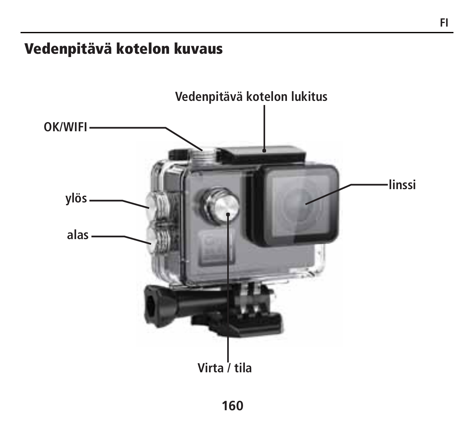# **Vedenpitävä kotelon kuvaus**

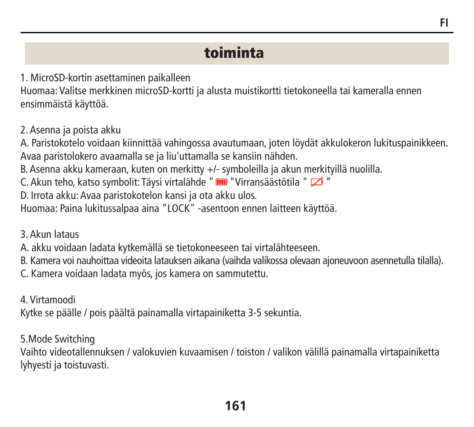### **toiminta**

1. MicroSD-kortin asettaminen paikalleen

Huomaa: Valitse merkkinen microSD-kortti ja alusta muistikortti tietokoneella tai kameralla ennen ensimmäistä käyttöä.

2. Asenna ja poista akku

A. Paristokotelo voidaan kiinnittää vahingossa avautumaan, joten löydät akkulokeron lukituspainikkeen. Avaa paristolokero avaamalla se ja liu'uttamalla se kansiin nähden.

B. Asenna akku kameraan, kuten on merkitty +/- symboleilla ja akun merkityillä nuolilla.

C. Akun teho, katso symbolit: Täysi virtalähde " virransäästötila " Z "

D. Irrota akku: Avaa paristokotelon kansi ja ota akku ulos.

Huomaa: Paina lukitussalpaa aina "LOCK" -asentoon ennen laitteen käyttöä.

3. Akun lataus

A. akku voidaan ladata kytkemällä se tietokoneeseen tai virtalähteeseen.

B. Kamera voi nauhoittaa videoita latauksen aikana (vaihda valikossa olevaan ajoneuvoon asennetulla tilalla).

C. Kamera voidaan ladata myös, jos kamera on sammutettu.

4. Virtamoodi Kytke se päälle / pois päältä painamalla virtapainiketta 3-5 sekuntia.

5.Mode Switching Vaihto videotallennuksen / valokuvien kuvaamisen / toiston / valikon välillä painamalla virtapainiketta lyhyesti ja toistuvasti.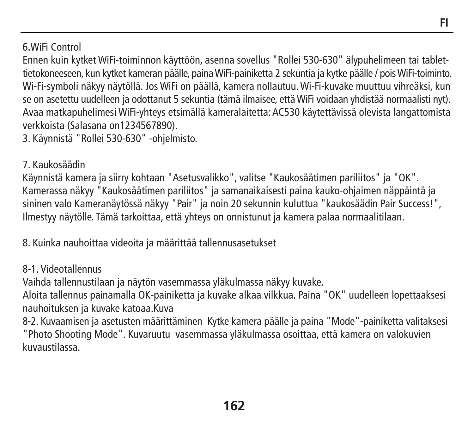6.WiFi Control

Ennen kuin kytket WiFi-toiminnon käyttöön, asenna sovellus "Rollei 530-630" älypuhelimeen tai tablettietokoneeseen, kun kytket kameran päälle, paina WiFi-painiketta 2 sekuntia ja kytke päälle / pois WiFi-toiminto. Wi-Fi-symboli näkyy näytöllä. Jos WiFi on päällä, kamera nollautuu. Wi-Fi-kuvake muuttuu vihreäksi, kun se on asetettu uudelleen ja odottanut 5 sekuntia (tämä ilmaisee, että WiFi voidaan yhdistää normaalisti nyt). Avaa matkapuhelimesi WiFi-yhteys etsimällä kameralaitetta: AC530 käytettävissä olevista langattomista verkkoista (Salasana on1234567890).

3. Käynnistä "Rollei 530-630" -ohjelmisto.

#### 7. Kaukosäädin

Käynnistä kamera ja siirry kohtaan "Asetusvalikko", valitse "Kaukosäätimen pariliitos" ja "OK". Kamerassa näkyy "Kaukosäätimen pariliitos" ja samanaikaisesti paina kauko-ohjaimen näppäintä ja sininen valo Kameranäytössä näkyy "Pair" ja noin 20 sekunnin kuluttua "kaukosäädin Pair Success!", Ilmestyy näytölle. Tämä tarkoittaa, että yhteys on onnistunut ja kamera palaa normaalitilaan.

8. Kuinka nauhoittaa videoita ja määrittää tallennusasetukset

#### 8-1. Videotallennus

Vaihda tallennustilaan ja näytön vasemmassa yläkulmassa näkyy kuvake.

Aloita tallennus painamalla OK-painiketta ja kuvake alkaa vilkkua. Paina "OK" uudelleen lopettaaksesi nauhoituksen ja kuvake katoaa.Kuva

8-2. Kuvaamisen ja asetusten määrittäminen Kytke kamera päälle ja paina "Mode"-painiketta valitaksesi "Photo Shooting Mode". Kuvaruutu vasemmassa yläkulmassa osoittaa, että kamera on valokuvien kuvaustilassa.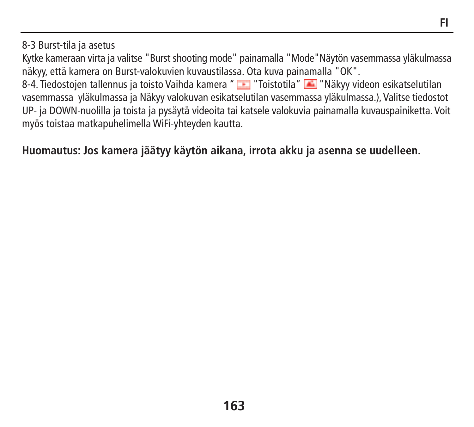8-3 Burst-tila ja asetus

Kytke kameraan virta ja valitse "Burst shooting mode" painamalla "Mode"Näytön vasemmassa yläkulmassa näkyy, että kamera on Burst-valokuvien kuvaustilassa. Ota kuva painamalla "OK".

8-4. Tiedostojen tallennus ja toisto Vaihda kamera " "Toistotila" "Näkyy videon esikatselutilan vasemmassa yläkulmassa ja Näkyy valokuvan esikatselutilan vasemmassa yläkulmassa.), Valitse tiedostot UP- ja DOWN-nuolilla ja toista ja pysäytä videoita tai katsele valokuvia painamalla kuvauspainiketta. Voit myös toistaa matkapuhelimella WiFi-yhteyden kautta.

**Huomautus: Jos kamera jäätyy käytön aikana, irrota akku ja asenna se uudelleen.**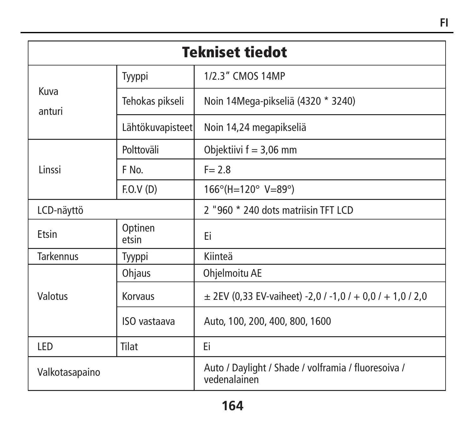| <b>Tekniset tiedot</b> |                  |                                                                     |
|------------------------|------------------|---------------------------------------------------------------------|
|                        | Tyyppi           | 1/2.3" CMOS 14MP                                                    |
| Kuva<br>anturi         | Tehokas pikseli  | Noin 14Mega-pikseliä (4320 * 3240)                                  |
|                        | Lähtökuvapisteet | Noin 14,24 megapikseliä                                             |
|                        | Polttoväli       | Objektiivi $f = 3,06$ mm                                            |
| Linssi                 | F No.            | $F = 2.8$                                                           |
|                        | F.0.V(D)         | $166^{\circ}$ (H=120° V=89°)                                        |
| LCD-näyttö             |                  | 2 "960 * 240 dots matriisin TFT LCD                                 |
| Etsin                  | Optinen<br>etsin | Ei                                                                  |
| Tarkennus              | Tyyppi           | Kiinteä                                                             |
|                        | Ohjaus           | Ohjelmoitu AE                                                       |
| Valotus                | Korvaus          | $\pm$ 2EV (0.33 EV-vaiheet) -2,0 / -1,0 / + 0,0 / + 1,0 / 2,0       |
|                        | ISO vastaava     | Auto, 100, 200, 400, 800, 1600                                      |
| LED                    | Tilat            | Ei                                                                  |
| Valkotasapaino         |                  | Auto / Daylight / Shade / volframia / fluoresoiva /<br>vedenalainen |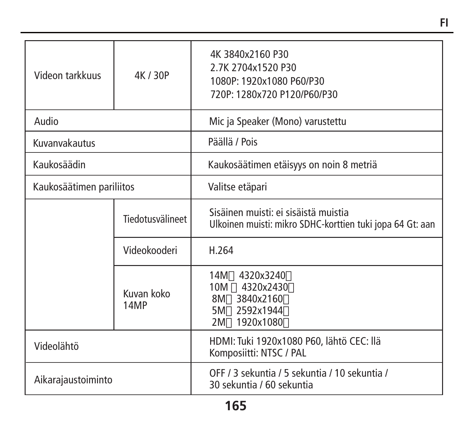| Videon tarkkuus          | 4K / 30P           | 4K 3840x2160 P30<br>2.7K 2704x1520 P30<br>1080P: 1920x1080 P60/P30<br>720P: 1280x720 P120/P60/P30 |
|--------------------------|--------------------|---------------------------------------------------------------------------------------------------|
| Audio                    |                    | Mic ja Speaker (Mono) varustettu                                                                  |
| Kuvanyakautus            |                    | Päällä / Pois                                                                                     |
| Kaukosäädin              |                    | Kaukosäätimen etäisyys on noin 8 metriä                                                           |
| Kaukosäätimen pariliitos |                    | Valitse etäpari                                                                                   |
|                          | Tiedotusvälineet   | Sisäinen muisti: ei sisäistä muistia<br>Ulkoinen muisti: mikro SDHC-korttien tuki jopa 64 Gt: aan |
|                          | Videokooderi       | H.264                                                                                             |
|                          | Kuyan koko<br>14MP | 14M 4320x3240<br>10M<br>4320x2430<br>3840x2160<br>8M<br>2592x1944<br>5M<br>1920x1080<br>2M        |
| Videolähtö               |                    | HDMI: Tuki 1920x1080 P60, lähtö CEC: llä<br>Komposiitti: NTSC / PAL                               |
| Aikarajaustoiminto       |                    | OFF / 3 sekuntia / 5 sekuntia / 10 sekuntia /<br>30 sekuntia / 60 sekuntia                        |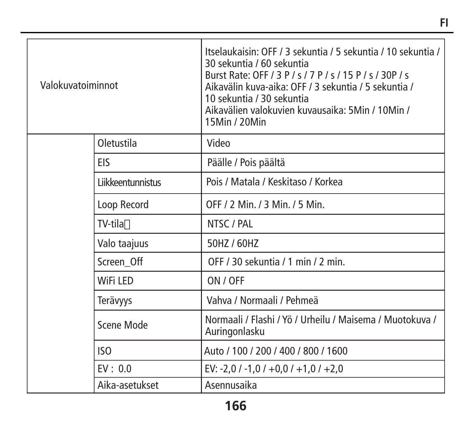| Valokuvatoiminnot |                    | Itselaukaisin: OFF / 3 sekuntia / 5 sekuntia / 10 sekuntia /<br>30 sekuntia / 60 sekuntia<br>Burst Rate: OFF / 3 P / s / 7 P / s / 15 P / s / 30P / s<br>Aikavälin kuva-aika: OFF / 3 sekuntia / 5 sekuntia /<br>10 sekuntia / 30 sekuntia<br>Aikavälien valokuvien kuvausaika: 5Min / 10Min /<br>15Min / 20Min |
|-------------------|--------------------|-----------------------------------------------------------------------------------------------------------------------------------------------------------------------------------------------------------------------------------------------------------------------------------------------------------------|
|                   | Oletustila         | Video                                                                                                                                                                                                                                                                                                           |
|                   | EIS                | Päälle / Pois päältä                                                                                                                                                                                                                                                                                            |
|                   | I iikkeentunnistus | Pois / Matala / Keskitaso / Korkea                                                                                                                                                                                                                                                                              |
|                   | Loop Record        | OFF / 2 Min. / 3 Min. / 5 Min.                                                                                                                                                                                                                                                                                  |
|                   | TV-tila            | NTSC / PAL                                                                                                                                                                                                                                                                                                      |
|                   | Valo taajuus       | 50HZ / 60HZ                                                                                                                                                                                                                                                                                                     |
|                   | Screen Off         | OFF / 30 sekuntia / 1 min / 2 min.                                                                                                                                                                                                                                                                              |
|                   | WiFi LED           | ON / OFF                                                                                                                                                                                                                                                                                                        |
|                   | Terävyys           | Vahva / Normaali / Pehmeä                                                                                                                                                                                                                                                                                       |
|                   | Scene Mode         | Normaali / Flashi / Yö / Urheilu / Maisema / Muotokuva /<br>Auringonlasku                                                                                                                                                                                                                                       |
|                   | ISO                | Auto / 100 / 200 / 400 / 800 / 1600                                                                                                                                                                                                                                                                             |
|                   | EV: 0.0            | EV: -2,0 / -1,0 / +0,0 / +1,0 / +2,0                                                                                                                                                                                                                                                                            |
|                   | Aika-asetukset     | Asennusaika                                                                                                                                                                                                                                                                                                     |

 $\overline{\phantom{0}}$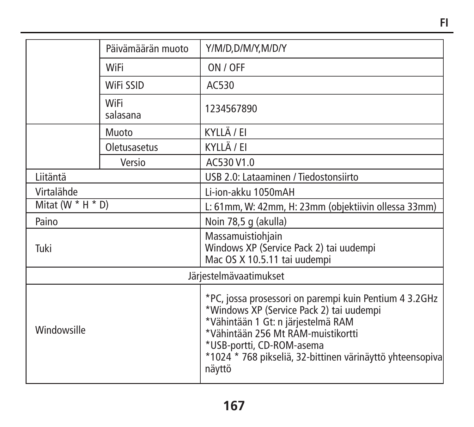|                     | Päivämäärän muoto | Y/M/D,D/M/Y,M/D/Y                                                                                                                                                                                                                                                                  |
|---------------------|-------------------|------------------------------------------------------------------------------------------------------------------------------------------------------------------------------------------------------------------------------------------------------------------------------------|
|                     | WiFi              | ON / OFF                                                                                                                                                                                                                                                                           |
|                     | WiFi SSID         | AC530                                                                                                                                                                                                                                                                              |
|                     | WiFi<br>salasana  | 1234567890                                                                                                                                                                                                                                                                         |
|                     | Muoto             | KYLLÄ / EI                                                                                                                                                                                                                                                                         |
|                     | Oletusasetus      | KYLLÄ / EI                                                                                                                                                                                                                                                                         |
|                     | Versio            | AC530 V1.0                                                                                                                                                                                                                                                                         |
| Liitäntä            |                   | USB 2.0: Lataaminen / Tiedostonsiirto                                                                                                                                                                                                                                              |
| Virtalähde          |                   | Li-ion-akku 1050mAH                                                                                                                                                                                                                                                                |
| Mitat $(W * H * D)$ |                   | L: 61mm, W: 42mm, H: 23mm (objektiivin ollessa 33mm)                                                                                                                                                                                                                               |
| Paino               |                   | Noin 78,5 g (akulla)                                                                                                                                                                                                                                                               |
| Tuki                |                   | Massamuistiohjain<br>Windows XP (Service Pack 2) tai uudempi<br>Mac OS X 10.5.11 tai uudempi                                                                                                                                                                                       |
|                     |                   | Järjestelmävaatimukset                                                                                                                                                                                                                                                             |
| Windowsille         |                   | *PC, jossa prosessori on parempi kuin Pentium 4 3.2GHz<br>*Windows XP (Service Pack 2) tai uudempi<br>*Vähintään 1 Gt: n järjestelmä RAM<br>*Vähintään 256 Mt RAM-muistikortti<br>*USB-portti, CD-ROM-asema<br>*1024 * 768 pikseliä, 32-bittinen värinäyttö yhteensopiva<br>näyttö |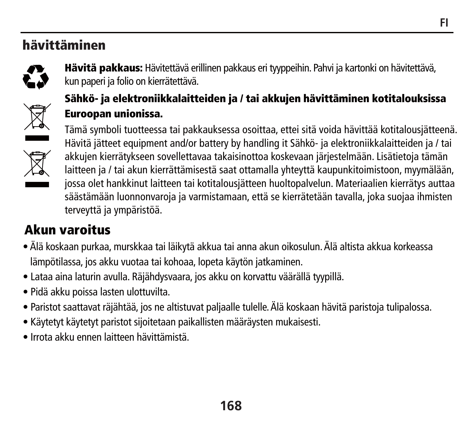### **hävittäminen**



**Hävitä pakkaus:** Hävitettävä erillinen pakkaus eri tyyppeihin. Pahvi ja kartonki on hävitettävä, kun paperi ja folio on kierrätettävä.



### **Sähkö- ja elektroniikkalaitteiden ja / tai akkujen hävittäminen kotitalouksissa Euroopan unionissa.**



Tämä symboli tuotteessa tai pakkauksessa osoittaa, ettei sitä voida hävittää kotitalousjätteenä. Hävitä jätteet equipment and/or battery by handling it Sähkö- ja elektroniikkalaitteiden ja / tai akkujen kierrätykseen sovellettavaa takaisinottoa koskevaan järjestelmään. Lisätietoja tämän laitteen ja / tai akun kierrättämisestä saat ottamalla yhteyttä kaupunkitoimistoon, myymälään, jossa olet hankkinut laitteen tai kotitalousjätteen huoltopalvelun. Materiaalien kierrätys auttaa säästämään luonnonvaroja ja varmistamaan, että se kierrätetään tavalla, joka suojaa ihmisten terveyttä ja ympäristöä.

# **Akun varoitus**

- Älä koskaan purkaa, murskkaa tai läikytä akkua tai anna akun oikosulun. Älä altista akkua korkeassa lämpötilassa, jos akku vuotaa tai kohoaa, lopeta käytön jatkaminen.
- Lataa aina laturin avulla. Räjähdysvaara, jos akku on korvattu väärällä tyypillä.
- Pidä akku poissa lasten ulottuvilta.
- Paristot saattavat räjähtää, jos ne altistuvat paljaalle tulelle. Älä koskaan hävitä paristoja tulipalossa.
- Käytetyt käytetyt paristot sijoitetaan paikallisten määräysten mukaisesti.
- Irrota akku ennen laitteen hävittämistä.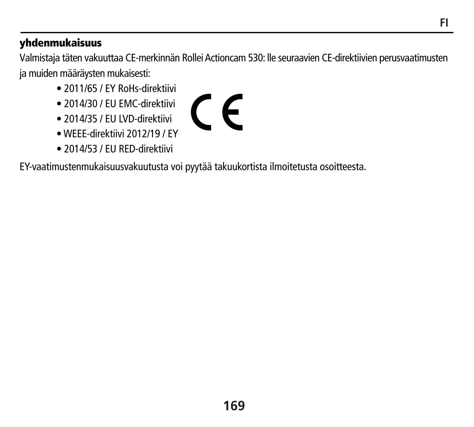### **yhdenmukaisuus**

Valmistaja täten vakuuttaa CE-merkinnän Rollei Actioncam 30: lle seuraavien CE-direktiivien perusvaatimusten ja muiden määräysten mukaisesti:

- 2011/65 / EY RoHs-direktiivi
- 2014/30 / EU EMC-direktiivi
- 2014/35 / EU LVD-direktiivi
- WEEE-direktiivi 2012/19 / EY
- 2014/53 / EU RED-direktiivi



EY-vaatimustenmukaisuusvakuutusta voi pyytää takuukortista ilmoitetusta osoitteesta.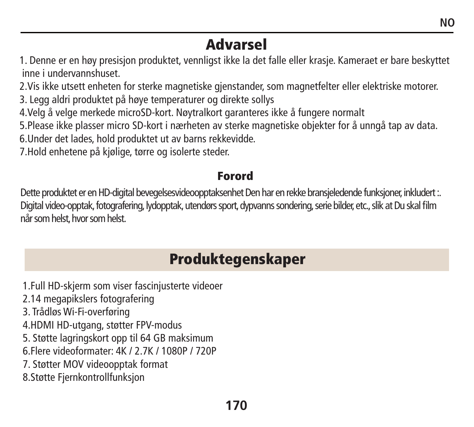## **Advarsel**

1. Denne er en høy presisjon produktet, vennligst ikke la det falle eller krasje. Kameraet er bare beskyttet inne i undervannshuset.

2.Vis ikke utsett enheten for sterke magnetiske gjenstander, som magnetfelter eller elektriske motorer.

3. Legg aldri produktet på høye temperaturer og direkte sollys

4.Velg å velge merkede microSD-kort. Nøytralkort garanteres ikke å fungere normalt

5.Please ikke plasser micro SD-kort i nærheten av sterke magnetiske objekter for å unngå tap av data.

6.Under det lades, hold produktet ut av barns rekkevidde.

7.Hold enhetene på kjølige, tørre og isolerte steder.

### **Forord**

Dette produktet er en HD-digital bevegelsesvideoopptaksenhet Den har en rekke bransjeledende funksjoner, inkludert :. Digital video-opptak, fotografering, lydopptak, utendørs sport, dypvanns sondering, serie bilder, etc., slik at Du skal film når som helst, hvor som helst.

# **Produktegenskaper**

1.Full HD-skjerm som viser fascinjusterte videoer 2.14 megapikslers fotografering 3. Trådløs Wi-Fi-overføring 4.HDMI HD-utgang, støtter FPV-modus 5. Støtte lagringskort opp til 64 GB maksimum 6.Flere videoformater: 4K / 2.7K / 1080P / 720P 7. Støtter MOV videoopptak format 8.Støtte Fjernkontrollfunksjon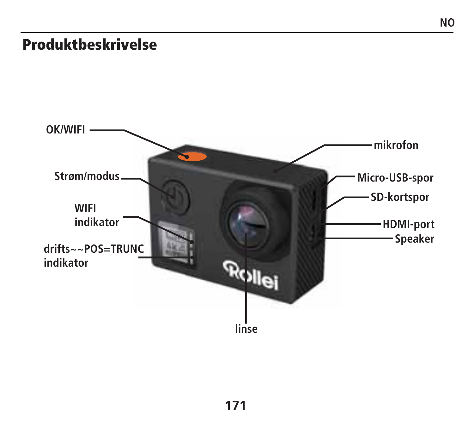## **Produktbeskrivelse**

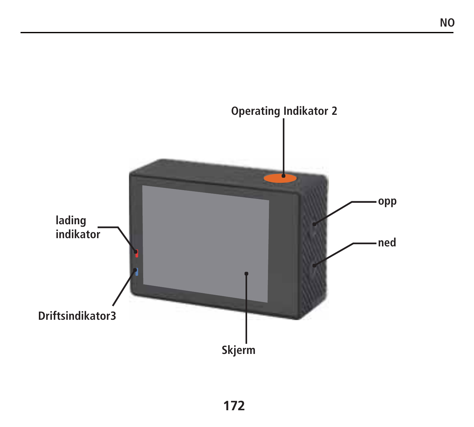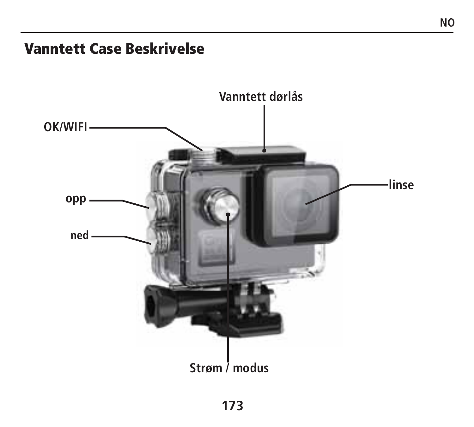# **Vanntett Case Beskrivelse**

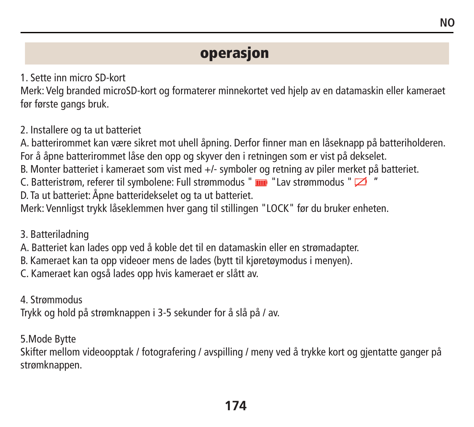### **operasjon**

1. Sette inn micro SD-kort

Merk: Velg branded microSD-kort og formaterer minnekortet ved hjelp av en datamaskin eller kameraet før første gangs bruk.

2. Installere og ta ut batteriet

A. batterirommet kan være sikret mot uhell åpning. Derfor finner man en låseknapp på batteriholderen. For å åpne batterirommet låse den opp og skyver den i retningen som er vist på dekselet.

B. Monter batteriet i kameraet som vist med +/- symboler og retning av piler merket på batteriet.

C. Batteristrøm, referer til symbolene: Full strømmodus "  $\blacksquare$  "Lav strømmodus " $\blacksquare$  "

D. Ta ut batteriet: Åpne batteridekselet og ta ut batteriet.

Merk: Vennligst trykk låseklemmen hver gang til stillingen "LOCK" før du bruker enheten.

3. Batteriladning

A. Batteriet kan lades opp ved å koble det til en datamaskin eller en strømadapter.

B. Kameraet kan ta opp videoer mens de lades (bytt til kjøretøymodus i menyen).

C. Kameraet kan også lades opp hvis kameraet er slått av.

4. Strømmodus Trykk og hold på strømknappen i 3-5 sekunder for å slå på / av.

5.Mode Bytte

Skifter mellom videoopptak / fotografering / avspilling / meny ved å trykke kort og gjentatte ganger på strømknappen.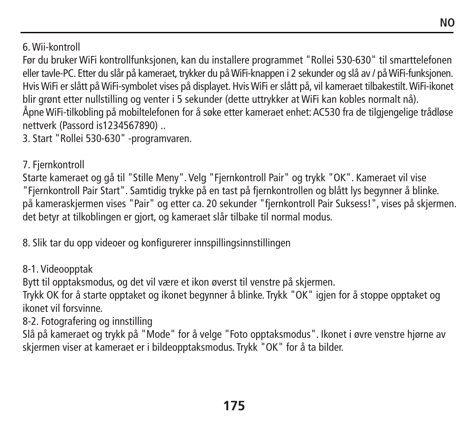6. Wii-kontroll

Før du bruker WiFi kontrollfunksjonen, kan du installere programmet "Rollei 530-630" til smarttelefonen eller tavle-PC. Etter du slår på kameraet, trykker du på WiFi-knappen i 2 sekunder og slå av / på WiFi-funksjonen. Hvis WiFi er slått på WiFi-symbolet vises på displayet. Hvis WiFi er slått på, vil kameraet tilbakestilt. WiFi-ikonet blir grønt etter nullstilling og venter i 5 sekunder (dette uttrykker at WiFi kan kobles normalt nå). Åpne WiFi-tilkobling på mobiltelefonen for å søke etter kameraet enhet: AC530 fra de tilgjengelige trådløse nettverk (Passord is1234567890) ..

3. Start "Rollei 530-630" -programvaren.

### 7. Fjernkontroll

Starte kameraet og gå til "Stille Meny". Velg "Fjernkontroll Pair" og trykk "OK". Kameraet vil vise "Fjernkontroll Pair Start". Samtidig trykke på en tast på fjernkontrollen og blått lys begynner å blinke. på kameraskjermen vises "Pair" og etter ca. 20 sekunder "fjernkontroll Pair Suksess!", vises på skjermen. det betyr at tilkoblingen er gjort, og kameraet slår tilbake til normal modus.

8. Slik tar du opp videoer og konfigurerer innspillingsinnstillingen

### 8-1. Videoopptak

Bytt til opptaksmodus, og det vil være et ikon øverst til venstre på skjermen.

Trykk OK for å starte opptaket og ikonet begynner å blinke. Trykk "OK" igjen for å stoppe opptaket og ikonet vil forsvinne.

8-2. Fotografering og innstilling

Slå på kameraet og trykk på "Mode" for å velge "Foto opptaksmodus". Ikonet i øvre venstre hjørne av skjermen viser at kameraet er i bildeopptaksmodus. Trykk "OK" for å ta bilder.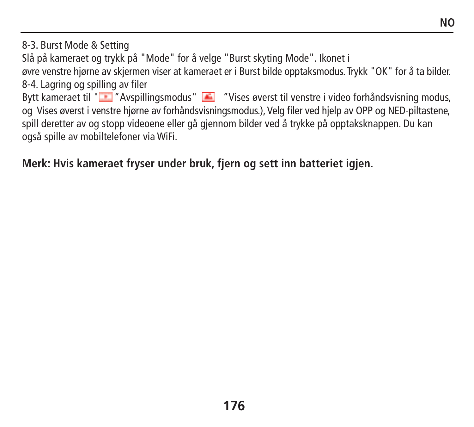8-3. Burst Mode & Setting

Slå på kameraet og trykk på "Mode" for å velge "Burst skyting Mode". Ikonet i

øvre venstre hjørne av skjermen viser at kameraet er i Burst bilde opptaksmodus. Trykk "OK" for å ta bilder. 8-4. Lagring og spilling av filer

Bytt kameraet til " "Avspillingsmodus" "Vises øverst til venstre i video forhåndsvisning modus, og Vises øverst i venstre hjørne av forhåndsvisningsmodus.), Velg filer ved hjelp av OPP og NED-piltastene, spill deretter av og stopp videoene eller gå gjennom bilder ved å trykke på opptaksknappen. Du kan også spille av mobiltelefoner via WiFi.

### **Merk: Hvis kameraet fryser under bruk, fjern og sett inn batteriet igjen.**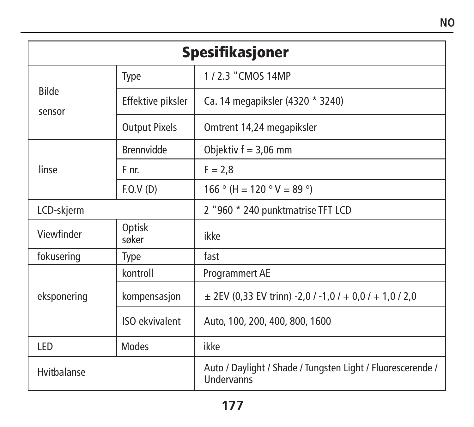| <b>Spesifikasjoner</b> |                      |                                                                           |
|------------------------|----------------------|---------------------------------------------------------------------------|
|                        | <b>Type</b>          | 1/2.3 "CMOS 14MP                                                          |
| <b>Bilde</b><br>sensor | Effektive piksler    | Ca. 14 megapiksler (4320 * 3240)                                          |
|                        | <b>Output Pixels</b> | Omtrent 14,24 megapiksler                                                 |
|                        | Brennvidde           | Objektiv $f = 3,06$ mm                                                    |
| linse                  | F nr.                | $F = 2.8$                                                                 |
|                        | F.0.V(D)             | $166 \degree$ (H = 120 $\degree$ V = 89 $\degree$ )                       |
| LCD-skjerm             |                      | 2 "960 * 240 punktmatrise TFT LCD                                         |
| Viewfinder             | Optisk<br>søker      | ikke                                                                      |
| fokusering             | Type                 | fast                                                                      |
|                        | kontroll             | Programmert AE                                                            |
| eksponering            | kompensasjon         | $\pm$ 2EV (0,33 EV trinn) -2,0 / -1,0 / + 0,0 / + 1,0 / 2,0               |
|                        | ISO ekvivalent       | Auto, 100, 200, 400, 800, 1600                                            |
| LED                    | Modes                | ikke                                                                      |
| Hvitbalanse            |                      | Auto / Daylight / Shade / Tungsten Light / Fluorescerende /<br>Undervanns |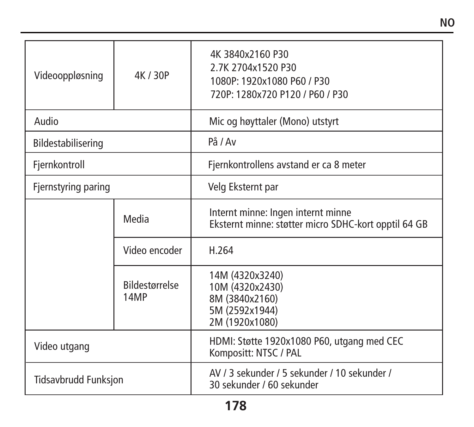| Videooppløsning             | 4K / 30P                      | 4K 3840x2160 P30<br>2.7K 2704x1520 P30<br>1080P: 1920x1080 P60 / P30<br>720P: 1280x720 P120 / P60 / P30 |
|-----------------------------|-------------------------------|---------------------------------------------------------------------------------------------------------|
| Audio                       |                               | Mic og høyttaler (Mono) utstyrt                                                                         |
| Bildestabilisering          |                               | På / Av                                                                                                 |
| Fjernkontroll               |                               | Fjernkontrollens avstand er ca 8 meter                                                                  |
| Fjernstyring paring         |                               | Velg Eksternt par                                                                                       |
|                             | Media                         | Internt minne: Ingen internt minne<br>Eksternt minne: støtter micro SDHC-kort opptil 64 GB              |
|                             | Video encoder                 | H.264                                                                                                   |
|                             | <b>Bildestørrelse</b><br>14MP | 14M (4320x3240)<br>10M (4320x2430)<br>8M (3840x2160)<br>5M (2592x1944)<br>2M (1920x1080)                |
| Video utgang                |                               | HDMI: Støtte 1920x1080 P60, utgang med CEC<br>Kompositt: NTSC / PAL                                     |
| <b>Tidsavbrudd Funksjon</b> |                               | AV / 3 sekunder / 5 sekunder / 10 sekunder /<br>30 sekunder / 60 sekunder                               |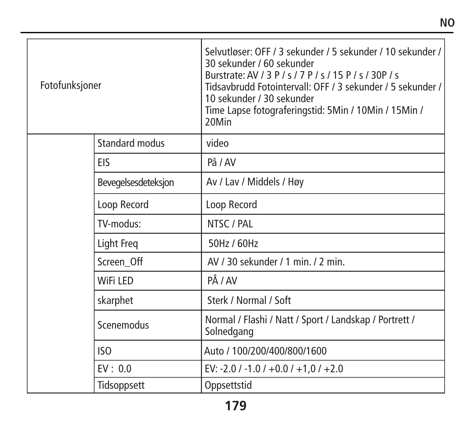| Fotofunksjoner |                       | Selvutløser: OFF / 3 sekunder / 5 sekunder / 10 sekunder /<br>30 sekunder / 60 sekunder<br>Burstrate: AV / 3 P / s / 7 P / s / 15 P / s / 30P / s<br>Tidsavbrudd Fotointervall: OFF / 3 sekunder / 5 sekunder /<br>10 sekunder / 30 sekunder<br>Time Lapse fotograferingstid: 5Min / 10Min / 15Min /<br>20Min |
|----------------|-----------------------|---------------------------------------------------------------------------------------------------------------------------------------------------------------------------------------------------------------------------------------------------------------------------------------------------------------|
|                | <b>Standard modus</b> | video                                                                                                                                                                                                                                                                                                         |
|                | EIS                   | På / AV                                                                                                                                                                                                                                                                                                       |
|                | Bevegelsesdeteksjon   | Av / Lav / Middels / Høy                                                                                                                                                                                                                                                                                      |
|                | Loop Record           | Loop Record                                                                                                                                                                                                                                                                                                   |
|                | TV-modus:             | NTSC / PAL                                                                                                                                                                                                                                                                                                    |
|                | Light Freq            | 50Hz / 60Hz                                                                                                                                                                                                                                                                                                   |
|                | Screen Off            | AV / 30 sekunder / 1 min. / 2 min.                                                                                                                                                                                                                                                                            |
|                | WiFi I FD             | PÅ / AV                                                                                                                                                                                                                                                                                                       |
|                | skarphet              | Sterk / Normal / Soft                                                                                                                                                                                                                                                                                         |
|                | Scenemodus            | Normal / Flashi / Natt / Sport / Landskap / Portrett /<br>Solnedgang                                                                                                                                                                                                                                          |
|                | ISO                   | Auto / 100/200/400/800/1600                                                                                                                                                                                                                                                                                   |
|                | EV: 0.0               | EV: -2.0 / -1.0 / +0.0 / +1,0 / +2.0                                                                                                                                                                                                                                                                          |
|                | Tidsoppsett           | Oppsettstid                                                                                                                                                                                                                                                                                                   |

-

**NO**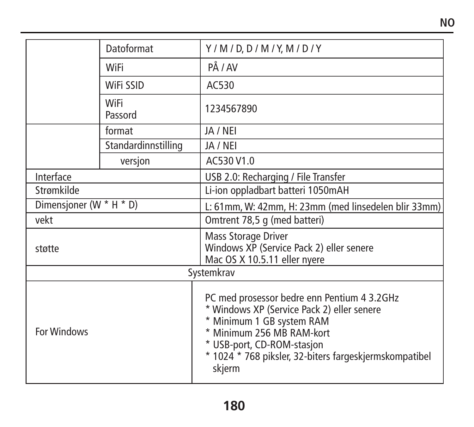|                         | Datoformat          | Y/M/D, D/M/Y, M/D/Y                                                                                                                                                                                                                                   |
|-------------------------|---------------------|-------------------------------------------------------------------------------------------------------------------------------------------------------------------------------------------------------------------------------------------------------|
|                         | WiFi                | PÅ / AV                                                                                                                                                                                                                                               |
|                         | WiFi SSID           | AC530                                                                                                                                                                                                                                                 |
|                         | WiFi<br>Passord     | 1234567890                                                                                                                                                                                                                                            |
|                         | format              | JA / NEI                                                                                                                                                                                                                                              |
|                         | Standardinnstilling | JA / NEI                                                                                                                                                                                                                                              |
|                         | versjon             | AC530 V10                                                                                                                                                                                                                                             |
| Interface               |                     | USB 2.0: Recharging / File Transfer                                                                                                                                                                                                                   |
| Strømkilde              |                     | Li-ion oppladbart batteri 1050mAH                                                                                                                                                                                                                     |
| Dimensjoner (W * H * D) |                     | L: 61mm, W: 42mm, H: 23mm (med linsedelen blir 33mm)                                                                                                                                                                                                  |
| vekt                    |                     | Omtrent 78,5 g (med batteri)                                                                                                                                                                                                                          |
| støtte                  |                     | Mass Storage Driver<br>Windows XP (Service Pack 2) eller senere<br>Mac OS X 10.5.11 eller nyere                                                                                                                                                       |
|                         |                     | Systemkrav                                                                                                                                                                                                                                            |
| For Windows             |                     | PC med prosessor bedre enn Pentium 4 3.2GHz<br>* Windows XP (Service Pack 2) eller senere<br>* Minimum 1 GB system RAM<br>* Minimum 256 MB RAM-kort<br>* USB-port, CD-ROM-stasjon<br>* 1024 * 768 piksler, 32-biters fargeskjermskompatibel<br>skjerm |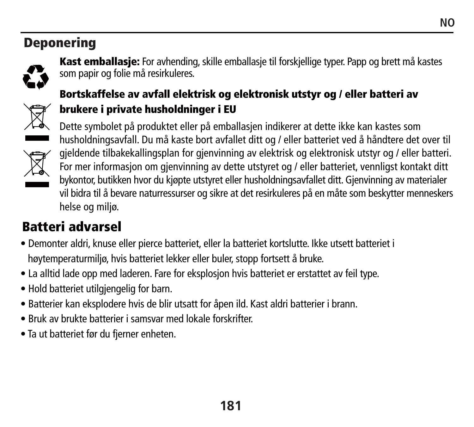## **Deponering**



**Kast emballasje:** For avhending, skille emballasje til forskjellige typer. Papp og brett må kastes som papir og folie må resirkuleres.

**NO**

### **Bortskaffelse av avfall elektrisk og elektronisk utstyr og / eller batteri av brukere i private husholdninger i EU**



Dette symbolet på produktet eller på emballasjen indikerer at dette ikke kan kastes som husholdningsavfall. Du må kaste bort avfallet ditt og / eller batteriet ved å håndtere det over til gjeldende tilbakekallingsplan for gjenvinning av elektrisk og elektronisk utstyr og / eller batteri. For mer informasjon om gjenvinning av dette utstyret og / eller batteriet, vennligst kontakt ditt bykontor, butikken hvor du kjøpte utstyret eller husholdningsavfallet ditt. Gjenvinning av materialer vil bidra til å bevare naturressurser og sikre at det resirkuleres på en måte som beskytter menneskers helse og miljø.

# **Batteri advarsel**

- Demonter aldri, knuse eller pierce batteriet, eller la batteriet kortslutte. Ikke utsett batteriet i høytemperaturmiljø, hvis batteriet lekker eller buler, stopp fortsett å bruke.
- La alltid lade opp med laderen. Fare for eksplosjon hvis batteriet er erstattet av feil type.
- Hold batteriet utilgjengelig for barn.
- Batterier kan eksplodere hvis de blir utsatt for åpen ild. Kast aldri batterier i brann.
- Bruk av brukte batterier i samsvar med lokale forskrifter.
- Ta ut batteriet før du fjerner enheten.

**181**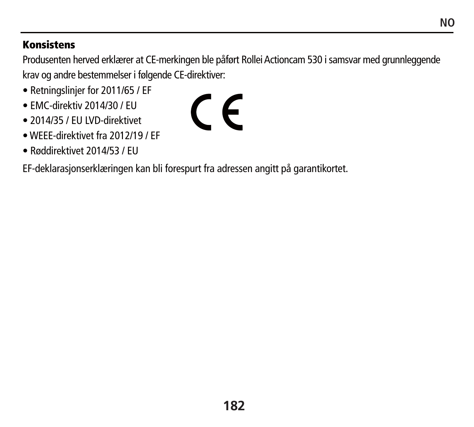#### **Konsistens**

Produsenten herved erklærer at CE-merkingen ble påført Rollei Actioncam 30 i samsvar med grunnleggende krav og andre bestemmelser i følgende CE-direktiver:

- Retningslinjer for 2011/65 / EF
- EMC-direktiv 2014/30 / EU
- 2014/35 / EU LVD-direktivet
- WEEE-direktivet fra 2012/19 / EF
- Røddirektivet 2014/53 / EU

EF-deklarasjonserklæringen kan bli forespurt fra adressen angitt på garantikortet.

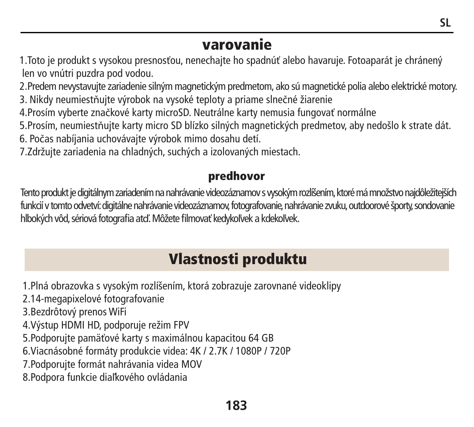## **varovanie**

- 1.Toto je produkt s vysokou presnosťou, nenechajte ho spadnúť alebo havaruje. Fotoaparát je chránený len vo vnútri puzdra pod vodou.
- 2.Predem nevystavujte zariadenie silným magnetickým predmetom, ako sú magnetické polia alebo elektrické motory. 3. Nikdy neumiestňujte výrobok na vysoké teploty a priame slnečné žiarenie
- 4.Prosím vyberte značkové karty microSD. Neutrálne karty nemusia fungovať normálne
- 5.Prosím, neumiestňujte karty micro SD blízko silných magnetických predmetov, aby nedošlo k strate dát.
- 6. Počas nabíjania uchovávajte výrobok mimo dosahu detí.
- 7.Zdržujte zariadenia na chladných, suchých a izolovaných miestach.

### **predhovor**

Tento produkt je digitálnym zariadením na nahrávanie videozáznamov s vysokým rozlíšením, ktoré má množstvo najdôležitejších funkcií v tomto odvetví: digitálne nahrávanie videozáznamov, fotografovanie, nahrávanie zvuku, outdoorové športy, sondovanie hlbokých vôd, sériová fotografia atď. Môžete filmovať kedykoľvek a kdekoľvek.

# **Vlastnosti produktu**

- 1.Plná obrazovka s vysokým rozlíšením, ktorá zobrazuje zarovnané videoklipy
- 2.14-megapixelové fotografovanie
- 3.Bezdrôtový prenos WiFi
- 4.Výstup HDMI HD, podporuje režim FPV
- 5.Podporujte pamäťové karty s maximálnou kapacitou 64 GB
- 6.Viacnásobné formáty produkcie videa: 4K / 2.7K / 1080P / 720P
- 7.Podporujte formát nahrávania videa MOV
- 8.Podpora funkcie diaľkového ovládania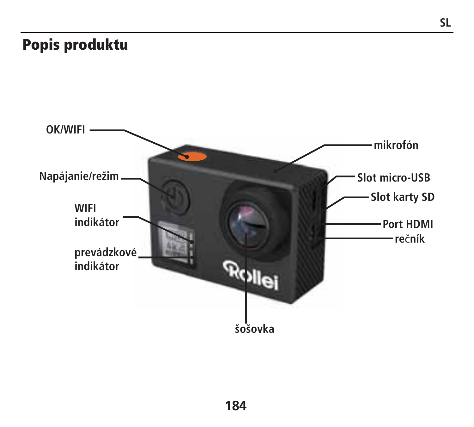# **Popis produktu**

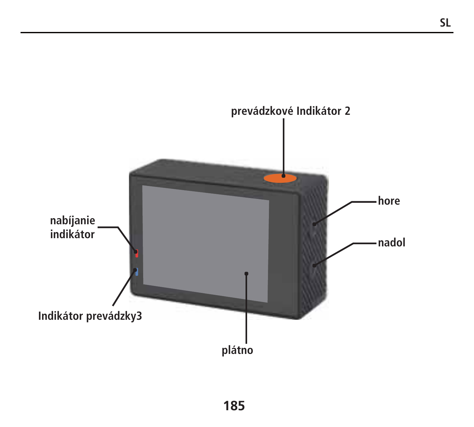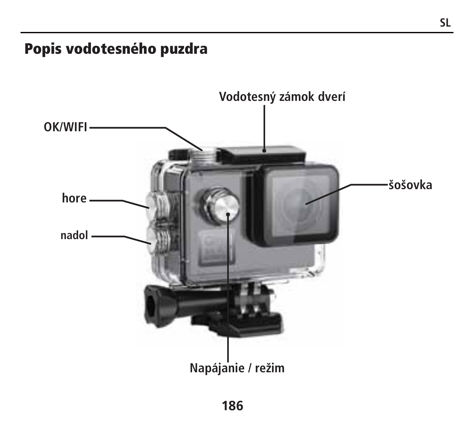# **Popis vodotesného puzdra**

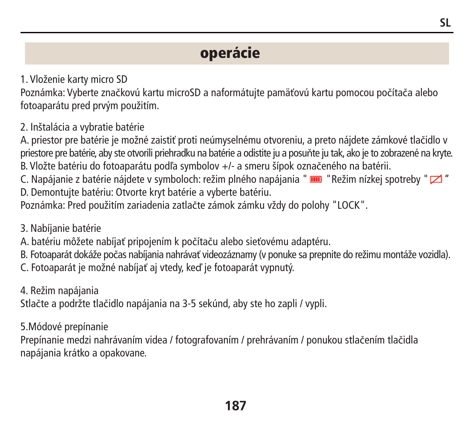# **operácie**

1. Vloženie karty micro SD

Poznámka: Vyberte značkovú kartu microSD a naformátujte pamäťovú kartu pomocou počítača alebo fotoaparátu pred prvým použitím.

2. Inštalácia a vybratie batérie

A. priestor pre batérie je možné zaistiť proti neúmyselnému otvoreniu, a preto nájdete zámkové tlačidlo v priestore pre batérie, aby ste otvorili priehradku na batérie a odistite ju a posuňte ju tak, ako je to zobrazené na kryte. B. Vložte batériu do fotoaparátu podľa symbolov +/- a smeru šípok označeného na batérii.

C. Napájanie z batérie nájdete v symboloch: režim plného napájania " $\blacksquare$ " Režim nízkej spotreby " $\blacksquare$ "

D. Demontujte batériu: Otvorte kryt batérie a vyberte batériu.

Poznámka: Pred použitím zariadenia zatlačte zámok zámku vždy do polohy "LOCK".

3. Nabíjanie batérie

A. batériu môžete nabíjať pripojením k počítaču alebo sieťovému adaptéru.

B. Fotoaparát dokáže počas nabíjania nahrávať videozáznamy (v ponuke sa prepnite do režimu montáže vozidla).

C. Fotoaparát je možné nabíjať aj vtedy, keď je fotoaparát vypnutý.

4. Režim napájania Stlačte a podržte tlačidlo napájania na 3-5 sekúnd, aby ste ho zapli / vypli.

5.Módové prepínanie

Prepínanie medzi nahrávaním videa / fotografovaním / prehrávaním / ponukou stlačením tlačidla napájania krátko a opakovane.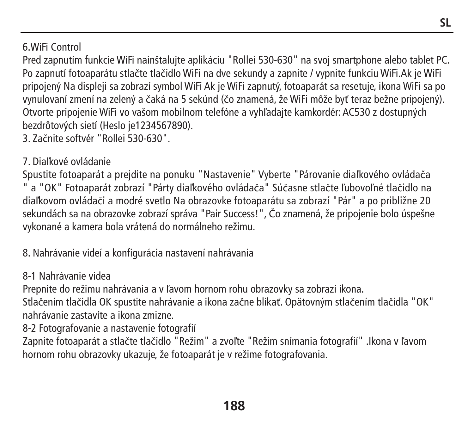6.WiFi Control

Pred zapnutím funkcie WiFi nainštalujte aplikáciu "Rollei 530-630" na svoj smartphone alebo tablet PC. Po zapnutí fotoaparátu stlačte tlačidlo WiFi na dve sekundy a zapnite / vypnite funkciu WiFi.Ak je WiFi pripojený Na displeji sa zobrazí symbol WiFi Ak je WiFi zapnutý, fotoaparát sa resetuje, ikona WiFi sa po vynulovaní zmení na zelený a čaká na 5 sekúnd (čo znamená, že WiFi môže byť teraz bežne pripojený). Otvorte pripojenie WiFi vo vašom mobilnom telefóne a vyhľadajte kamkordér: AC530 z dostupných bezdrôtových sietí (Heslo je1234567890).

3. Začnite softvér "Rollei 530-630".

#### 7. Diaľkové ovládanie

Spustite fotoaparát a prejdite na ponuku "Nastavenie" Vyberte "Párovanie diaľkového ovládača " a "OK" Fotoaparát zobrazí "Párty diaľkového ovládača" Súčasne stlačte ľubovoľné tlačidlo na diaľkovom ovládači a modré svetlo Na obrazovke fotoaparátu sa zobrazí "Pár" a po približne 20 sekundách sa na obrazovke zobrazí správa "Pair Success!", Čo znamená, že pripojenie bolo úspešne vykonané a kamera bola vrátená do normálneho režimu.

8. Nahrávanie videí a konfigurácia nastavení nahrávania

#### 8-1 Nahrávanie videa

Prepnite do režimu nahrávania a v ľavom hornom rohu obrazovky sa zobrazí ikona.

Stlačením tlačidla OK spustite nahrávanie a ikona začne blikať. Opätovným stlačením tlačidla "OK" nahrávanie zastavíte a ikona zmizne.

8-2 Fotografovanie a nastavenie fotografií

Zapnite fotoaparát a stlačte tlačidlo "Režim" a zvoľte "Režim snímania fotografií" .Ikona v ľavom hornom rohu obrazovky ukazuje, že fotoaparát je v režime fotografovania.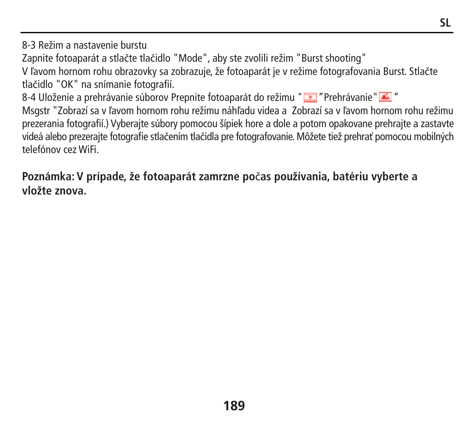8-3 Režim a nastavenie burstu

Zapnite fotoaparát a stlačte tlačidlo "Mode", aby ste zvolili režim "Burst shooting"

V ľavom hornom rohu obrazovky sa zobrazuje, že fotoaparát je v režime fotografovania Burst. Stlačte tlačidlo "OK" na snímanie fotografií.

8-4 Uloženie a prehrávanie súborov Prepnite fotoaparát do režimu " - "Prehrávanie" - "

Msgstr "Zobrazí sa v ľavom hornom rohu režimu náhľadu videa a Zobrazí sa v ľavom hornom rohu režimu prezerania fotografií.) Vyberajte súbory pomocou šípiek hore a dole a potom opakovane prehrajte a zastavte videá alebo prezerajte fotografie stlačením tlačidla pre fotografovanie. Môžete tiež prehrať pomocou mobilných telefónov cez WiFi.

**Poznámka: V prípade, že fotoaparát zamrzne po**č**as používania, batériu vyberte a vložte znova.**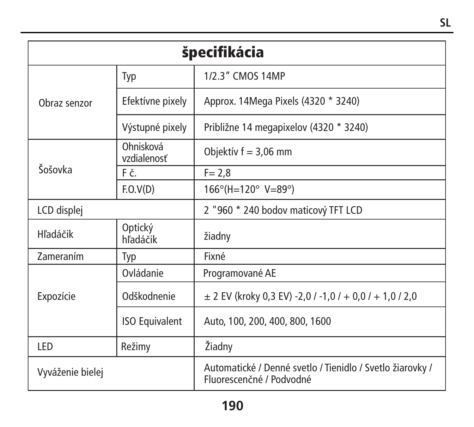|  | špecifikácia             |                                        |  |  |  |
|--|--------------------------|----------------------------------------|--|--|--|
|  | Typ                      | 1/2.3" CMOS 14MP                       |  |  |  |
|  | Efektívne pixely         | Approx. 14Mega Pixels (4320 * 3240)    |  |  |  |
|  | Výstupné pixely          | Približne 14 megapixelov (4320 * 3240) |  |  |  |
|  | Ohnisková<br>vzdialenosť | Objektív $f = 3,06$ mm                 |  |  |  |
|  | Fč.                      | $F = 2,8$                              |  |  |  |
|  | F. O.V(D)                | 166°(H=120°V=89°)                      |  |  |  |
|  |                          | 2 "960 * 240 bodov maticový TFT LCD    |  |  |  |
|  | Optický<br>hľadáčik      | žiadny                                 |  |  |  |
|  | Typ                      | Fixné                                  |  |  |  |
|  | Ovládanie                | Programované AE                        |  |  |  |
|  |                          |                                        |  |  |  |

| Hľadáčik         | <b>UPLICKY</b><br>hľadáčik | žiadny                                                                                |
|------------------|----------------------------|---------------------------------------------------------------------------------------|
| Zameraním        | Typ                        | Fixné                                                                                 |
|                  | Ovládanie                  | Programované AE                                                                       |
| Expozície        | Odškodnenie                | $\pm$ 2 EV (kroky 0,3 EV) -2,0 / -1,0 / + 0,0 / + 1,0 / 2,0                           |
|                  | <b>ISO Equivalent</b>      | Auto, 100, 200, 400, 800, 1600                                                        |
| LED              | Režimy                     | Žiadny                                                                                |
| Vyváženie bielej |                            | Automatické / Denné svetlo / Tienidlo / Svetlo žiarovky /<br>Fluorescenčné / Podvodné |

Obraz senzor

Šošovka

LCD displej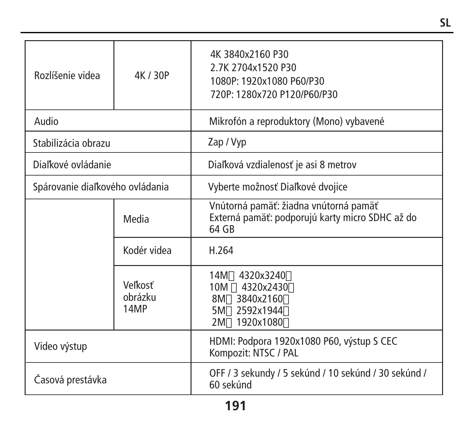| Rozlíšenie videa                | 4K / 30P                   | 4K 3840x2160 P30<br>2.7K 2704x1520 P30<br>1080P: 1920x1080 P60/P30<br>720P: 1280x720 P120/P60/P30 |
|---------------------------------|----------------------------|---------------------------------------------------------------------------------------------------|
| Audio                           |                            | Mikrofón a reproduktory (Mono) vybavené                                                           |
| Stabilizácia obrazu             |                            | Zap / Vyp                                                                                         |
| Diaľkové ovládanie              |                            | Diaľková vzdialenosť je asi 8 metrov                                                              |
| Spárovanie diaľkového ovládania |                            | Vyberte možnosť Diaľkové dvojice                                                                  |
|                                 | Media                      | Vnútorná pamäť: žiadna vnútorná pamäť<br>Externá pamäť: podporujú karty micro SDHC až do<br>64 GB |
|                                 | Kodér videa                | H.264                                                                                             |
|                                 | Veľkosť<br>obrázku<br>14MP | 14M<br>4320x3240<br>10M 4320x2430<br>8M 3840x2160<br>5M 2592x1944<br>2M<br>1920x1080              |
| Video výstup                    |                            | HDMI: Podpora 1920x1080 P60, výstup S CEC<br>Kompozit: NTSC / PAL                                 |
| Časová prestávka                |                            | OFF / 3 sekundy / 5 sekúnd / 10 sekúnd / 30 sekúnd /<br>60 sekúnd                                 |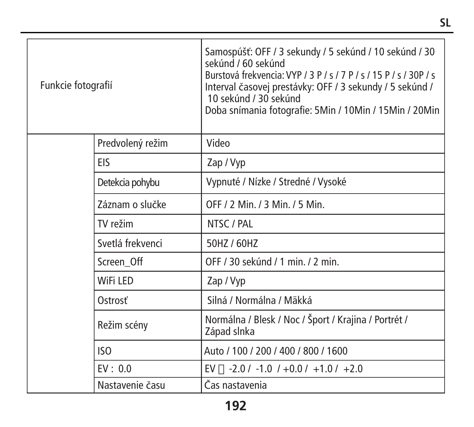| Funkcie fotografií |                  | Samospúšť: OFF / 3 sekundy / 5 sekúnd / 10 sekúnd / 30<br>sekúnd / 60 sekúnd<br>Burstová frekvencia: VYP / 3 P / s / 7 P / s / 15 P / s / 30P / s<br>Interval časovej prestávky: OFF / 3 sekundy / 5 sekúnd /<br>10 sekúnd / 30 sekúnd<br>Doba snímania fotografie: 5Min / 10Min / 15Min / 20Min |
|--------------------|------------------|--------------------------------------------------------------------------------------------------------------------------------------------------------------------------------------------------------------------------------------------------------------------------------------------------|
|                    | Predvolený režim | Video                                                                                                                                                                                                                                                                                            |
|                    | <b>FIS</b>       | Zap / Vyp                                                                                                                                                                                                                                                                                        |
|                    | Detekcia pohybu  | Vypnuté / Nízke / Stredné / Vysoké                                                                                                                                                                                                                                                               |
|                    | Záznam o slučke  | OFF / 2 Min. / 3 Min. / 5 Min.                                                                                                                                                                                                                                                                   |
|                    | TV režim         | NTSC / PAI                                                                                                                                                                                                                                                                                       |
|                    | Svetlá frekvenci | 50H7 / 60H7                                                                                                                                                                                                                                                                                      |
|                    | Screen Off       | OFF / 30 sekúnd / 1 min. / 2 min.                                                                                                                                                                                                                                                                |
|                    | WiFi LED         | Zap / Vyp                                                                                                                                                                                                                                                                                        |
|                    | Ostrosť          | Silná / Normálna / Mäkká                                                                                                                                                                                                                                                                         |
|                    | Režim scény      | Normálna / Blesk / Noc / Šport / Krajina / Portrét /<br>Západ slnka                                                                                                                                                                                                                              |
|                    | ISO              | Auto / 100 / 200 / 400 / 800 / 1600                                                                                                                                                                                                                                                              |
|                    | EV: 0.0          | $-2.0$ / $-1.0$ / $+0.0$ / $+1.0$ / $+2.0$<br>FV                                                                                                                                                                                                                                                 |
|                    | Nastavenie času  | Čas nastavenia                                                                                                                                                                                                                                                                                   |

 $\overline{\phantom{0}}$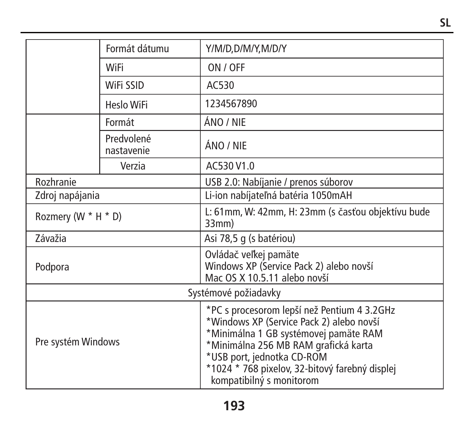|                     | Formát dátumu            | Y/M/D.D/M/Y.M/D/Y                                                                                                                                                                                                                                                                    |
|---------------------|--------------------------|--------------------------------------------------------------------------------------------------------------------------------------------------------------------------------------------------------------------------------------------------------------------------------------|
|                     | WiFi                     | ON / OFF                                                                                                                                                                                                                                                                             |
|                     | WiFi SSID                | AC530                                                                                                                                                                                                                                                                                |
|                     | Heslo WiFi               | 1234567890                                                                                                                                                                                                                                                                           |
|                     | Formát                   | ÁNO / NIE                                                                                                                                                                                                                                                                            |
|                     | Predvolené<br>nastavenie | ÁNO / NIE                                                                                                                                                                                                                                                                            |
|                     | Verzia                   | AC530 V1.0                                                                                                                                                                                                                                                                           |
| Rozhranie           |                          | USB 2.0: Nabíjanie / prenos súborov                                                                                                                                                                                                                                                  |
| Zdroj napájania     |                          | Li-ion nabíjateľná batéria 1050mAH                                                                                                                                                                                                                                                   |
| Rozmery (W * H * D) |                          | L: 61mm, W: 42mm, H: 23mm (s časťou objektívu bude<br>33mm                                                                                                                                                                                                                           |
| Závažia<br>Podpora  |                          | Asi 78,5 q (s batériou)                                                                                                                                                                                                                                                              |
|                     |                          | Ovládač veľkej pamäte<br>Windows XP (Service Pack 2) alebo novší<br>Mac OS X 10.5.11 alebo novší                                                                                                                                                                                     |
| Pre systém Windows  |                          | Systémové požiadavky                                                                                                                                                                                                                                                                 |
|                     |                          | *PC s procesorom lepší než Pentium 4 3.2GHz<br>*Windows XP (Service Pack 2) alebo novší<br>*Minimálna 1 GB systémovej pamäte RAM<br>*Minimálna 256 MB RAM grafická karta<br>*USB port, jednotka CD-ROM<br>*1024 * 768 pixelov, 32-bitový farebný displej<br>kompatibilný s monitorom |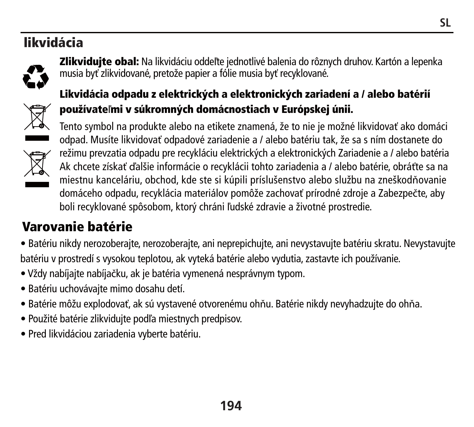# **likvidácia**



**Zlikvidujte obal:** Na likvidáciu oddeľte jednotlivé balenia do rôznych druhov. Kartón a lepenka musia byť zlikvidované, pretože papier a fólie musia byť recyklované.

### **Likvidácia odpadu z elektrických a elektronických zariadení a / alebo batérií používate**ľ**mi v súkromných domácnostiach v Európskej únii.**



Tento symbol na produkte alebo na etikete znamená, že to nie je možné likvidovať ako domáci odpad. Musíte likvidovať odpadové zariadenie a / alebo batériu tak, že sa s ním dostanete do režimu prevzatia odpadu pre recykláciu elektrických a elektronických Zariadenie a / alebo batéria Ak chcete získať ďalšie informácie o recyklácii tohto zariadenia a / alebo batérie, obráťte sa na miestnu kanceláriu, obchod, kde ste si kúpili príslušenstvo alebo službu na zneškodňovanie domáceho odpadu, recyklácia materiálov pomôže zachovať prírodné zdroje a Zabezpečte, aby boli recyklované spôsobom, ktorý chráni ľudské zdravie a životné prostredie.

# **Varovanie batérie**

• Batériu nikdy nerozoberajte, nerozoberajte, ani neprepichujte, ani nevystavujte batériu skratu. Nevystavujte batériu v prostredí s vysokou teplotou, ak vyteká batérie alebo vydutia, zastavte ich používanie.

- Vždy nabíjajte nabíjačku, ak je batéria vymenená nesprávnym typom.
- Batériu uchovávajte mimo dosahu detí.
- Batérie môžu explodovať, ak sú vystavené otvorenému ohňu. Batérie nikdy nevyhadzujte do ohňa.
- Použité batérie zlikvidujte podľa miestnych predpisov.
- Pred likvidáciou zariadenia vyberte batériu.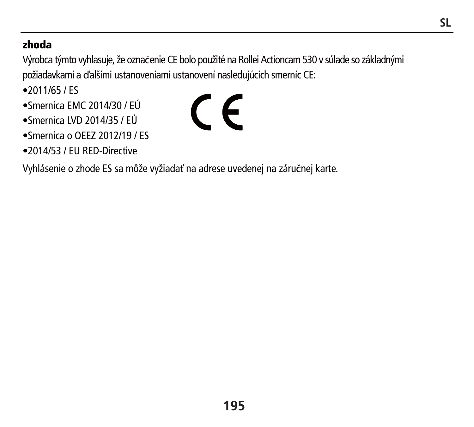#### **zhoda**

Výrobca týmto vyhlasuje, že označenie CE bolo použité na Rollei Actioncam 30 v súlade so základnými požiadavkami a ďalšími ustanoveniami ustanovení nasledujúcich smerníc CE:

- •2011/65 / ES
- •Smernica EMC 2014/30 / EÚ
- •Smernica LVD 2014/35 / EÚ
- •Smernica o OEEZ 2012/19 / ES
- •2014/53 / EU RED-Directive

Vyhlásenie o zhode ES sa môže vyžiadať na adrese uvedenej na záručnej karte.